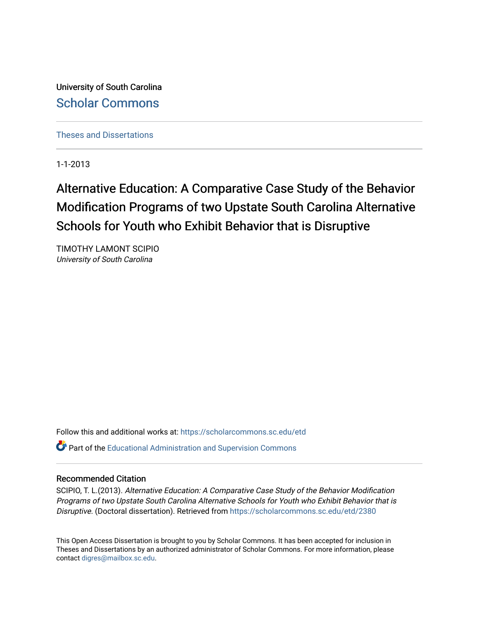University of South Carolina [Scholar Commons](https://scholarcommons.sc.edu/) 

[Theses and Dissertations](https://scholarcommons.sc.edu/etd)

1-1-2013

# Alternative Education: A Comparative Case Study of the Behavior Modification Programs of two Upstate South Carolina Alternative Schools for Youth who Exhibit Behavior that is Disruptive

TIMOTHY LAMONT SCIPIO University of South Carolina

Follow this and additional works at: [https://scholarcommons.sc.edu/etd](https://scholarcommons.sc.edu/etd?utm_source=scholarcommons.sc.edu%2Fetd%2F2380&utm_medium=PDF&utm_campaign=PDFCoverPages)

**P** Part of the [Educational Administration and Supervision Commons](http://network.bepress.com/hgg/discipline/787?utm_source=scholarcommons.sc.edu%2Fetd%2F2380&utm_medium=PDF&utm_campaign=PDFCoverPages)

## Recommended Citation

SCIPIO, T. L.(2013). Alternative Education: A Comparative Case Study of the Behavior Modification Programs of two Upstate South Carolina Alternative Schools for Youth who Exhibit Behavior that is Disruptive. (Doctoral dissertation). Retrieved from [https://scholarcommons.sc.edu/etd/2380](https://scholarcommons.sc.edu/etd/2380?utm_source=scholarcommons.sc.edu%2Fetd%2F2380&utm_medium=PDF&utm_campaign=PDFCoverPages) 

This Open Access Dissertation is brought to you by Scholar Commons. It has been accepted for inclusion in Theses and Dissertations by an authorized administrator of Scholar Commons. For more information, please contact [digres@mailbox.sc.edu.](mailto:digres@mailbox.sc.edu)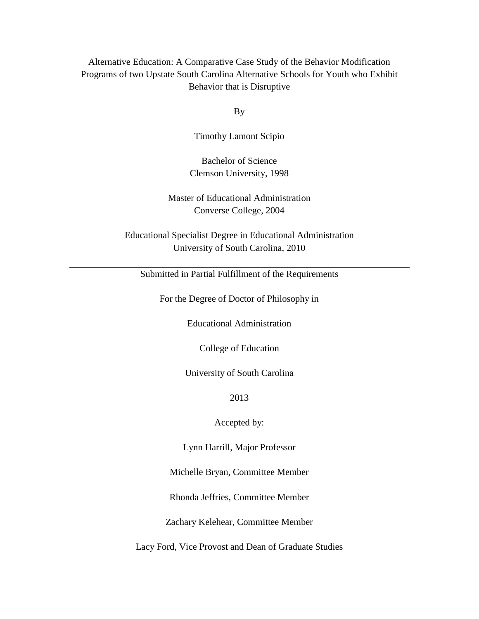# Alternative Education: A Comparative Case Study of the Behavior Modification Programs of two Upstate South Carolina Alternative Schools for Youth who Exhibit Behavior that is Disruptive

By

Timothy Lamont Scipio

Bachelor of Science Clemson University, 1998

Master of Educational Administration Converse College, 2004

Educational Specialist Degree in Educational Administration University of South Carolina, 2010

Submitted in Partial Fulfillment of the Requirements

For the Degree of Doctor of Philosophy in

Educational Administration

College of Education

University of South Carolina

2013

Accepted by:

Lynn Harrill, Major Professor

Michelle Bryan, Committee Member

Rhonda Jeffries, Committee Member

Zachary Kelehear, Committee Member

Lacy Ford, Vice Provost and Dean of Graduate Studies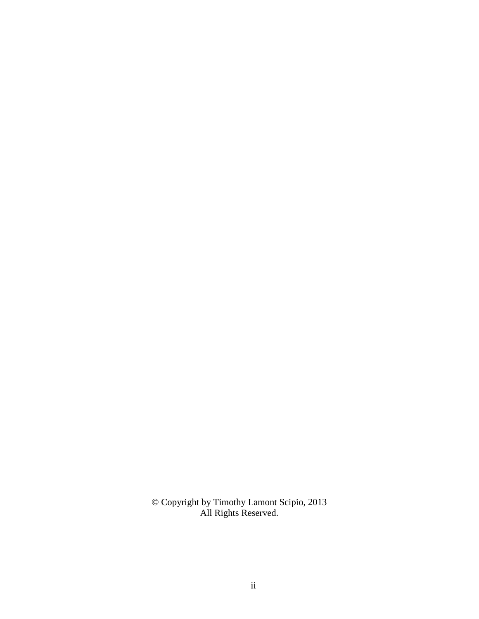© Copyright by Timothy Lamont Scipio, 2013 All Rights Reserved.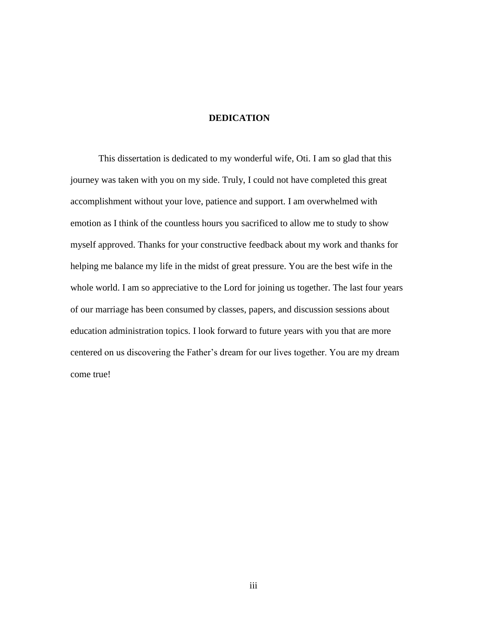# **DEDICATION**

This dissertation is dedicated to my wonderful wife, Oti. I am so glad that this journey was taken with you on my side. Truly, I could not have completed this great accomplishment without your love, patience and support. I am overwhelmed with emotion as I think of the countless hours you sacrificed to allow me to study to show myself approved. Thanks for your constructive feedback about my work and thanks for helping me balance my life in the midst of great pressure. You are the best wife in the whole world. I am so appreciative to the Lord for joining us together. The last four years of our marriage has been consumed by classes, papers, and discussion sessions about education administration topics. I look forward to future years with you that are more centered on us discovering the Father's dream for our lives together. You are my dream come true!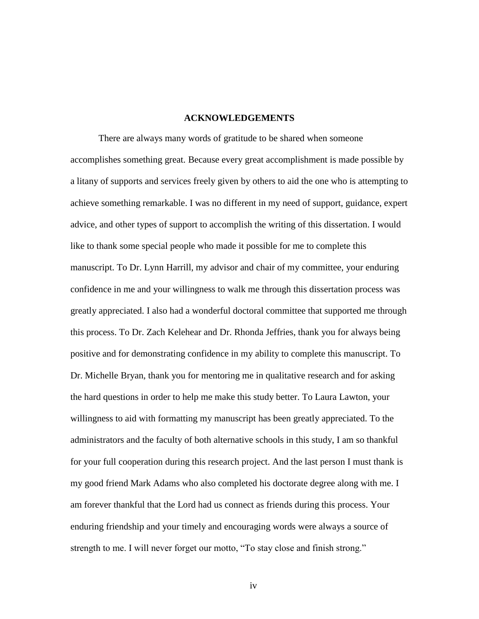#### **ACKNOWLEDGEMENTS**

There are always many words of gratitude to be shared when someone accomplishes something great. Because every great accomplishment is made possible by a litany of supports and services freely given by others to aid the one who is attempting to achieve something remarkable. I was no different in my need of support, guidance, expert advice, and other types of support to accomplish the writing of this dissertation. I would like to thank some special people who made it possible for me to complete this manuscript. To Dr. Lynn Harrill, my advisor and chair of my committee, your enduring confidence in me and your willingness to walk me through this dissertation process was greatly appreciated. I also had a wonderful doctoral committee that supported me through this process. To Dr. Zach Kelehear and Dr. Rhonda Jeffries, thank you for always being positive and for demonstrating confidence in my ability to complete this manuscript. To Dr. Michelle Bryan, thank you for mentoring me in qualitative research and for asking the hard questions in order to help me make this study better. To Laura Lawton, your willingness to aid with formatting my manuscript has been greatly appreciated. To the administrators and the faculty of both alternative schools in this study, I am so thankful for your full cooperation during this research project. And the last person I must thank is my good friend Mark Adams who also completed his doctorate degree along with me. I am forever thankful that the Lord had us connect as friends during this process. Your enduring friendship and your timely and encouraging words were always a source of strength to me. I will never forget our motto, "To stay close and finish strong."

iv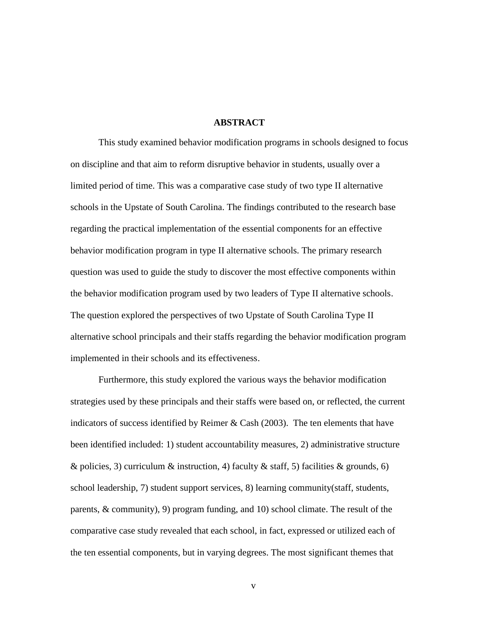#### **ABSTRACT**

This study examined behavior modification programs in schools designed to focus on discipline and that aim to reform disruptive behavior in students, usually over a limited period of time. This was a comparative case study of two type II alternative schools in the Upstate of South Carolina. The findings contributed to the research base regarding the practical implementation of the essential components for an effective behavior modification program in type II alternative schools. The primary research question was used to guide the study to discover the most effective components within the behavior modification program used by two leaders of Type II alternative schools. The question explored the perspectives of two Upstate of South Carolina Type II alternative school principals and their staffs regarding the behavior modification program implemented in their schools and its effectiveness.

Furthermore, this study explored the various ways the behavior modification strategies used by these principals and their staffs were based on, or reflected, the current indicators of success identified by Reimer  $\&$  Cash (2003). The ten elements that have been identified included: 1) student accountability measures, 2) administrative structure & policies, 3) curriculum & instruction, 4) faculty & staff, 5) facilities & grounds, 6) school leadership, 7) student support services, 8) learning community(staff, students, parents, & community), 9) program funding, and 10) school climate. The result of the comparative case study revealed that each school, in fact, expressed or utilized each of the ten essential components, but in varying degrees. The most significant themes that

v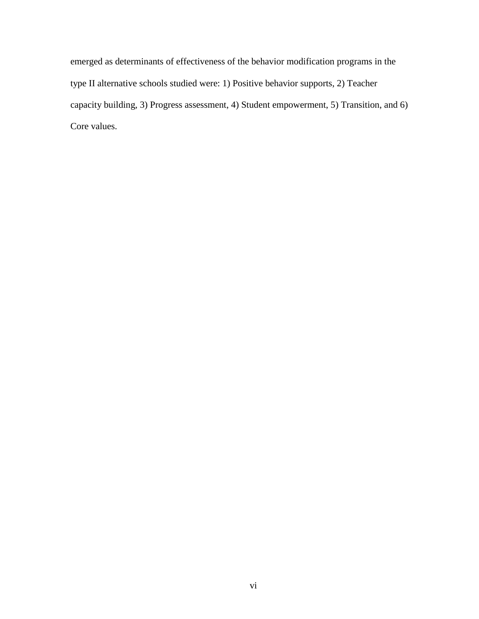emerged as determinants of effectiveness of the behavior modification programs in the type II alternative schools studied were: 1) Positive behavior supports, 2) Teacher capacity building, 3) Progress assessment, 4) Student empowerment, 5) Transition, and 6) Core values.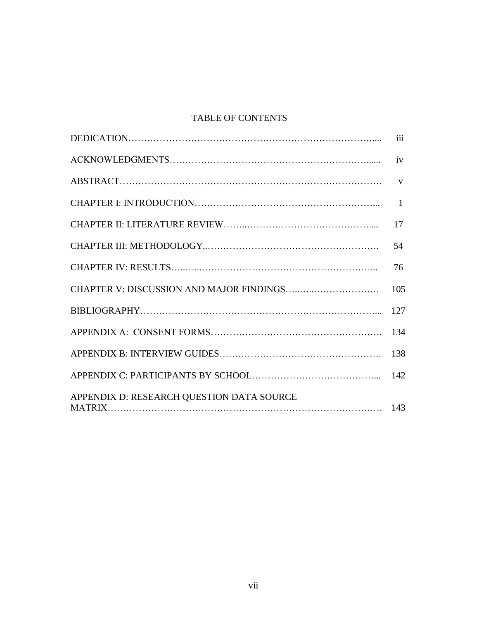# TABLE OF CONTENTS

|                                           | $\overline{\text{iii}}$ |
|-------------------------------------------|-------------------------|
|                                           | iv                      |
|                                           |                         |
|                                           | $\mathbf{1}$            |
|                                           | 17                      |
|                                           | 54                      |
|                                           | 76                      |
|                                           | 105                     |
|                                           | 127                     |
|                                           | 134                     |
|                                           | 138                     |
|                                           | 142                     |
| APPENDIX D: RESEARCH QUESTION DATA SOURCE |                         |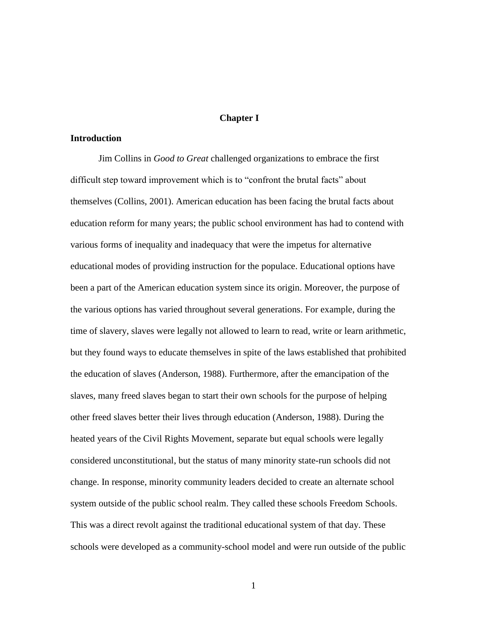#### **Chapter I**

# **Introduction**

Jim Collins in *Good to Great* challenged organizations to embrace the first difficult step toward improvement which is to "confront the brutal facts" about themselves (Collins, 2001). American education has been facing the brutal facts about education reform for many years; the public school environment has had to contend with various forms of inequality and inadequacy that were the impetus for alternative educational modes of providing instruction for the populace. Educational options have been a part of the American education system since its origin. Moreover, the purpose of the various options has varied throughout several generations. For example, during the time of slavery, slaves were legally not allowed to learn to read, write or learn arithmetic, but they found ways to educate themselves in spite of the laws established that prohibited the education of slaves (Anderson, 1988). Furthermore, after the emancipation of the slaves, many freed slaves began to start their own schools for the purpose of helping other freed slaves better their lives through education (Anderson, 1988). During the heated years of the Civil Rights Movement, separate but equal schools were legally considered unconstitutional, but the status of many minority state-run schools did not change. In response, minority community leaders decided to create an alternate school system outside of the public school realm. They called these schools Freedom Schools. This was a direct revolt against the traditional educational system of that day. These schools were developed as a community-school model and were run outside of the public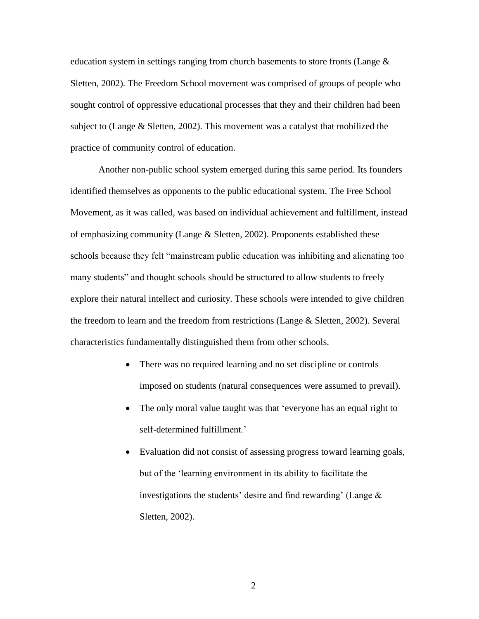education system in settings ranging from church basements to store fronts (Lange  $\&$ Sletten, 2002). The Freedom School movement was comprised of groups of people who sought control of oppressive educational processes that they and their children had been subject to (Lange & Sletten, 2002). This movement was a catalyst that mobilized the practice of community control of education.

Another non-public school system emerged during this same period. Its founders identified themselves as opponents to the public educational system. The Free School Movement, as it was called, was based on individual achievement and fulfillment, instead of emphasizing community (Lange & Sletten, 2002). Proponents established these schools because they felt "mainstream public education was inhibiting and alienating too many students" and thought schools should be structured to allow students to freely explore their natural intellect and curiosity. These schools were intended to give children the freedom to learn and the freedom from restrictions (Lange & Sletten, 2002). Several characteristics fundamentally distinguished them from other schools.

- There was no required learning and no set discipline or controls imposed on students (natural consequences were assumed to prevail).
- The only moral value taught was that 'everyone has an equal right to self-determined fulfillment.'
- Evaluation did not consist of assessing progress toward learning goals, but of the 'learning environment in its ability to facilitate the investigations the students' desire and find rewarding' (Lange & Sletten, 2002).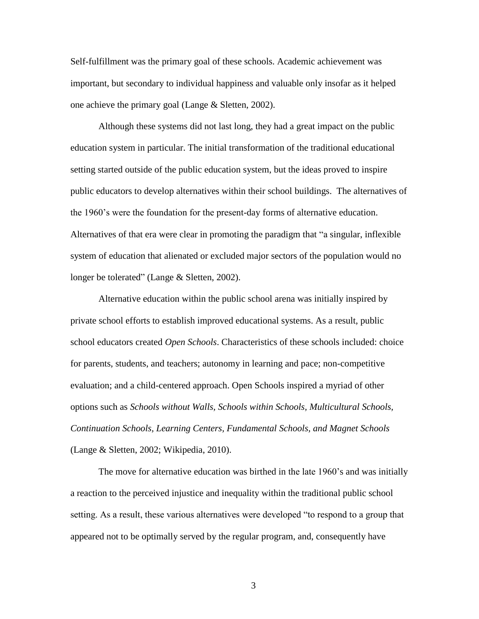Self-fulfillment was the primary goal of these schools. Academic achievement was important, but secondary to individual happiness and valuable only insofar as it helped one achieve the primary goal (Lange & Sletten, 2002).

Although these systems did not last long, they had a great impact on the public education system in particular. The initial transformation of the traditional educational setting started outside of the public education system, but the ideas proved to inspire public educators to develop alternatives within their school buildings. The alternatives of the 1960's were the foundation for the present-day forms of alternative education. Alternatives of that era were clear in promoting the paradigm that "a singular, inflexible system of education that alienated or excluded major sectors of the population would no longer be tolerated" (Lange & Sletten, 2002).

Alternative education within the public school arena was initially inspired by private school efforts to establish improved educational systems. As a result, public school educators created *Open Schools*. Characteristics of these schools included: choice for parents, students, and teachers; autonomy in learning and pace; non-competitive evaluation; and a child-centered approach. Open Schools inspired a myriad of other options such as *Schools without Walls, Schools within Schools, Multicultural Schools, Continuation Schools, Learning Centers, Fundamental Schools, and Magnet Schools* (Lange & Sletten, 2002; Wikipedia, 2010).

The move for alternative education was birthed in the late 1960's and was initially a reaction to the perceived injustice and inequality within the traditional public school setting. As a result, these various alternatives were developed "to respond to a group that appeared not to be optimally served by the regular program, and, consequently have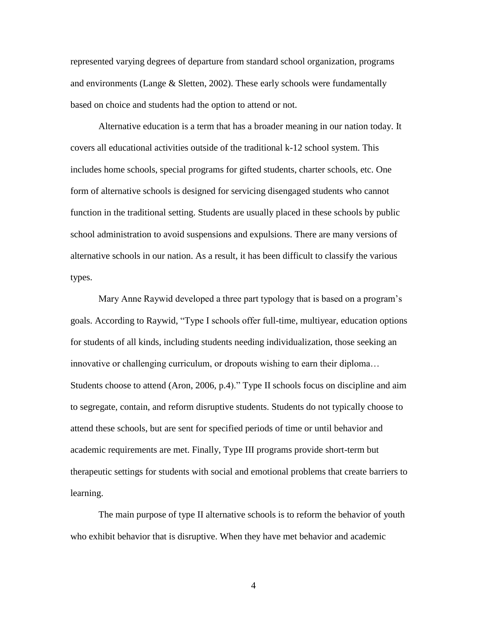represented varying degrees of departure from standard school organization, programs and environments (Lange & Sletten, 2002). These early schools were fundamentally based on choice and students had the option to attend or not.

Alternative education is a term that has a broader meaning in our nation today. It covers all educational activities outside of the traditional k-12 school system. This includes home schools, special programs for gifted students, charter schools, etc. One form of alternative schools is designed for servicing disengaged students who cannot function in the traditional setting. Students are usually placed in these schools by public school administration to avoid suspensions and expulsions. There are many versions of alternative schools in our nation. As a result, it has been difficult to classify the various types.

Mary Anne Raywid developed a three part typology that is based on a program's goals. According to Raywid, "Type I schools offer full-time, multiyear, education options for students of all kinds, including students needing individualization, those seeking an innovative or challenging curriculum, or dropouts wishing to earn their diploma… Students choose to attend (Aron, 2006, p.4)." Type II schools focus on discipline and aim to segregate, contain, and reform disruptive students. Students do not typically choose to attend these schools, but are sent for specified periods of time or until behavior and academic requirements are met. Finally, Type III programs provide short-term but therapeutic settings for students with social and emotional problems that create barriers to learning.

The main purpose of type II alternative schools is to reform the behavior of youth who exhibit behavior that is disruptive. When they have met behavior and academic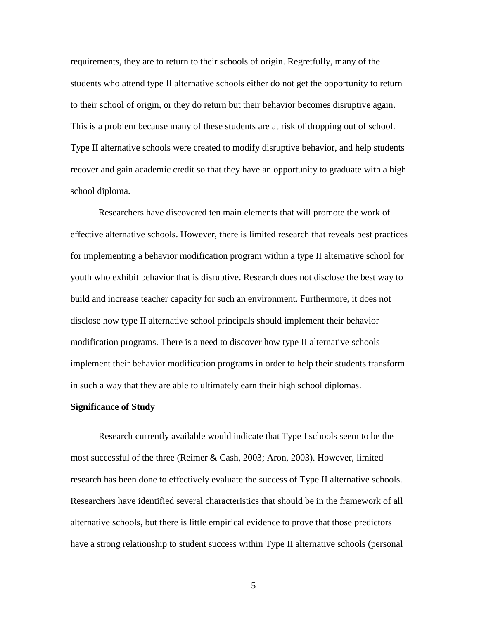requirements, they are to return to their schools of origin. Regretfully, many of the students who attend type II alternative schools either do not get the opportunity to return to their school of origin, or they do return but their behavior becomes disruptive again. This is a problem because many of these students are at risk of dropping out of school. Type II alternative schools were created to modify disruptive behavior, and help students recover and gain academic credit so that they have an opportunity to graduate with a high school diploma.

Researchers have discovered ten main elements that will promote the work of effective alternative schools. However, there is limited research that reveals best practices for implementing a behavior modification program within a type II alternative school for youth who exhibit behavior that is disruptive. Research does not disclose the best way to build and increase teacher capacity for such an environment. Furthermore, it does not disclose how type II alternative school principals should implement their behavior modification programs. There is a need to discover how type II alternative schools implement their behavior modification programs in order to help their students transform in such a way that they are able to ultimately earn their high school diplomas.

#### **Significance of Study**

Research currently available would indicate that Type I schools seem to be the most successful of the three (Reimer & Cash, 2003; Aron, 2003). However, limited research has been done to effectively evaluate the success of Type II alternative schools. Researchers have identified several characteristics that should be in the framework of all alternative schools, but there is little empirical evidence to prove that those predictors have a strong relationship to student success within Type II alternative schools (personal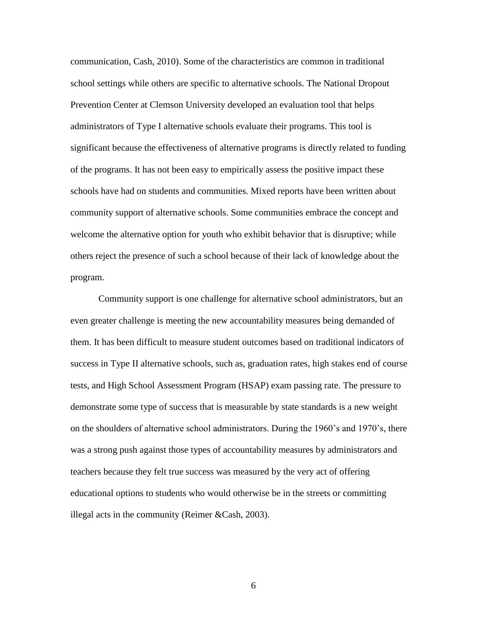communication, Cash, 2010). Some of the characteristics are common in traditional school settings while others are specific to alternative schools. The National Dropout Prevention Center at Clemson University developed an evaluation tool that helps administrators of Type I alternative schools evaluate their programs. This tool is significant because the effectiveness of alternative programs is directly related to funding of the programs. It has not been easy to empirically assess the positive impact these schools have had on students and communities. Mixed reports have been written about community support of alternative schools. Some communities embrace the concept and welcome the alternative option for youth who exhibit behavior that is disruptive; while others reject the presence of such a school because of their lack of knowledge about the program.

Community support is one challenge for alternative school administrators, but an even greater challenge is meeting the new accountability measures being demanded of them. It has been difficult to measure student outcomes based on traditional indicators of success in Type II alternative schools, such as, graduation rates, high stakes end of course tests, and High School Assessment Program (HSAP) exam passing rate. The pressure to demonstrate some type of success that is measurable by state standards is a new weight on the shoulders of alternative school administrators. During the 1960's and 1970's, there was a strong push against those types of accountability measures by administrators and teachers because they felt true success was measured by the very act of offering educational options to students who would otherwise be in the streets or committing illegal acts in the community (Reimer &Cash, 2003).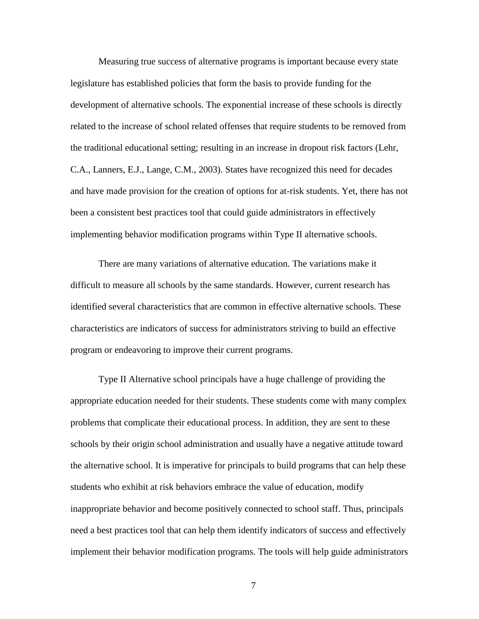Measuring true success of alternative programs is important because every state legislature has established policies that form the basis to provide funding for the development of alternative schools. The exponential increase of these schools is directly related to the increase of school related offenses that require students to be removed from the traditional educational setting; resulting in an increase in dropout risk factors (Lehr, C.A., Lanners, E.J., Lange, C.M., 2003). States have recognized this need for decades and have made provision for the creation of options for at-risk students. Yet, there has not been a consistent best practices tool that could guide administrators in effectively implementing behavior modification programs within Type II alternative schools.

There are many variations of alternative education. The variations make it difficult to measure all schools by the same standards. However, current research has identified several characteristics that are common in effective alternative schools. These characteristics are indicators of success for administrators striving to build an effective program or endeavoring to improve their current programs.

Type II Alternative school principals have a huge challenge of providing the appropriate education needed for their students. These students come with many complex problems that complicate their educational process. In addition, they are sent to these schools by their origin school administration and usually have a negative attitude toward the alternative school. It is imperative for principals to build programs that can help these students who exhibit at risk behaviors embrace the value of education, modify inappropriate behavior and become positively connected to school staff. Thus, principals need a best practices tool that can help them identify indicators of success and effectively implement their behavior modification programs. The tools will help guide administrators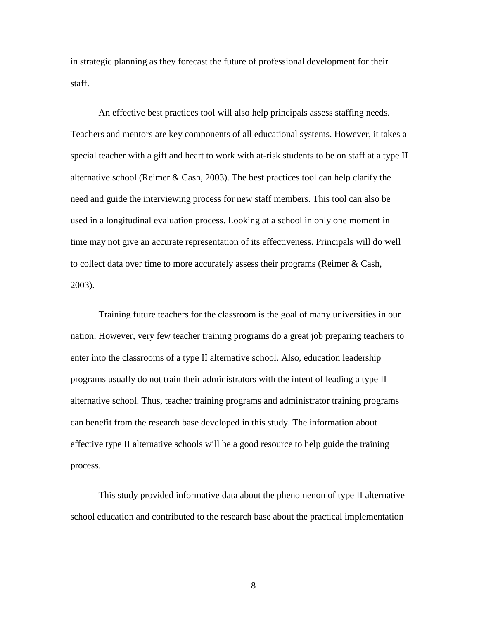in strategic planning as they forecast the future of professional development for their staff.

An effective best practices tool will also help principals assess staffing needs. Teachers and mentors are key components of all educational systems. However, it takes a special teacher with a gift and heart to work with at-risk students to be on staff at a type II alternative school (Reimer  $\&$  Cash, 2003). The best practices tool can help clarify the need and guide the interviewing process for new staff members. This tool can also be used in a longitudinal evaluation process. Looking at a school in only one moment in time may not give an accurate representation of its effectiveness. Principals will do well to collect data over time to more accurately assess their programs (Reimer & Cash, 2003).

Training future teachers for the classroom is the goal of many universities in our nation. However, very few teacher training programs do a great job preparing teachers to enter into the classrooms of a type II alternative school. Also, education leadership programs usually do not train their administrators with the intent of leading a type II alternative school. Thus, teacher training programs and administrator training programs can benefit from the research base developed in this study. The information about effective type II alternative schools will be a good resource to help guide the training process.

This study provided informative data about the phenomenon of type II alternative school education and contributed to the research base about the practical implementation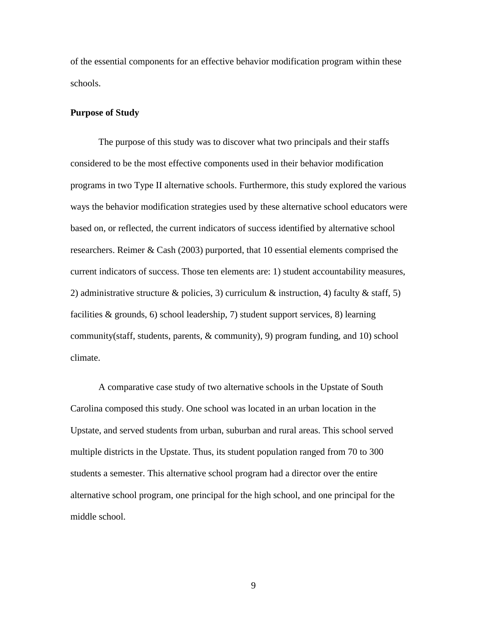of the essential components for an effective behavior modification program within these schools.

#### **Purpose of Study**

The purpose of this study was to discover what two principals and their staffs considered to be the most effective components used in their behavior modification programs in two Type II alternative schools. Furthermore, this study explored the various ways the behavior modification strategies used by these alternative school educators were based on, or reflected, the current indicators of success identified by alternative school researchers. Reimer & Cash (2003) purported, that 10 essential elements comprised the current indicators of success. Those ten elements are: 1) student accountability measures, 2) administrative structure & policies, 3) curriculum & instruction, 4) faculty & staff, 5) facilities & grounds, 6) school leadership, 7) student support services, 8) learning community(staff, students, parents, & community), 9) program funding, and 10) school climate.

A comparative case study of two alternative schools in the Upstate of South Carolina composed this study. One school was located in an urban location in the Upstate, and served students from urban, suburban and rural areas. This school served multiple districts in the Upstate. Thus, its student population ranged from 70 to 300 students a semester. This alternative school program had a director over the entire alternative school program, one principal for the high school, and one principal for the middle school.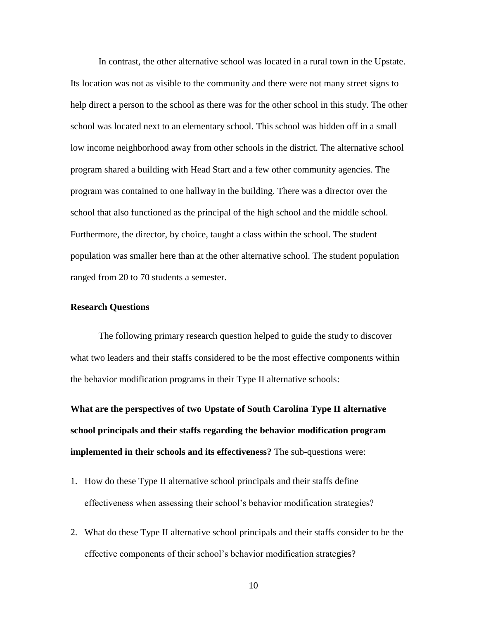In contrast, the other alternative school was located in a rural town in the Upstate. Its location was not as visible to the community and there were not many street signs to help direct a person to the school as there was for the other school in this study. The other school was located next to an elementary school. This school was hidden off in a small low income neighborhood away from other schools in the district. The alternative school program shared a building with Head Start and a few other community agencies. The program was contained to one hallway in the building. There was a director over the school that also functioned as the principal of the high school and the middle school. Furthermore, the director, by choice, taught a class within the school. The student population was smaller here than at the other alternative school. The student population ranged from 20 to 70 students a semester.

# **Research Questions**

The following primary research question helped to guide the study to discover what two leaders and their staffs considered to be the most effective components within the behavior modification programs in their Type II alternative schools:

**What are the perspectives of two Upstate of South Carolina Type II alternative school principals and their staffs regarding the behavior modification program implemented in their schools and its effectiveness?** The sub-questions were:

- 1. How do these Type II alternative school principals and their staffs define effectiveness when assessing their school's behavior modification strategies?
- 2. What do these Type II alternative school principals and their staffs consider to be the effective components of their school's behavior modification strategies?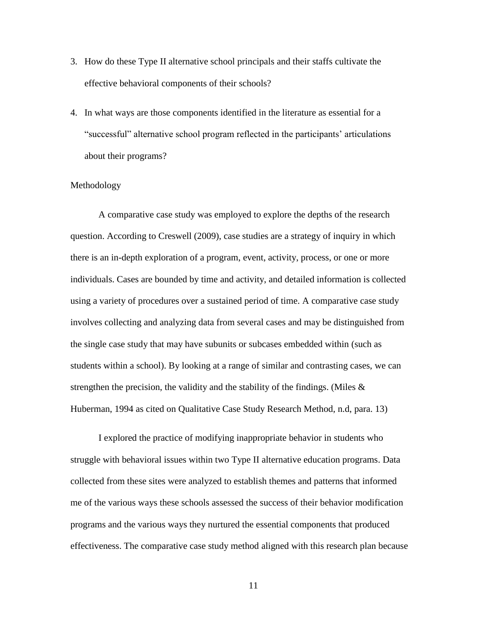- 3. How do these Type II alternative school principals and their staffs cultivate the effective behavioral components of their schools?
- 4. In what ways are those components identified in the literature as essential for a ―successful‖ alternative school program reflected in the participants' articulations about their programs?

# Methodology

A comparative case study was employed to explore the depths of the research question. According to Creswell (2009), case studies are a strategy of inquiry in which there is an in-depth exploration of a program, event, activity, process, or one or more individuals. Cases are bounded by time and activity, and detailed information is collected using a variety of procedures over a sustained period of time. A comparative case study involves collecting and analyzing data from several cases and may be distinguished from the single case study that may have subunits or subcases embedded within (such as students within a school). By looking at a range of similar and contrasting cases, we can strengthen the precision, the validity and the stability of the findings. (Miles  $\&$ Huberman, 1994 as cited on Qualitative Case Study Research Method, n.d, para. 13)

I explored the practice of modifying inappropriate behavior in students who struggle with behavioral issues within two Type II alternative education programs. Data collected from these sites were analyzed to establish themes and patterns that informed me of the various ways these schools assessed the success of their behavior modification programs and the various ways they nurtured the essential components that produced effectiveness. The comparative case study method aligned with this research plan because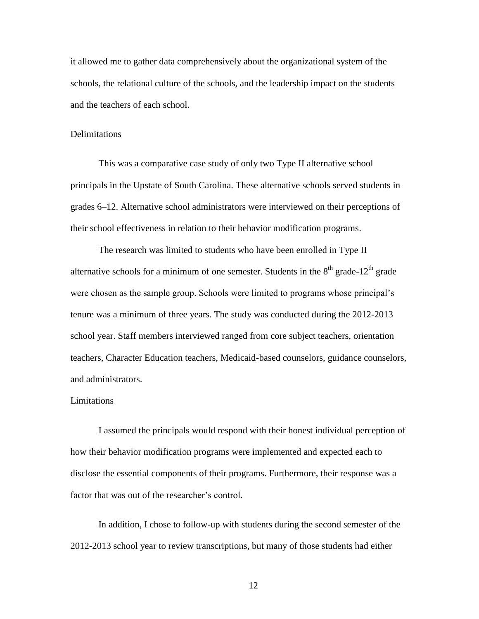it allowed me to gather data comprehensively about the organizational system of the schools, the relational culture of the schools, and the leadership impact on the students and the teachers of each school.

#### **Delimitations**

This was a comparative case study of only two Type II alternative school principals in the Upstate of South Carolina. These alternative schools served students in grades 6–12. Alternative school administrators were interviewed on their perceptions of their school effectiveness in relation to their behavior modification programs.

The research was limited to students who have been enrolled in Type II alternative schools for a minimum of one semester. Students in the  $8<sup>th</sup>$  grade-12<sup>th</sup> grade were chosen as the sample group. Schools were limited to programs whose principal's tenure was a minimum of three years. The study was conducted during the 2012-2013 school year. Staff members interviewed ranged from core subject teachers, orientation teachers, Character Education teachers, Medicaid-based counselors, guidance counselors, and administrators.

#### Limitations

I assumed the principals would respond with their honest individual perception of how their behavior modification programs were implemented and expected each to disclose the essential components of their programs. Furthermore, their response was a factor that was out of the researcher's control.

In addition, I chose to follow-up with students during the second semester of the 2012-2013 school year to review transcriptions, but many of those students had either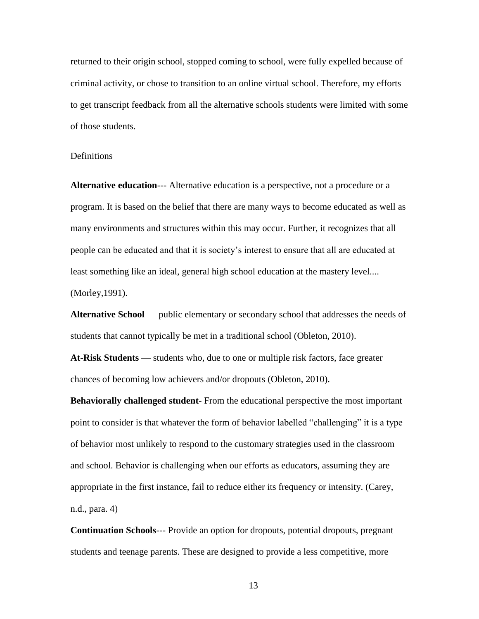returned to their origin school, stopped coming to school, were fully expelled because of criminal activity, or chose to transition to an online virtual school. Therefore, my efforts to get transcript feedback from all the alternative schools students were limited with some of those students.

# Definitions

**Alternative education**--- Alternative education is a perspective, not a procedure or a program. It is based on the belief that there are many ways to become educated as well as many environments and structures within this may occur. Further, it recognizes that all people can be educated and that it is society's interest to ensure that all are educated at least something like an ideal, general high school education at the mastery level.... (Morley,1991).

**Alternative School** — public elementary or secondary school that addresses the needs of students that cannot typically be met in a traditional school (Obleton, 2010).

**At-Risk Students** — students who, due to one or multiple risk factors, face greater chances of becoming low achievers and/or dropouts (Obleton, 2010).

**Behaviorally challenged student**- From the educational perspective the most important point to consider is that whatever the form of behavior labelled "challenging" it is a type of behavior most unlikely to respond to the customary strategies used in the classroom and school. Behavior is challenging when our efforts as educators, assuming they are appropriate in the first instance, fail to reduce either its frequency or intensity. (Carey, n.d., para. 4)

**Continuation Schools**--- Provide an option for dropouts, potential dropouts, pregnant students and teenage parents. These are designed to provide a less competitive, more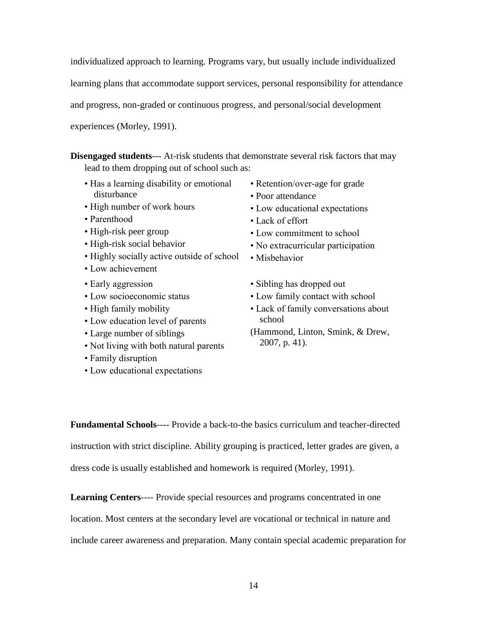individualized approach to learning. Programs vary, but usually include individualized

learning plans that accommodate support services, personal responsibility for attendance

and progress, non-graded or continuous progress, and personal/social development

experiences (Morley, 1991).

**Disengaged students**--- At-risk students that demonstrate several risk factors that may lead to them dropping out of school such as:

- Has a learning disability or emotional disturbance
- High number of work hours
- Parenthood
- High-risk peer group
- High-risk social behavior
- Highly socially active outside of school
- Low achievement
- Early aggression
- Low socioeconomic status
- High family mobility
- Low education level of parents
- Large number of siblings
- Not living with both natural parents
- Family disruption
- Low educational expectations
- Retention/over-age for grade
- Poor attendance
- Low educational expectations
- Lack of effort
- Low commitment to school
- No extracurricular participation
- Misbehavior
- Sibling has dropped out
- Low family contact with school
- Lack of family conversations about school
- (Hammond, Linton, Smink, & Drew, 2007, p. 41).

**Fundamental Schools**---- Provide a back-to-the basics curriculum and teacher-directed instruction with strict discipline. Ability grouping is practiced, letter grades are given, a dress code is usually established and homework is required (Morley, 1991).

**Learning Centers**---- Provide special resources and programs concentrated in one

location. Most centers at the secondary level are vocational or technical in nature and

include career awareness and preparation. Many contain special academic preparation for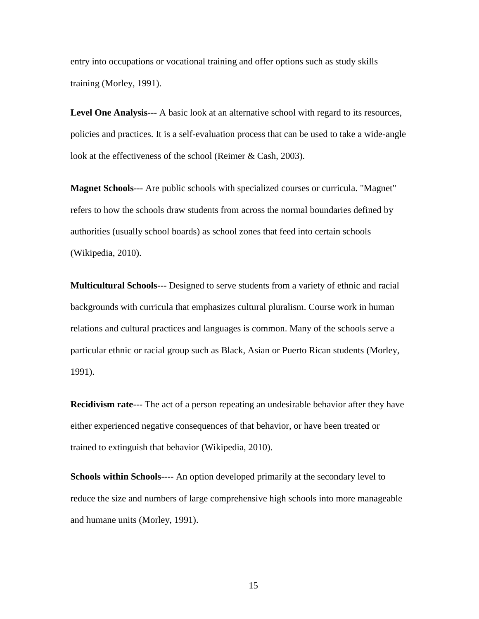entry into occupations or vocational training and offer options such as study skills training (Morley, 1991).

**Level One Analysis**--- A basic look at an alternative school with regard to its resources, policies and practices. It is a self-evaluation process that can be used to take a wide-angle look at the effectiveness of the school (Reimer & Cash, 2003).

**Magnet Schools**--- Are public schools with specialized courses or curricula. "Magnet" refers to how the schools draw students from across the normal boundaries defined by authorities (usually school boards) as school zones that feed into certain schools (Wikipedia, 2010).

**Multicultural Schools**--- Designed to serve students from a variety of ethnic and racial backgrounds with curricula that emphasizes cultural pluralism. Course work in human relations and cultural practices and languages is common. Many of the schools serve a particular ethnic or racial group such as Black, Asian or Puerto Rican students (Morley, 1991).

**Recidivism rate**--- The act of a person repeating an undesirable behavior after they have either experienced negative consequences of that behavior, or have been treated or trained to extinguish that behavior (Wikipedia, 2010).

**Schools within Schools**---- An option developed primarily at the secondary level to reduce the size and numbers of large comprehensive high schools into more manageable and humane units (Morley, 1991).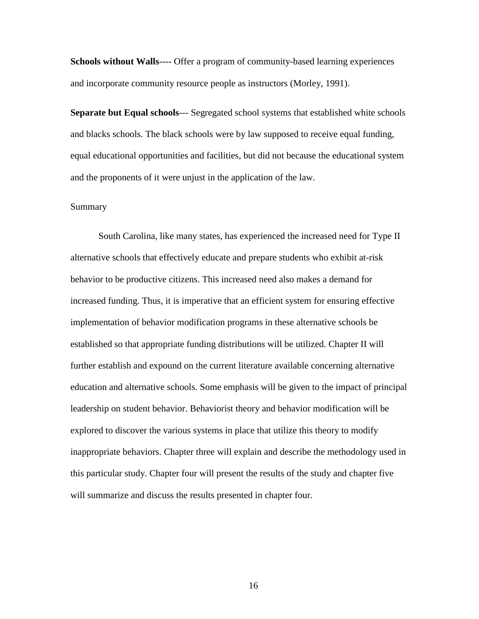**Schools without Walls----** Offer a program of community-based learning experiences and incorporate community resource people as instructors (Morley, 1991).

**Separate but Equal schools**--- Segregated school systems that established white schools and blacks schools. The black schools were by law supposed to receive equal funding, equal educational opportunities and facilities, but did not because the educational system and the proponents of it were unjust in the application of the law.

# Summary

South Carolina, like many states, has experienced the increased need for Type II alternative schools that effectively educate and prepare students who exhibit at-risk behavior to be productive citizens. This increased need also makes a demand for increased funding. Thus, it is imperative that an efficient system for ensuring effective implementation of behavior modification programs in these alternative schools be established so that appropriate funding distributions will be utilized. Chapter II will further establish and expound on the current literature available concerning alternative education and alternative schools. Some emphasis will be given to the impact of principal leadership on student behavior. Behaviorist theory and behavior modification will be explored to discover the various systems in place that utilize this theory to modify inappropriate behaviors. Chapter three will explain and describe the methodology used in this particular study. Chapter four will present the results of the study and chapter five will summarize and discuss the results presented in chapter four.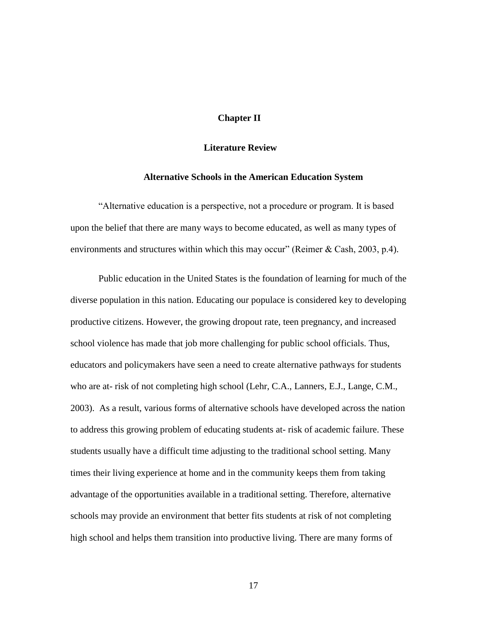# **Chapter II**

#### **Literature Review**

#### **Alternative Schools in the American Education System**

―Alternative education is a perspective, not a procedure or program. It is based upon the belief that there are many ways to become educated, as well as many types of environments and structures within which this may occur" (Reimer  $\&$  Cash, 2003, p.4).

Public education in the United States is the foundation of learning for much of the diverse population in this nation. Educating our populace is considered key to developing productive citizens. However, the growing dropout rate, teen pregnancy, and increased school violence has made that job more challenging for public school officials. Thus, educators and policymakers have seen a need to create alternative pathways for students who are at- risk of not completing high school (Lehr, C.A., Lanners, E.J., Lange, C.M., 2003). As a result, various forms of alternative schools have developed across the nation to address this growing problem of educating students at- risk of academic failure. These students usually have a difficult time adjusting to the traditional school setting. Many times their living experience at home and in the community keeps them from taking advantage of the opportunities available in a traditional setting. Therefore, alternative schools may provide an environment that better fits students at risk of not completing high school and helps them transition into productive living. There are many forms of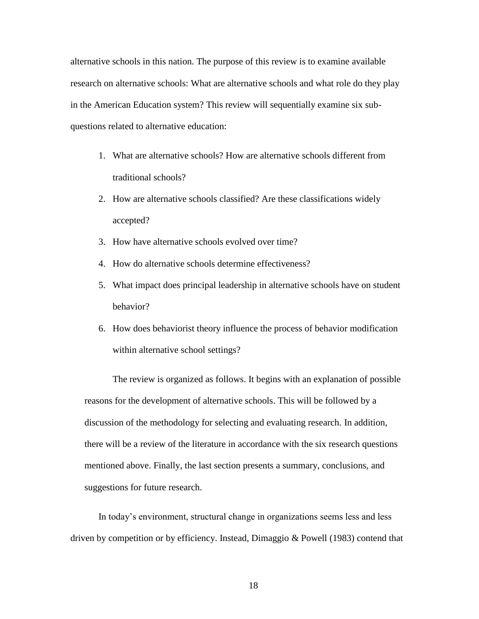alternative schools in this nation. The purpose of this review is to examine available research on alternative schools: What are alternative schools and what role do they play in the American Education system? This review will sequentially examine six subquestions related to alternative education:

- 1. What are alternative schools? How are alternative schools different from traditional schools?
- 2. How are alternative schools classified? Are these classifications widely accepted?
- 3. How have alternative schools evolved over time?
- 4. How do alternative schools determine effectiveness?
- 5. What impact does principal leadership in alternative schools have on student behavior?
- 6. How does behaviorist theory influence the process of behavior modification within alternative school settings?

The review is organized as follows. It begins with an explanation of possible reasons for the development of alternative schools. This will be followed by a discussion of the methodology for selecting and evaluating research. In addition, there will be a review of the literature in accordance with the six research questions mentioned above. Finally, the last section presents a summary, conclusions, and suggestions for future research.

In today's environment, structural change in organizations seems less and less driven by competition or by efficiency. Instead, Dimaggio & Powell (1983) contend that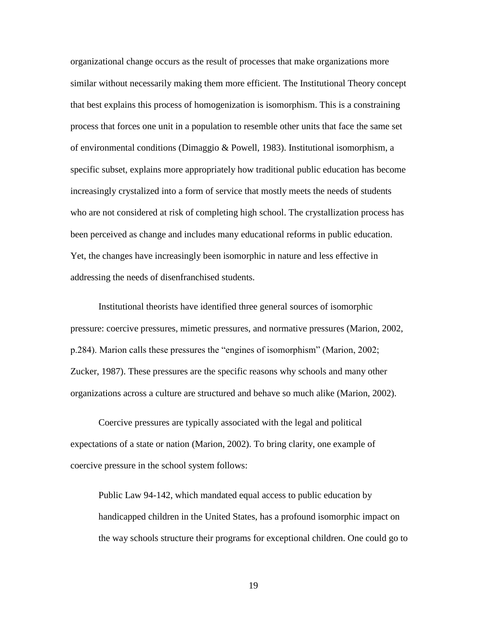organizational change occurs as the result of processes that make organizations more similar without necessarily making them more efficient. The Institutional Theory concept that best explains this process of homogenization is isomorphism. This is a constraining process that forces one unit in a population to resemble other units that face the same set of environmental conditions (Dimaggio & Powell, 1983). Institutional isomorphism, a specific subset, explains more appropriately how traditional public education has become increasingly crystalized into a form of service that mostly meets the needs of students who are not considered at risk of completing high school. The crystallization process has been perceived as change and includes many educational reforms in public education. Yet, the changes have increasingly been isomorphic in nature and less effective in addressing the needs of disenfranchised students.

Institutional theorists have identified three general sources of isomorphic pressure: coercive pressures, mimetic pressures, and normative pressures (Marion, 2002, p.284). Marion calls these pressures the "engines of isomorphism" (Marion, 2002; Zucker, 1987). These pressures are the specific reasons why schools and many other organizations across a culture are structured and behave so much alike (Marion, 2002).

Coercive pressures are typically associated with the legal and political expectations of a state or nation (Marion, 2002). To bring clarity, one example of coercive pressure in the school system follows:

Public Law 94-142, which mandated equal access to public education by handicapped children in the United States, has a profound isomorphic impact on the way schools structure their programs for exceptional children. One could go to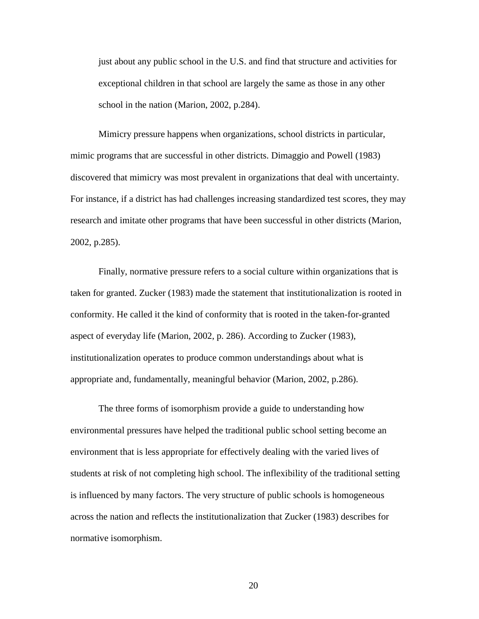just about any public school in the U.S. and find that structure and activities for exceptional children in that school are largely the same as those in any other school in the nation (Marion, 2002, p.284).

Mimicry pressure happens when organizations, school districts in particular, mimic programs that are successful in other districts. Dimaggio and Powell (1983) discovered that mimicry was most prevalent in organizations that deal with uncertainty. For instance, if a district has had challenges increasing standardized test scores, they may research and imitate other programs that have been successful in other districts (Marion, 2002, p.285).

Finally, normative pressure refers to a social culture within organizations that is taken for granted. Zucker (1983) made the statement that institutionalization is rooted in conformity. He called it the kind of conformity that is rooted in the taken-for-granted aspect of everyday life (Marion, 2002, p. 286). According to Zucker (1983), institutionalization operates to produce common understandings about what is appropriate and, fundamentally, meaningful behavior (Marion, 2002, p.286).

The three forms of isomorphism provide a guide to understanding how environmental pressures have helped the traditional public school setting become an environment that is less appropriate for effectively dealing with the varied lives of students at risk of not completing high school. The inflexibility of the traditional setting is influenced by many factors. The very structure of public schools is homogeneous across the nation and reflects the institutionalization that Zucker (1983) describes for normative isomorphism.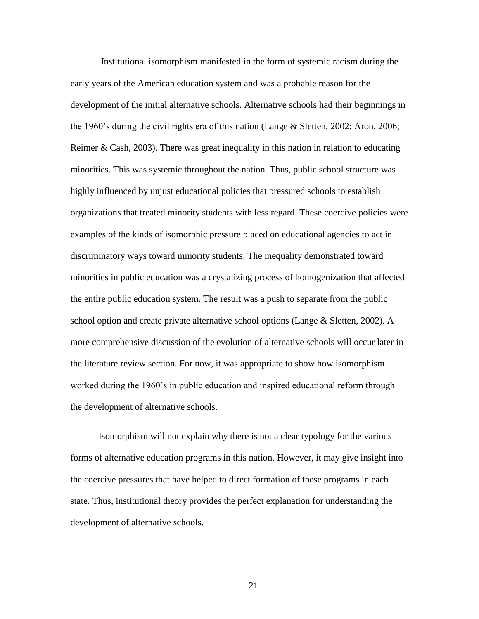Institutional isomorphism manifested in the form of systemic racism during the early years of the American education system and was a probable reason for the development of the initial alternative schools. Alternative schools had their beginnings in the 1960's during the civil rights era of this nation (Lange & Sletten, 2002; Aron, 2006; Reimer & Cash, 2003). There was great inequality in this nation in relation to educating minorities. This was systemic throughout the nation. Thus, public school structure was highly influenced by unjust educational policies that pressured schools to establish organizations that treated minority students with less regard. These coercive policies were examples of the kinds of isomorphic pressure placed on educational agencies to act in discriminatory ways toward minority students. The inequality demonstrated toward minorities in public education was a crystalizing process of homogenization that affected the entire public education system. The result was a push to separate from the public school option and create private alternative school options (Lange & Sletten, 2002). A more comprehensive discussion of the evolution of alternative schools will occur later in the literature review section. For now, it was appropriate to show how isomorphism worked during the 1960's in public education and inspired educational reform through the development of alternative schools.

Isomorphism will not explain why there is not a clear typology for the various forms of alternative education programs in this nation. However, it may give insight into the coercive pressures that have helped to direct formation of these programs in each state. Thus, institutional theory provides the perfect explanation for understanding the development of alternative schools.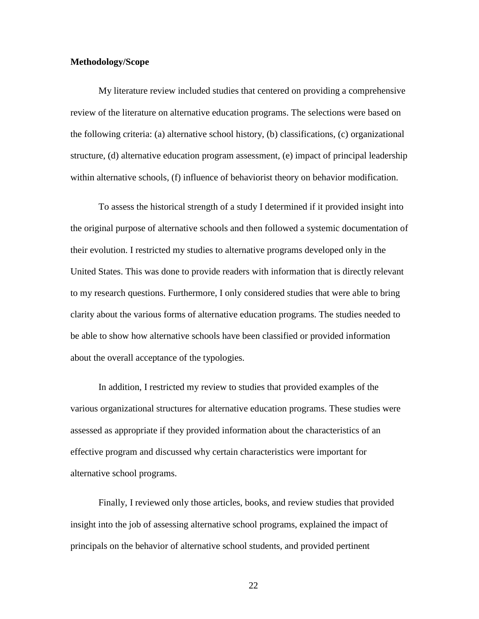## **Methodology/Scope**

My literature review included studies that centered on providing a comprehensive review of the literature on alternative education programs. The selections were based on the following criteria: (a) alternative school history, (b) classifications, (c) organizational structure, (d) alternative education program assessment, (e) impact of principal leadership within alternative schools, (f) influence of behaviorist theory on behavior modification.

To assess the historical strength of a study I determined if it provided insight into the original purpose of alternative schools and then followed a systemic documentation of their evolution. I restricted my studies to alternative programs developed only in the United States. This was done to provide readers with information that is directly relevant to my research questions. Furthermore, I only considered studies that were able to bring clarity about the various forms of alternative education programs. The studies needed to be able to show how alternative schools have been classified or provided information about the overall acceptance of the typologies.

In addition, I restricted my review to studies that provided examples of the various organizational structures for alternative education programs. These studies were assessed as appropriate if they provided information about the characteristics of an effective program and discussed why certain characteristics were important for alternative school programs.

Finally, I reviewed only those articles, books, and review studies that provided insight into the job of assessing alternative school programs, explained the impact of principals on the behavior of alternative school students, and provided pertinent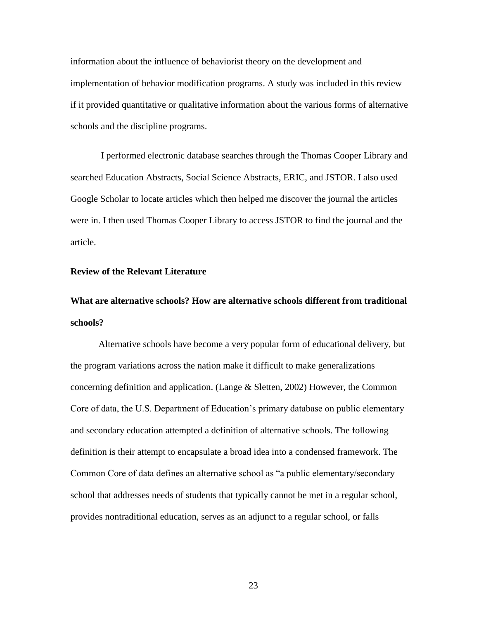information about the influence of behaviorist theory on the development and implementation of behavior modification programs. A study was included in this review if it provided quantitative or qualitative information about the various forms of alternative schools and the discipline programs.

I performed electronic database searches through the Thomas Cooper Library and searched Education Abstracts, Social Science Abstracts, ERIC, and JSTOR. I also used Google Scholar to locate articles which then helped me discover the journal the articles were in. I then used Thomas Cooper Library to access JSTOR to find the journal and the article.

# **Review of the Relevant Literature**

**What are alternative schools? How are alternative schools different from traditional schools?**

Alternative schools have become a very popular form of educational delivery, but the program variations across the nation make it difficult to make generalizations concerning definition and application. (Lange & Sletten, 2002) However, the Common Core of data, the U.S. Department of Education's primary database on public elementary and secondary education attempted a definition of alternative schools. The following definition is their attempt to encapsulate a broad idea into a condensed framework. The Common Core of data defines an alternative school as "a public elementary/secondary school that addresses needs of students that typically cannot be met in a regular school, provides nontraditional education, serves as an adjunct to a regular school, or falls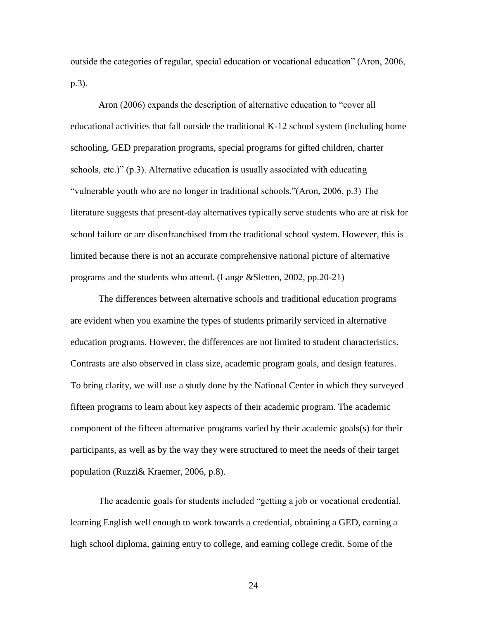outside the categories of regular, special education or vocational education" (Aron, 2006, p.3).

Aron (2006) expands the description of alternative education to "cover all educational activities that fall outside the traditional K-12 school system (including home schooling, GED preparation programs, special programs for gifted children, charter schools, etc.)" (p.3). Alternative education is usually associated with educating ―vulnerable youth who are no longer in traditional schools.‖(Aron, 2006, p.3) The literature suggests that present-day alternatives typically serve students who are at risk for school failure or are disenfranchised from the traditional school system. However, this is limited because there is not an accurate comprehensive national picture of alternative programs and the students who attend. (Lange &Sletten, 2002, pp.20-21)

The differences between alternative schools and traditional education programs are evident when you examine the types of students primarily serviced in alternative education programs. However, the differences are not limited to student characteristics. Contrasts are also observed in class size, academic program goals, and design features. To bring clarity, we will use a study done by the National Center in which they surveyed fifteen programs to learn about key aspects of their academic program. The academic component of the fifteen alternative programs varied by their academic goals(s) for their participants, as well as by the way they were structured to meet the needs of their target population (Ruzzi& Kraemer, 2006, p.8).

The academic goals for students included "getting a job or vocational credential, learning English well enough to work towards a credential, obtaining a GED, earning a high school diploma, gaining entry to college, and earning college credit. Some of the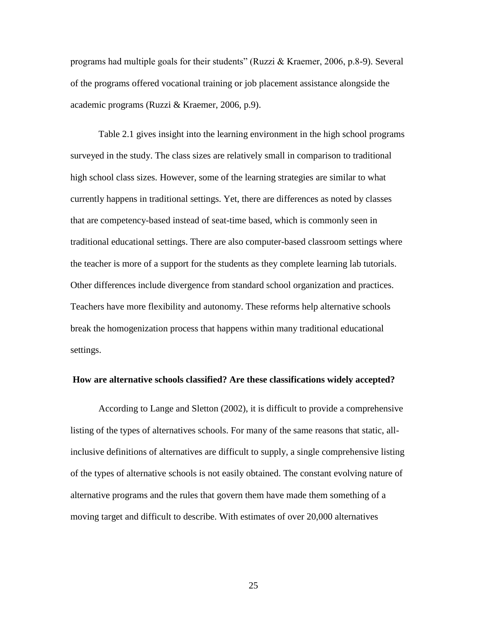programs had multiple goals for their students" (Ruzzi & Kraemer, 2006, p.8-9). Several of the programs offered vocational training or job placement assistance alongside the academic programs (Ruzzi & Kraemer, 2006, p.9).

Table 2.1 gives insight into the learning environment in the high school programs surveyed in the study. The class sizes are relatively small in comparison to traditional high school class sizes. However, some of the learning strategies are similar to what currently happens in traditional settings. Yet, there are differences as noted by classes that are competency-based instead of seat-time based, which is commonly seen in traditional educational settings. There are also computer-based classroom settings where the teacher is more of a support for the students as they complete learning lab tutorials. Other differences include divergence from standard school organization and practices. Teachers have more flexibility and autonomy. These reforms help alternative schools break the homogenization process that happens within many traditional educational settings.

#### **How are alternative schools classified? Are these classifications widely accepted?**

According to Lange and Sletton (2002), it is difficult to provide a comprehensive listing of the types of alternatives schools. For many of the same reasons that static, allinclusive definitions of alternatives are difficult to supply, a single comprehensive listing of the types of alternative schools is not easily obtained. The constant evolving nature of alternative programs and the rules that govern them have made them something of a moving target and difficult to describe. With estimates of over 20,000 alternatives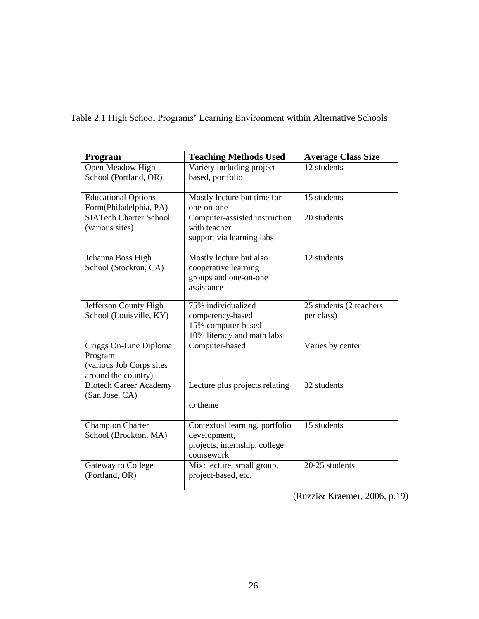Table 2.1 High School Programs' Learning Environment within Alternative Schools

| Program                       | <b>Teaching Methods Used</b>                  | <b>Average Class Size</b> |
|-------------------------------|-----------------------------------------------|---------------------------|
| Open Meadow High              | Variety including project-                    | 12 students               |
| School (Portland, OR)         | based, portfolio                              |                           |
|                               |                                               |                           |
| <b>Educational Options</b>    | Mostly lecture but time for                   | 15 students               |
| Form(Philadelphia, PA)        | one-on-one                                    |                           |
| <b>SIATech Charter School</b> | Computer-assisted instruction<br>with teacher | 20 students               |
| (various sites)               |                                               |                           |
|                               | support via learning labs                     |                           |
| Johanna Boss High             | Mostly lecture but also                       | 12 students               |
| School (Stockton, CA)         | cooperative learning                          |                           |
|                               | groups and one-on-one                         |                           |
|                               | assistance                                    |                           |
| Jefferson County High         | 75% individualized                            | 25 students (2 teachers   |
| School (Louisville, KY)       | competency-based                              | per class)                |
|                               | 15% computer-based                            |                           |
|                               | 10% literacy and math labs                    |                           |
| Griggs On-Line Diploma        | Computer-based                                | Varies by center          |
| Program                       |                                               |                           |
| (various Job Corps sites      |                                               |                           |
| around the country)           |                                               |                           |
| <b>Biotech Career Academy</b> | Lecture plus projects relating                | 32 students               |
| (San Jose, CA)                |                                               |                           |
|                               | to theme                                      |                           |
| <b>Champion Charter</b>       | Contextual learning, portfolio                | 15 students               |
| School (Brockton, MA)         | development,                                  |                           |
|                               | projects, internship, college                 |                           |
|                               | coursework                                    |                           |
| Gateway to College            | Mix: lecture, small group,                    | 20-25 students            |
| (Portland, OR)                | project-based, etc.                           |                           |
|                               |                                               |                           |

(Ruzzi& Kraemer, 2006, p.19)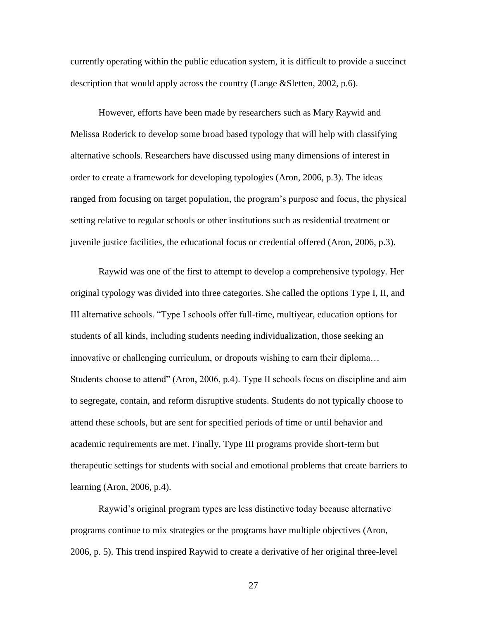currently operating within the public education system, it is difficult to provide a succinct description that would apply across the country (Lange &Sletten, 2002, p.6).

However, efforts have been made by researchers such as Mary Raywid and Melissa Roderick to develop some broad based typology that will help with classifying alternative schools. Researchers have discussed using many dimensions of interest in order to create a framework for developing typologies (Aron, 2006, p.3). The ideas ranged from focusing on target population, the program's purpose and focus, the physical setting relative to regular schools or other institutions such as residential treatment or juvenile justice facilities, the educational focus or credential offered (Aron, 2006, p.3).

Raywid was one of the first to attempt to develop a comprehensive typology. Her original typology was divided into three categories. She called the options Type I, II, and III alternative schools. ―Type I schools offer full-time, multiyear, education options for students of all kinds, including students needing individualization, those seeking an innovative or challenging curriculum, or dropouts wishing to earn their diploma… Students choose to attend" (Aron, 2006, p.4). Type II schools focus on discipline and aim to segregate, contain, and reform disruptive students. Students do not typically choose to attend these schools, but are sent for specified periods of time or until behavior and academic requirements are met. Finally, Type III programs provide short-term but therapeutic settings for students with social and emotional problems that create barriers to learning (Aron, 2006, p.4).

Raywid's original program types are less distinctive today because alternative programs continue to mix strategies or the programs have multiple objectives (Aron, 2006, p. 5). This trend inspired Raywid to create a derivative of her original three-level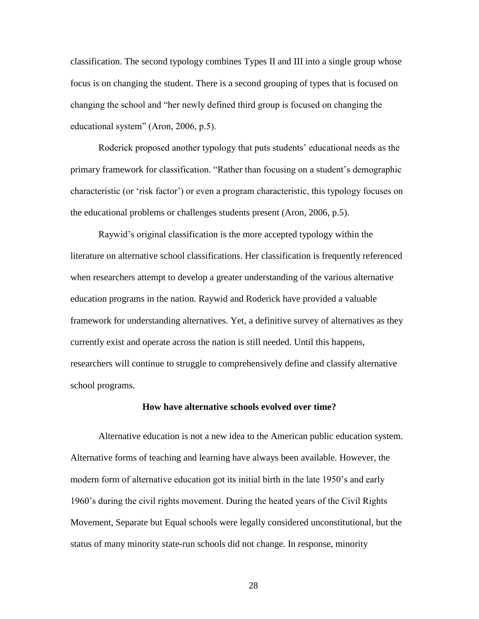classification. The second typology combines Types II and III into a single group whose focus is on changing the student. There is a second grouping of types that is focused on changing the school and "her newly defined third group is focused on changing the educational system" (Aron, 2006, p.5).

Roderick proposed another typology that puts students' educational needs as the primary framework for classification. "Rather than focusing on a student's demographic characteristic (or 'risk factor') or even a program characteristic, this typology focuses on the educational problems or challenges students present (Aron, 2006, p.5).

Raywid's original classification is the more accepted typology within the literature on alternative school classifications. Her classification is frequently referenced when researchers attempt to develop a greater understanding of the various alternative education programs in the nation. Raywid and Roderick have provided a valuable framework for understanding alternatives. Yet, a definitive survey of alternatives as they currently exist and operate across the nation is still needed. Until this happens, researchers will continue to struggle to comprehensively define and classify alternative school programs.

#### **How have alternative schools evolved over time?**

Alternative education is not a new idea to the American public education system. Alternative forms of teaching and learning have always been available. However, the modern form of alternative education got its initial birth in the late 1950's and early 1960's during the civil rights movement. During the heated years of the Civil Rights Movement, Separate but Equal schools were legally considered unconstitutional, but the status of many minority state-run schools did not change. In response, minority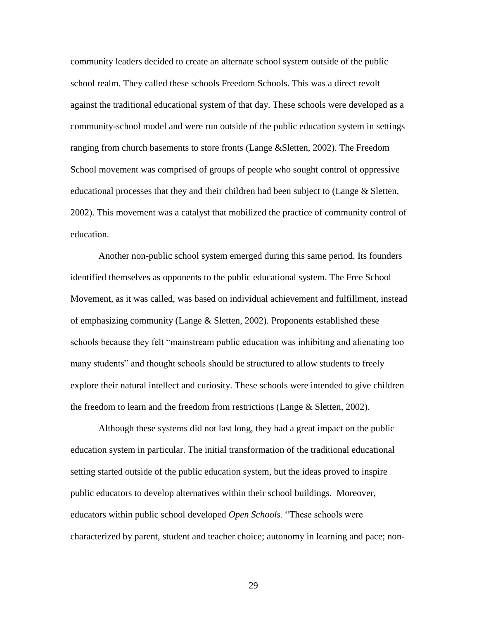community leaders decided to create an alternate school system outside of the public school realm. They called these schools Freedom Schools. This was a direct revolt against the traditional educational system of that day. These schools were developed as a community-school model and were run outside of the public education system in settings ranging from church basements to store fronts (Lange &Sletten, 2002). The Freedom School movement was comprised of groups of people who sought control of oppressive educational processes that they and their children had been subject to (Lange  $\&$  Sletten, 2002). This movement was a catalyst that mobilized the practice of community control of education.

Another non-public school system emerged during this same period. Its founders identified themselves as opponents to the public educational system. The Free School Movement, as it was called, was based on individual achievement and fulfillment, instead of emphasizing community (Lange & Sletten, 2002). Proponents established these schools because they felt "mainstream public education was inhibiting and alienating too many students" and thought schools should be structured to allow students to freely explore their natural intellect and curiosity. These schools were intended to give children the freedom to learn and the freedom from restrictions (Lange & Sletten, 2002).

Although these systems did not last long, they had a great impact on the public education system in particular. The initial transformation of the traditional educational setting started outside of the public education system, but the ideas proved to inspire public educators to develop alternatives within their school buildings. Moreover, educators within public school developed *Open Schools*. "These schools were characterized by parent, student and teacher choice; autonomy in learning and pace; non-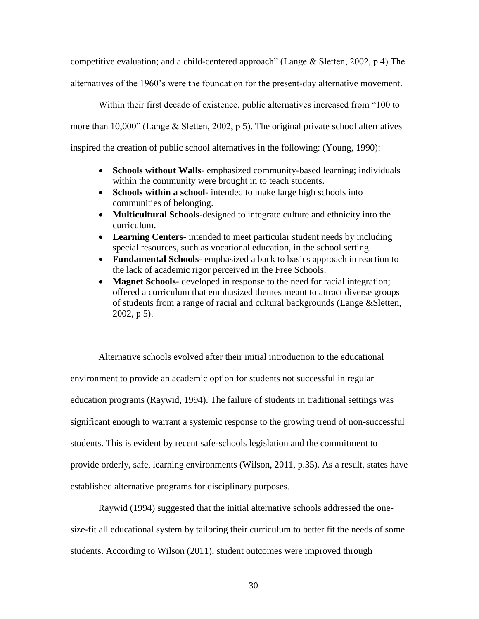competitive evaluation; and a child-centered approach" (Lange  $& S$  Sletten, 2002, p 4). The alternatives of the 1960's were the foundation for the present-day alternative movement.

Within their first decade of existence, public alternatives increased from "100 to more than  $10,000$ " (Lange & Sletten, 2002, p 5). The original private school alternatives inspired the creation of public school alternatives in the following: (Young, 1990):

- **Schools without Walls** emphasized community-based learning; individuals within the community were brought in to teach students.
- **Schools within a school** intended to make large high schools into communities of belonging.
- **Multicultural Schools**-designed to integrate culture and ethnicity into the curriculum.
- **Learning Centers** intended to meet particular student needs by including special resources, such as vocational education, in the school setting.
- **Fundamental Schools** emphasized a back to basics approach in reaction to the lack of academic rigor perceived in the Free Schools.
- **Magnet Schools** developed in response to the need for racial integration; offered a curriculum that emphasized themes meant to attract diverse groups of students from a range of racial and cultural backgrounds (Lange &Sletten, 2002, p 5).

Alternative schools evolved after their initial introduction to the educational environment to provide an academic option for students not successful in regular education programs (Raywid, 1994). The failure of students in traditional settings was significant enough to warrant a systemic response to the growing trend of non-successful students. This is evident by recent safe-schools legislation and the commitment to provide orderly, safe, learning environments (Wilson, 2011, p.35). As a result, states have established alternative programs for disciplinary purposes.

Raywid (1994) suggested that the initial alternative schools addressed the onesize-fit all educational system by tailoring their curriculum to better fit the needs of some students. According to Wilson (2011), student outcomes were improved through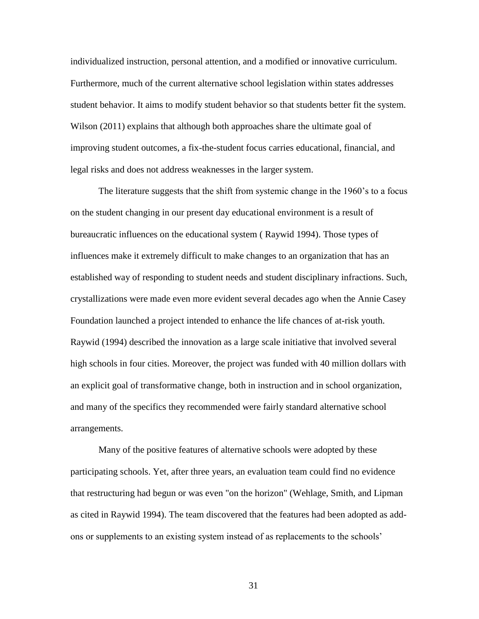individualized instruction, personal attention, and a modified or innovative curriculum. Furthermore, much of the current alternative school legislation within states addresses student behavior. It aims to modify student behavior so that students better fit the system. Wilson (2011) explains that although both approaches share the ultimate goal of improving student outcomes, a fix-the-student focus carries educational, financial, and legal risks and does not address weaknesses in the larger system.

The literature suggests that the shift from systemic change in the 1960's to a focus on the student changing in our present day educational environment is a result of bureaucratic influences on the educational system ( Raywid 1994). Those types of influences make it extremely difficult to make changes to an organization that has an established way of responding to student needs and student disciplinary infractions. Such, crystallizations were made even more evident several decades ago when the Annie Casey Foundation launched a project intended to enhance the life chances of at-risk youth. Raywid (1994) described the innovation as a large scale initiative that involved several high schools in four cities. Moreover, the project was funded with 40 million dollars with an explicit goal of transformative change, both in instruction and in school organization, and many of the specifics they recommended were fairly standard alternative school arrangements.

Many of the positive features of alternative schools were adopted by these participating schools. Yet, after three years, an evaluation team could find no evidence that restructuring had begun or was even "on the horizon" (Wehlage, Smith, and Lipman as cited in Raywid 1994). The team discovered that the features had been adopted as addons or supplements to an existing system instead of as replacements to the schools'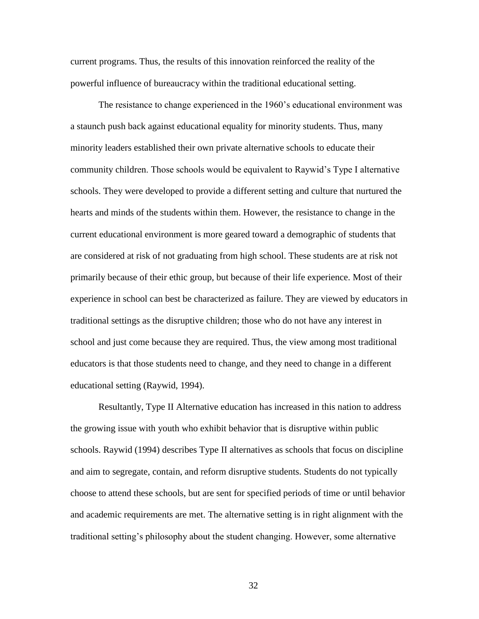current programs. Thus, the results of this innovation reinforced the reality of the powerful influence of bureaucracy within the traditional educational setting.

The resistance to change experienced in the 1960's educational environment was a staunch push back against educational equality for minority students. Thus, many minority leaders established their own private alternative schools to educate their community children. Those schools would be equivalent to Raywid's Type I alternative schools. They were developed to provide a different setting and culture that nurtured the hearts and minds of the students within them. However, the resistance to change in the current educational environment is more geared toward a demographic of students that are considered at risk of not graduating from high school. These students are at risk not primarily because of their ethic group, but because of their life experience. Most of their experience in school can best be characterized as failure. They are viewed by educators in traditional settings as the disruptive children; those who do not have any interest in school and just come because they are required. Thus, the view among most traditional educators is that those students need to change, and they need to change in a different educational setting (Raywid, 1994).

Resultantly, Type II Alternative education has increased in this nation to address the growing issue with youth who exhibit behavior that is disruptive within public schools. Raywid (1994) describes Type II alternatives as schools that focus on discipline and aim to segregate, contain, and reform disruptive students. Students do not typically choose to attend these schools, but are sent for specified periods of time or until behavior and academic requirements are met. The alternative setting is in right alignment with the traditional setting's philosophy about the student changing. However, some alternative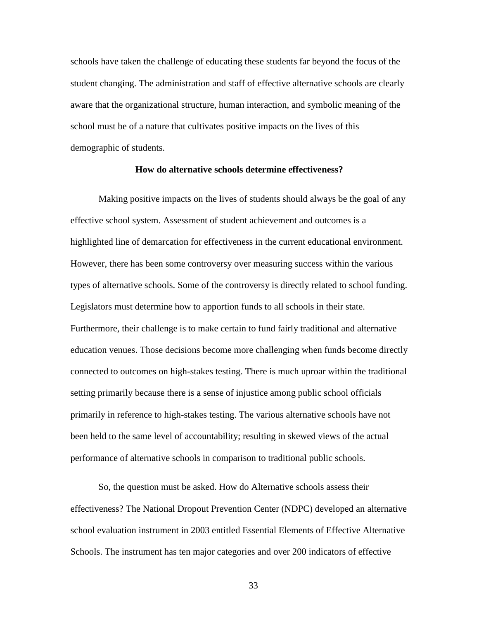schools have taken the challenge of educating these students far beyond the focus of the student changing. The administration and staff of effective alternative schools are clearly aware that the organizational structure, human interaction, and symbolic meaning of the school must be of a nature that cultivates positive impacts on the lives of this demographic of students.

### **How do alternative schools determine effectiveness?**

Making positive impacts on the lives of students should always be the goal of any effective school system. Assessment of student achievement and outcomes is a highlighted line of demarcation for effectiveness in the current educational environment. However, there has been some controversy over measuring success within the various types of alternative schools. Some of the controversy is directly related to school funding. Legislators must determine how to apportion funds to all schools in their state. Furthermore, their challenge is to make certain to fund fairly traditional and alternative education venues. Those decisions become more challenging when funds become directly connected to outcomes on high-stakes testing. There is much uproar within the traditional setting primarily because there is a sense of injustice among public school officials primarily in reference to high-stakes testing. The various alternative schools have not been held to the same level of accountability; resulting in skewed views of the actual performance of alternative schools in comparison to traditional public schools.

So, the question must be asked. How do Alternative schools assess their effectiveness? The National Dropout Prevention Center (NDPC) developed an alternative school evaluation instrument in 2003 entitled Essential Elements of Effective Alternative Schools. The instrument has ten major categories and over 200 indicators of effective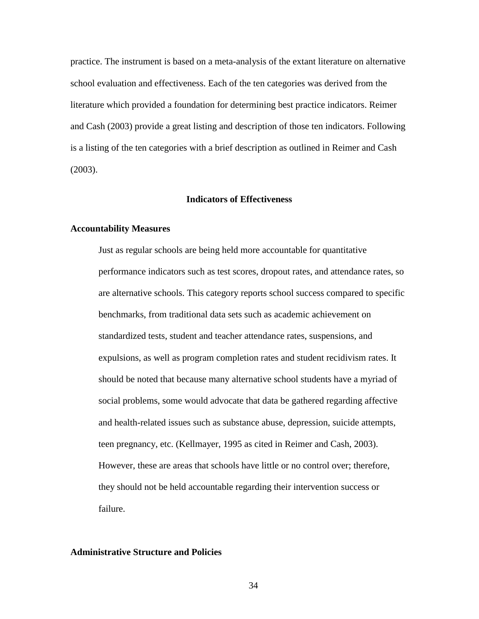practice. The instrument is based on a meta-analysis of the extant literature on alternative school evaluation and effectiveness. Each of the ten categories was derived from the literature which provided a foundation for determining best practice indicators. Reimer and Cash (2003) provide a great listing and description of those ten indicators. Following is a listing of the ten categories with a brief description as outlined in Reimer and Cash (2003).

# **Indicators of Effectiveness**

### **Accountability Measures**

Just as regular schools are being held more accountable for quantitative performance indicators such as test scores, dropout rates, and attendance rates, so are alternative schools. This category reports school success compared to specific benchmarks, from traditional data sets such as academic achievement on standardized tests, student and teacher attendance rates, suspensions, and expulsions, as well as program completion rates and student recidivism rates. It should be noted that because many alternative school students have a myriad of social problems, some would advocate that data be gathered regarding affective and health-related issues such as substance abuse, depression, suicide attempts, teen pregnancy, etc. (Kellmayer, 1995 as cited in Reimer and Cash, 2003). However, these are areas that schools have little or no control over; therefore, they should not be held accountable regarding their intervention success or failure.

# **Administrative Structure and Policies**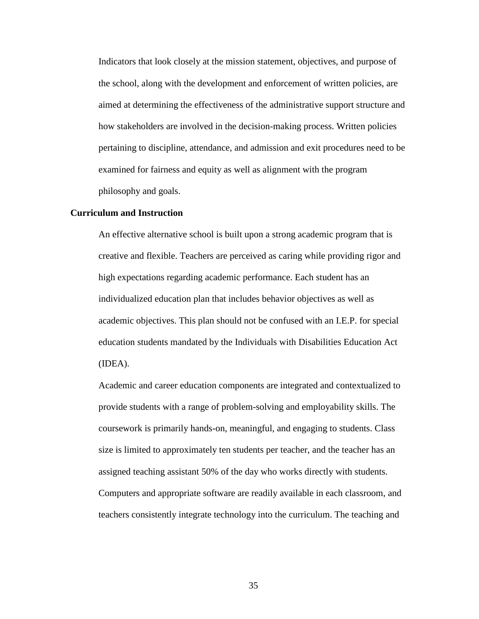Indicators that look closely at the mission statement, objectives, and purpose of the school, along with the development and enforcement of written policies, are aimed at determining the effectiveness of the administrative support structure and how stakeholders are involved in the decision-making process. Written policies pertaining to discipline, attendance, and admission and exit procedures need to be examined for fairness and equity as well as alignment with the program philosophy and goals.

### **Curriculum and Instruction**

An effective alternative school is built upon a strong academic program that is creative and flexible. Teachers are perceived as caring while providing rigor and high expectations regarding academic performance. Each student has an individualized education plan that includes behavior objectives as well as academic objectives. This plan should not be confused with an I.E.P. for special education students mandated by the Individuals with Disabilities Education Act (IDEA).

Academic and career education components are integrated and contextualized to provide students with a range of problem-solving and employability skills. The coursework is primarily hands-on, meaningful, and engaging to students. Class size is limited to approximately ten students per teacher, and the teacher has an assigned teaching assistant 50% of the day who works directly with students. Computers and appropriate software are readily available in each classroom, and teachers consistently integrate technology into the curriculum. The teaching and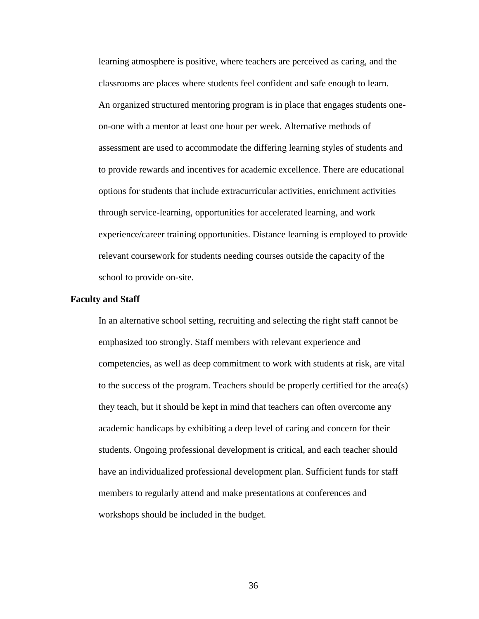learning atmosphere is positive, where teachers are perceived as caring, and the classrooms are places where students feel confident and safe enough to learn. An organized structured mentoring program is in place that engages students oneon-one with a mentor at least one hour per week. Alternative methods of assessment are used to accommodate the differing learning styles of students and to provide rewards and incentives for academic excellence. There are educational options for students that include extracurricular activities, enrichment activities through service-learning, opportunities for accelerated learning, and work experience/career training opportunities. Distance learning is employed to provide relevant coursework for students needing courses outside the capacity of the school to provide on-site.

#### **Faculty and Staff**

In an alternative school setting, recruiting and selecting the right staff cannot be emphasized too strongly. Staff members with relevant experience and competencies, as well as deep commitment to work with students at risk, are vital to the success of the program. Teachers should be properly certified for the area(s) they teach, but it should be kept in mind that teachers can often overcome any academic handicaps by exhibiting a deep level of caring and concern for their students. Ongoing professional development is critical, and each teacher should have an individualized professional development plan. Sufficient funds for staff members to regularly attend and make presentations at conferences and workshops should be included in the budget.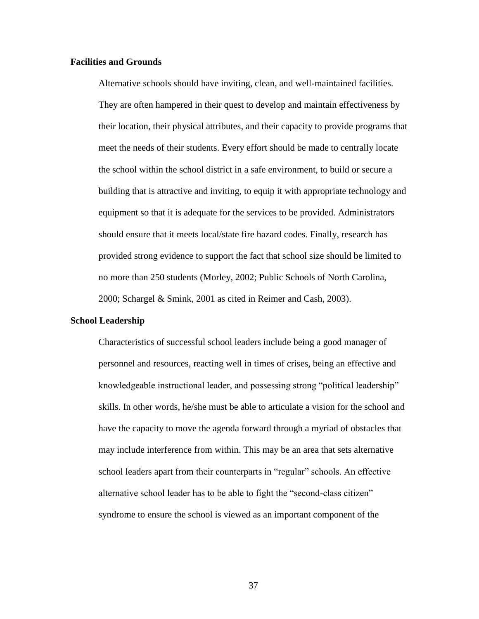### **Facilities and Grounds**

Alternative schools should have inviting, clean, and well-maintained facilities. They are often hampered in their quest to develop and maintain effectiveness by their location, their physical attributes, and their capacity to provide programs that meet the needs of their students. Every effort should be made to centrally locate the school within the school district in a safe environment, to build or secure a building that is attractive and inviting, to equip it with appropriate technology and equipment so that it is adequate for the services to be provided. Administrators should ensure that it meets local/state fire hazard codes. Finally, research has provided strong evidence to support the fact that school size should be limited to no more than 250 students (Morley, 2002; Public Schools of North Carolina, 2000; Schargel & Smink, 2001 as cited in Reimer and Cash, 2003).

### **School Leadership**

Characteristics of successful school leaders include being a good manager of personnel and resources, reacting well in times of crises, being an effective and knowledgeable instructional leader, and possessing strong "political leadership" skills. In other words, he/she must be able to articulate a vision for the school and have the capacity to move the agenda forward through a myriad of obstacles that may include interference from within. This may be an area that sets alternative school leaders apart from their counterparts in "regular" schools. An effective alternative school leader has to be able to fight the "second-class citizen" syndrome to ensure the school is viewed as an important component of the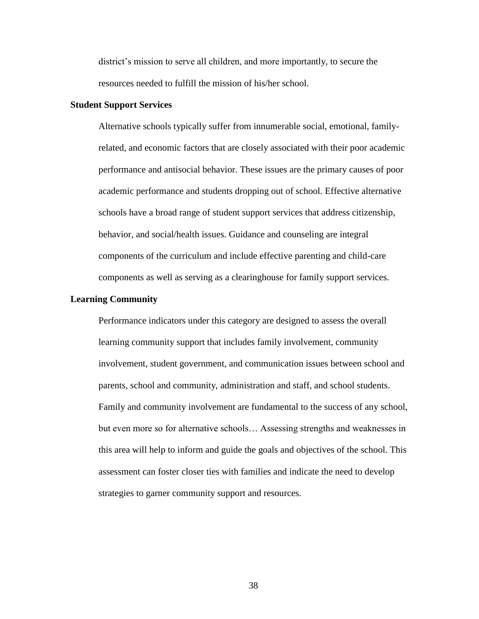district's mission to serve all children, and more importantly, to secure the resources needed to fulfill the mission of his/her school.

### **Student Support Services**

Alternative schools typically suffer from innumerable social, emotional, familyrelated, and economic factors that are closely associated with their poor academic performance and antisocial behavior. These issues are the primary causes of poor academic performance and students dropping out of school. Effective alternative schools have a broad range of student support services that address citizenship, behavior, and social/health issues. Guidance and counseling are integral components of the curriculum and include effective parenting and child-care components as well as serving as a clearinghouse for family support services.

# **Learning Community**

Performance indicators under this category are designed to assess the overall learning community support that includes family involvement, community involvement, student government, and communication issues between school and parents, school and community, administration and staff, and school students. Family and community involvement are fundamental to the success of any school, but even more so for alternative schools… Assessing strengths and weaknesses in this area will help to inform and guide the goals and objectives of the school. This assessment can foster closer ties with families and indicate the need to develop strategies to garner community support and resources.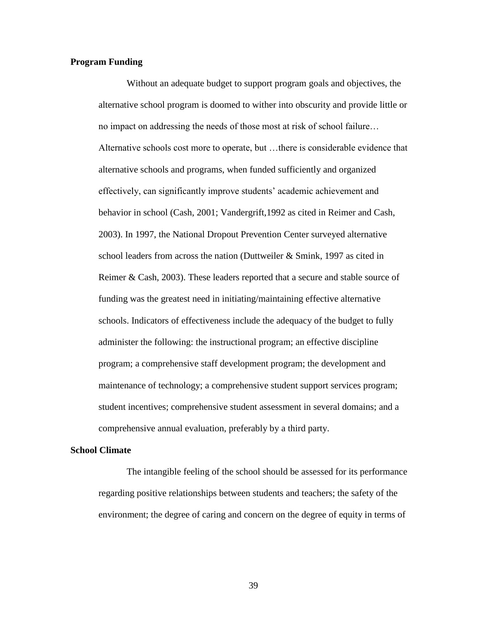## **Program Funding**

Without an adequate budget to support program goals and objectives, the alternative school program is doomed to wither into obscurity and provide little or no impact on addressing the needs of those most at risk of school failure… Alternative schools cost more to operate, but …there is considerable evidence that alternative schools and programs, when funded sufficiently and organized effectively, can significantly improve students' academic achievement and behavior in school (Cash, 2001; Vandergrift,1992 as cited in Reimer and Cash, 2003). In 1997, the National Dropout Prevention Center surveyed alternative school leaders from across the nation (Duttweiler & Smink, 1997 as cited in Reimer & Cash, 2003). These leaders reported that a secure and stable source of funding was the greatest need in initiating/maintaining effective alternative schools. Indicators of effectiveness include the adequacy of the budget to fully administer the following: the instructional program; an effective discipline program; a comprehensive staff development program; the development and maintenance of technology; a comprehensive student support services program; student incentives; comprehensive student assessment in several domains; and a comprehensive annual evaluation, preferably by a third party.

# **School Climate**

The intangible feeling of the school should be assessed for its performance regarding positive relationships between students and teachers; the safety of the environment; the degree of caring and concern on the degree of equity in terms of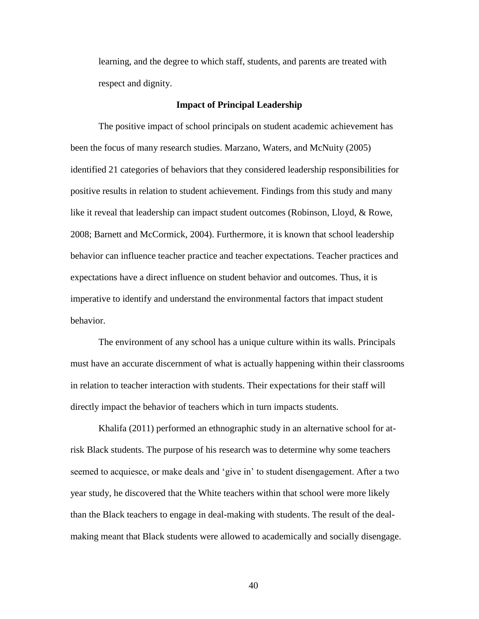learning, and the degree to which staff, students, and parents are treated with respect and dignity.

### **Impact of Principal Leadership**

The positive impact of school principals on student academic achievement has been the focus of many research studies. Marzano, Waters, and McNuity (2005) identified 21 categories of behaviors that they considered leadership responsibilities for positive results in relation to student achievement. Findings from this study and many like it reveal that leadership can impact student outcomes (Robinson, Lloyd, & Rowe, 2008; Barnett and McCormick, 2004). Furthermore, it is known that school leadership behavior can influence teacher practice and teacher expectations. Teacher practices and expectations have a direct influence on student behavior and outcomes. Thus, it is imperative to identify and understand the environmental factors that impact student behavior.

The environment of any school has a unique culture within its walls. Principals must have an accurate discernment of what is actually happening within their classrooms in relation to teacher interaction with students. Their expectations for their staff will directly impact the behavior of teachers which in turn impacts students.

Khalifa (2011) performed an ethnographic study in an alternative school for atrisk Black students. The purpose of his research was to determine why some teachers seemed to acquiesce, or make deals and 'give in' to student disengagement. After a two year study, he discovered that the White teachers within that school were more likely than the Black teachers to engage in deal-making with students. The result of the dealmaking meant that Black students were allowed to academically and socially disengage.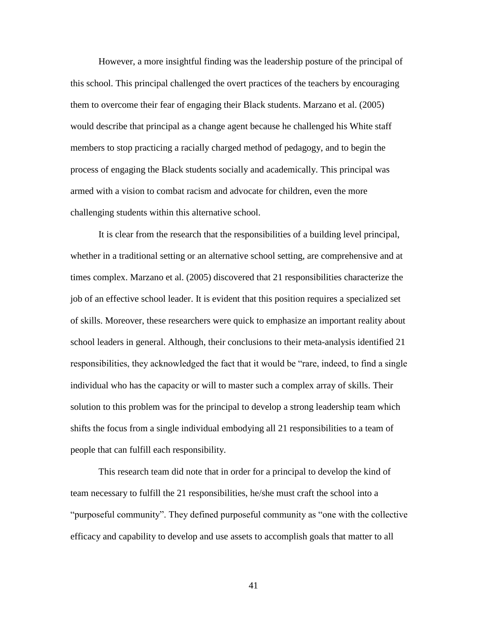However, a more insightful finding was the leadership posture of the principal of this school. This principal challenged the overt practices of the teachers by encouraging them to overcome their fear of engaging their Black students. Marzano et al. (2005) would describe that principal as a change agent because he challenged his White staff members to stop practicing a racially charged method of pedagogy, and to begin the process of engaging the Black students socially and academically. This principal was armed with a vision to combat racism and advocate for children, even the more challenging students within this alternative school.

It is clear from the research that the responsibilities of a building level principal, whether in a traditional setting or an alternative school setting, are comprehensive and at times complex. Marzano et al. (2005) discovered that 21 responsibilities characterize the job of an effective school leader. It is evident that this position requires a specialized set of skills. Moreover, these researchers were quick to emphasize an important reality about school leaders in general. Although, their conclusions to their meta-analysis identified 21 responsibilities, they acknowledged the fact that it would be "rare, indeed, to find a single individual who has the capacity or will to master such a complex array of skills. Their solution to this problem was for the principal to develop a strong leadership team which shifts the focus from a single individual embodying all 21 responsibilities to a team of people that can fulfill each responsibility.

This research team did note that in order for a principal to develop the kind of team necessary to fulfill the 21 responsibilities, he/she must craft the school into a "purposeful community". They defined purposeful community as "one with the collective efficacy and capability to develop and use assets to accomplish goals that matter to all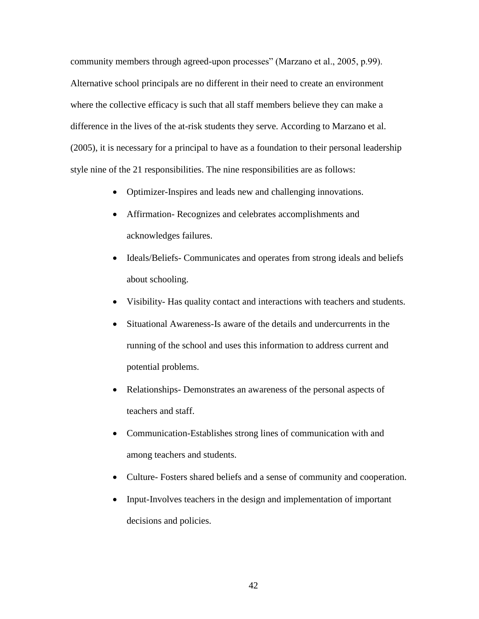community members through agreed-upon processes" (Marzano et al., 2005, p.99). Alternative school principals are no different in their need to create an environment where the collective efficacy is such that all staff members believe they can make a difference in the lives of the at-risk students they serve. According to Marzano et al. (2005), it is necessary for a principal to have as a foundation to their personal leadership style nine of the 21 responsibilities. The nine responsibilities are as follows:

- Optimizer-Inspires and leads new and challenging innovations.
- Affirmation- Recognizes and celebrates accomplishments and acknowledges failures.
- Ideals/Beliefs- Communicates and operates from strong ideals and beliefs about schooling.
- Visibility- Has quality contact and interactions with teachers and students.
- Situational Awareness-Is aware of the details and undercurrents in the running of the school and uses this information to address current and potential problems.
- Relationships- Demonstrates an awareness of the personal aspects of teachers and staff.
- Communication-Establishes strong lines of communication with and among teachers and students.
- Culture- Fosters shared beliefs and a sense of community and cooperation.
- Input-Involves teachers in the design and implementation of important decisions and policies.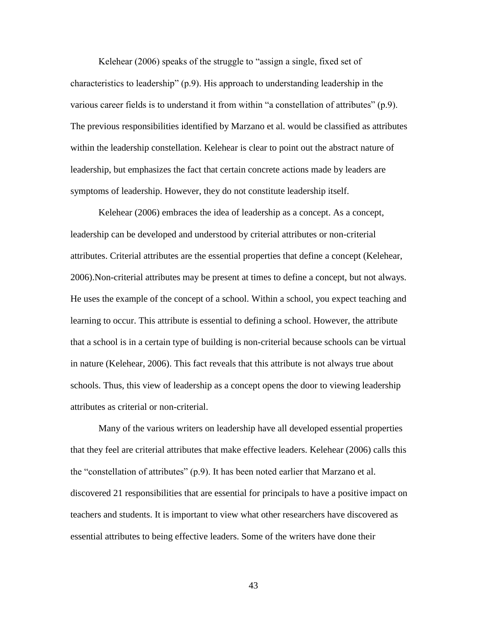Kelehear (2006) speaks of the struggle to "assign a single, fixed set of characteristics to leadership"  $(p.9)$ . His approach to understanding leadership in the various career fields is to understand it from within "a constellation of attributes"  $(p.9)$ . The previous responsibilities identified by Marzano et al. would be classified as attributes within the leadership constellation. Kelehear is clear to point out the abstract nature of leadership, but emphasizes the fact that certain concrete actions made by leaders are symptoms of leadership. However, they do not constitute leadership itself.

Kelehear (2006) embraces the idea of leadership as a concept. As a concept, leadership can be developed and understood by criterial attributes or non-criterial attributes. Criterial attributes are the essential properties that define a concept (Kelehear, 2006).Non-criterial attributes may be present at times to define a concept, but not always. He uses the example of the concept of a school. Within a school, you expect teaching and learning to occur. This attribute is essential to defining a school. However, the attribute that a school is in a certain type of building is non-criterial because schools can be virtual in nature (Kelehear, 2006). This fact reveals that this attribute is not always true about schools. Thus, this view of leadership as a concept opens the door to viewing leadership attributes as criterial or non-criterial.

Many of the various writers on leadership have all developed essential properties that they feel are criterial attributes that make effective leaders. Kelehear (2006) calls this the "constellation of attributes"  $(p.9)$ . It has been noted earlier that Marzano et al. discovered 21 responsibilities that are essential for principals to have a positive impact on teachers and students. It is important to view what other researchers have discovered as essential attributes to being effective leaders. Some of the writers have done their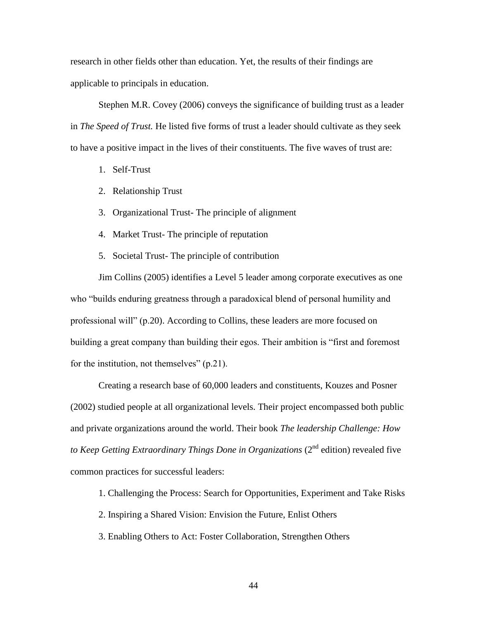research in other fields other than education. Yet, the results of their findings are applicable to principals in education.

Stephen M.R. Covey (2006) conveys the significance of building trust as a leader in *The Speed of Trust.* He listed five forms of trust a leader should cultivate as they seek to have a positive impact in the lives of their constituents. The five waves of trust are:

- 1. Self-Trust
- 2. Relationship Trust
- 3. Organizational Trust- The principle of alignment
- 4. Market Trust- The principle of reputation
- 5. Societal Trust- The principle of contribution

Jim Collins (2005) identifies a Level 5 leader among corporate executives as one who "builds enduring greatness through a paradoxical blend of personal humility and professional will" (p.20). According to Collins, these leaders are more focused on building a great company than building their egos. Their ambition is "first and foremost for the institution, not themselves"  $(p.21)$ .

Creating a research base of 60,000 leaders and constituents, Kouzes and Posner (2002) studied people at all organizational levels. Their project encompassed both public and private organizations around the world. Their book *The leadership Challenge: How to Keep Getting Extraordinary Things Done in Organizations* (2<sup>nd</sup> edition) revealed five common practices for successful leaders:

- 1. Challenging the Process: Search for Opportunities, Experiment and Take Risks
- 2. Inspiring a Shared Vision: Envision the Future, Enlist Others
- 3. Enabling Others to Act: Foster Collaboration, Strengthen Others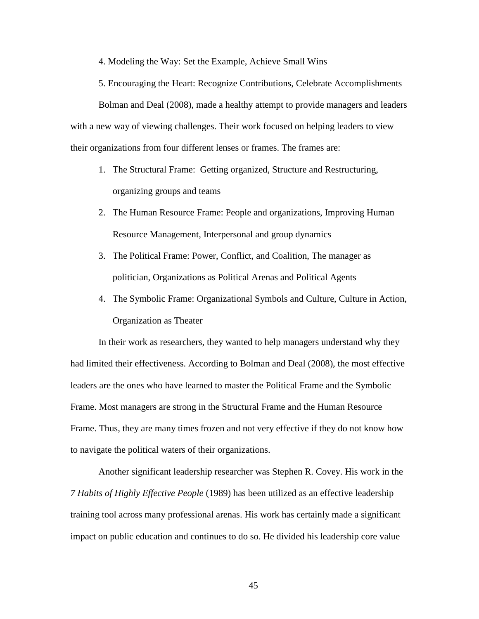4. Modeling the Way: Set the Example, Achieve Small Wins

5. Encouraging the Heart: Recognize Contributions, Celebrate Accomplishments

Bolman and Deal (2008), made a healthy attempt to provide managers and leaders with a new way of viewing challenges. Their work focused on helping leaders to view their organizations from four different lenses or frames. The frames are:

- 1. The Structural Frame: Getting organized, Structure and Restructuring, organizing groups and teams
- 2. The Human Resource Frame: People and organizations, Improving Human Resource Management, Interpersonal and group dynamics
- 3. The Political Frame: Power, Conflict, and Coalition, The manager as politician, Organizations as Political Arenas and Political Agents
- 4. The Symbolic Frame: Organizational Symbols and Culture, Culture in Action, Organization as Theater

In their work as researchers, they wanted to help managers understand why they had limited their effectiveness. According to Bolman and Deal (2008), the most effective leaders are the ones who have learned to master the Political Frame and the Symbolic Frame. Most managers are strong in the Structural Frame and the Human Resource Frame. Thus, they are many times frozen and not very effective if they do not know how to navigate the political waters of their organizations.

Another significant leadership researcher was Stephen R. Covey. His work in the *7 Habits of Highly Effective People* (1989) has been utilized as an effective leadership training tool across many professional arenas. His work has certainly made a significant impact on public education and continues to do so. He divided his leadership core value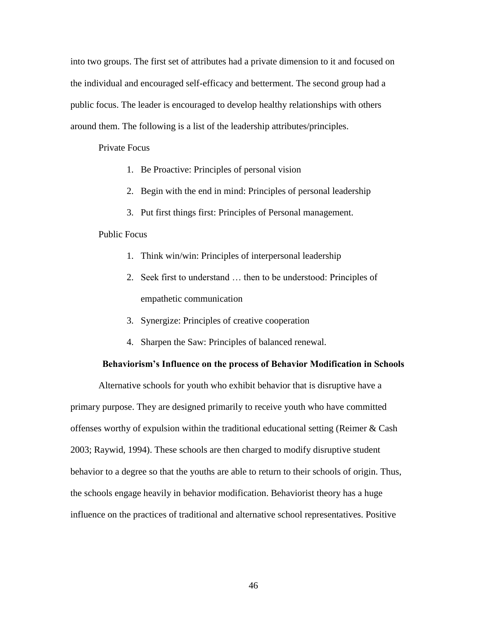into two groups. The first set of attributes had a private dimension to it and focused on the individual and encouraged self-efficacy and betterment. The second group had a public focus. The leader is encouraged to develop healthy relationships with others around them. The following is a list of the leadership attributes/principles.

## Private Focus

- 1. Be Proactive: Principles of personal vision
- 2. Begin with the end in mind: Principles of personal leadership
- 3. Put first things first: Principles of Personal management.

# Public Focus

- 1. Think win/win: Principles of interpersonal leadership
- 2. Seek first to understand … then to be understood: Principles of empathetic communication
- 3. Synergize: Principles of creative cooperation
- 4. Sharpen the Saw: Principles of balanced renewal.

#### **Behaviorism's Influence on the process of Behavior Modification in Schools**

Alternative schools for youth who exhibit behavior that is disruptive have a primary purpose. They are designed primarily to receive youth who have committed offenses worthy of expulsion within the traditional educational setting (Reimer & Cash 2003; Raywid, 1994). These schools are then charged to modify disruptive student behavior to a degree so that the youths are able to return to their schools of origin. Thus, the schools engage heavily in behavior modification. Behaviorist theory has a huge influence on the practices of traditional and alternative school representatives. Positive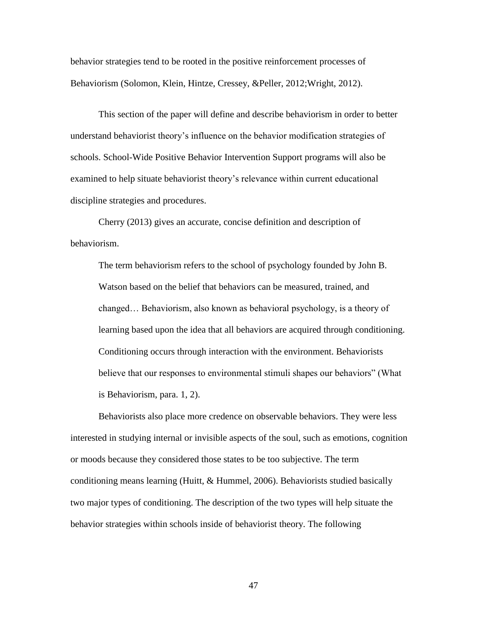behavior strategies tend to be rooted in the positive reinforcement processes of Behaviorism (Solomon, Klein, Hintze, Cressey, &Peller, 2012;Wright, 2012).

This section of the paper will define and describe behaviorism in order to better understand behaviorist theory's influence on the behavior modification strategies of schools. School-Wide Positive Behavior Intervention Support programs will also be examined to help situate behaviorist theory's relevance within current educational discipline strategies and procedures.

Cherry (2013) gives an accurate, concise definition and description of behaviorism.

The term behaviorism refers to the school of psychology founded by John B. Watson based on the belief that behaviors can be measured, trained, and changed… Behaviorism, also known as behavioral psychology, is a theory of learning based upon the idea that all behaviors are acquired through conditioning. Conditioning occurs through interaction with the environment. Behaviorists believe that our responses to environmental stimuli shapes our behaviors" (What is Behaviorism, para. 1, 2).

Behaviorists also place more credence on observable behaviors. They were less interested in studying internal or invisible aspects of the soul, such as emotions, cognition or moods because they considered those states to be too subjective. The term conditioning means learning (Huitt, & Hummel, 2006). Behaviorists studied basically two major types of conditioning. The description of the two types will help situate the behavior strategies within schools inside of behaviorist theory. The following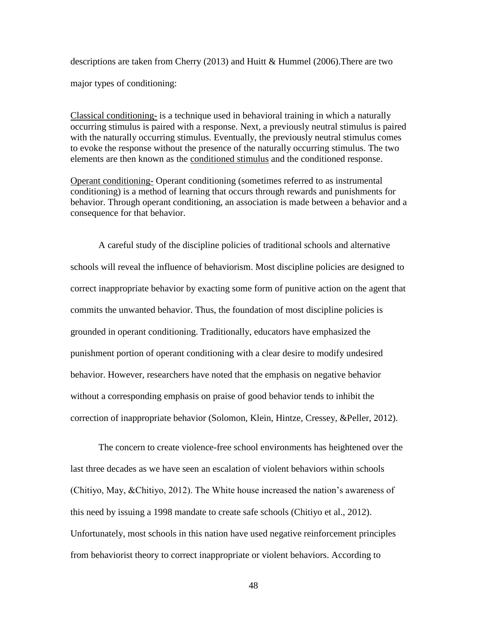descriptions are taken from Cherry (2013) and Huitt & Hummel (2006).There are two major types of conditioning:

[Classical conditioning-](http://psychology.about.com/od/behavioralpsychology/a/classcond.htm) is a technique used in behavioral training in which a naturally occurring stimulus is paired with a response. Next, a previously neutral stimulus is paired with the naturally occurring stimulus. Eventually, the previously neutral stimulus comes to evoke the response without the presence of the naturally occurring stimulus. The two elements are then known as the [conditioned stimulus](http://psychology.about.com/od/cindex/g/condstim.htm) and the conditioned response.

[Operant conditioning-](http://psychology.about.com/od/behavioralpsychology/a/introopcond.htm) Operant conditioning (sometimes referred to as instrumental conditioning) is a method of learning that occurs through rewards and punishments for behavior. Through operant conditioning, an association is made between a behavior and a consequence for that behavior.

A careful study of the discipline policies of traditional schools and alternative schools will reveal the influence of behaviorism. Most discipline policies are designed to correct inappropriate behavior by exacting some form of punitive action on the agent that commits the unwanted behavior. Thus, the foundation of most discipline policies is grounded in operant conditioning. Traditionally, educators have emphasized the punishment portion of operant conditioning with a clear desire to modify undesired behavior. However, researchers have noted that the emphasis on negative behavior without a corresponding emphasis on praise of good behavior tends to inhibit the correction of inappropriate behavior (Solomon, Klein, Hintze, Cressey, &Peller, 2012).

The concern to create violence-free school environments has heightened over the last three decades as we have seen an escalation of violent behaviors within schools (Chitiyo, May, &Chitiyo, 2012). The White house increased the nation's awareness of this need by issuing a 1998 mandate to create safe schools (Chitiyo et al., 2012). Unfortunately, most schools in this nation have used negative reinforcement principles from behaviorist theory to correct inappropriate or violent behaviors. According to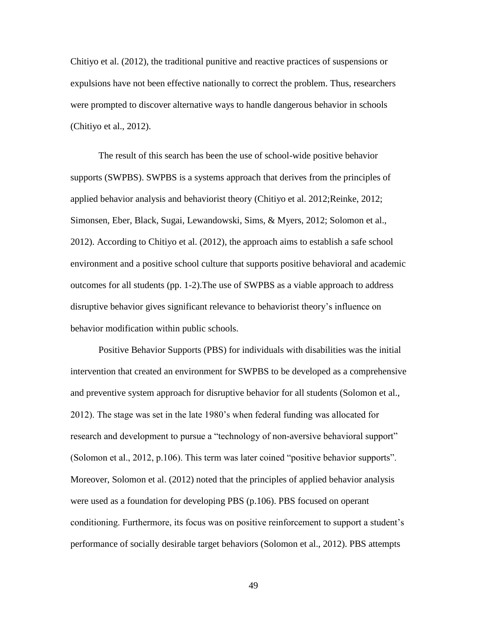Chitiyo et al. (2012), the traditional punitive and reactive practices of suspensions or expulsions have not been effective nationally to correct the problem. Thus, researchers were prompted to discover alternative ways to handle dangerous behavior in schools (Chitiyo et al., 2012).

The result of this search has been the use of school-wide positive behavior supports (SWPBS). SWPBS is a systems approach that derives from the principles of applied behavior analysis and behaviorist theory (Chitiyo et al. 2012;Reinke, 2012; Simonsen, Eber, Black, Sugai, Lewandowski, Sims, & Myers, 2012; Solomon et al., 2012). According to Chitiyo et al. (2012), the approach aims to establish a safe school environment and a positive school culture that supports positive behavioral and academic outcomes for all students (pp. 1-2).The use of SWPBS as a viable approach to address disruptive behavior gives significant relevance to behaviorist theory's influence on behavior modification within public schools.

Positive Behavior Supports (PBS) for individuals with disabilities was the initial intervention that created an environment for SWPBS to be developed as a comprehensive and preventive system approach for disruptive behavior for all students (Solomon et al., 2012). The stage was set in the late 1980's when federal funding was allocated for research and development to pursue a "technology of non-aversive behavioral support" (Solomon et al., 2012, p.106). This term was later coined "positive behavior supports". Moreover, Solomon et al. (2012) noted that the principles of applied behavior analysis were used as a foundation for developing PBS (p.106). PBS focused on operant conditioning. Furthermore, its focus was on positive reinforcement to support a student's performance of socially desirable target behaviors (Solomon et al., 2012). PBS attempts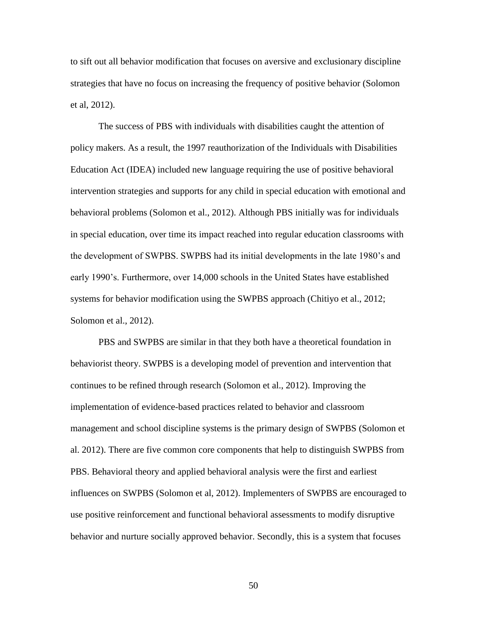to sift out all behavior modification that focuses on aversive and exclusionary discipline strategies that have no focus on increasing the frequency of positive behavior (Solomon et al, 2012).

The success of PBS with individuals with disabilities caught the attention of policy makers. As a result, the 1997 reauthorization of the Individuals with Disabilities Education Act (IDEA) included new language requiring the use of positive behavioral intervention strategies and supports for any child in special education with emotional and behavioral problems (Solomon et al., 2012). Although PBS initially was for individuals in special education, over time its impact reached into regular education classrooms with the development of SWPBS. SWPBS had its initial developments in the late 1980's and early 1990's. Furthermore, over 14,000 schools in the United States have established systems for behavior modification using the SWPBS approach (Chitiyo et al., 2012; Solomon et al., 2012).

PBS and SWPBS are similar in that they both have a theoretical foundation in behaviorist theory. SWPBS is a developing model of prevention and intervention that continues to be refined through research (Solomon et al., 2012). Improving the implementation of evidence-based practices related to behavior and classroom management and school discipline systems is the primary design of SWPBS (Solomon et al. 2012). There are five common core components that help to distinguish SWPBS from PBS. Behavioral theory and applied behavioral analysis were the first and earliest influences on SWPBS (Solomon et al, 2012). Implementers of SWPBS are encouraged to use positive reinforcement and functional behavioral assessments to modify disruptive behavior and nurture socially approved behavior. Secondly, this is a system that focuses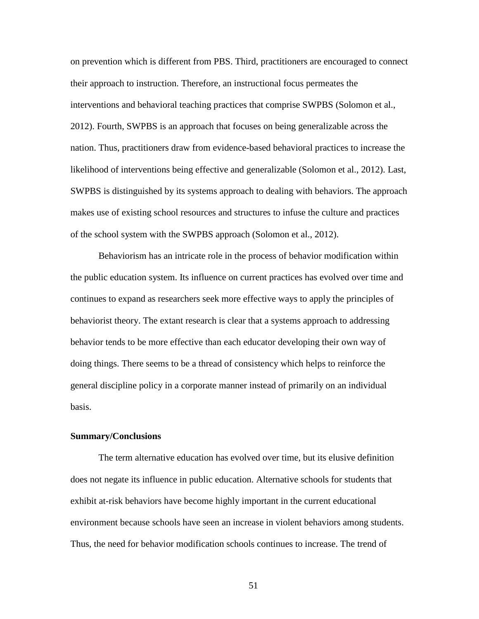on prevention which is different from PBS. Third, practitioners are encouraged to connect their approach to instruction. Therefore, an instructional focus permeates the interventions and behavioral teaching practices that comprise SWPBS (Solomon et al., 2012). Fourth, SWPBS is an approach that focuses on being generalizable across the nation. Thus, practitioners draw from evidence-based behavioral practices to increase the likelihood of interventions being effective and generalizable (Solomon et al., 2012). Last, SWPBS is distinguished by its systems approach to dealing with behaviors. The approach makes use of existing school resources and structures to infuse the culture and practices of the school system with the SWPBS approach (Solomon et al., 2012).

Behaviorism has an intricate role in the process of behavior modification within the public education system. Its influence on current practices has evolved over time and continues to expand as researchers seek more effective ways to apply the principles of behaviorist theory. The extant research is clear that a systems approach to addressing behavior tends to be more effective than each educator developing their own way of doing things. There seems to be a thread of consistency which helps to reinforce the general discipline policy in a corporate manner instead of primarily on an individual basis.

# **Summary/Conclusions**

The term alternative education has evolved over time, but its elusive definition does not negate its influence in public education. Alternative schools for students that exhibit at-risk behaviors have become highly important in the current educational environment because schools have seen an increase in violent behaviors among students. Thus, the need for behavior modification schools continues to increase. The trend of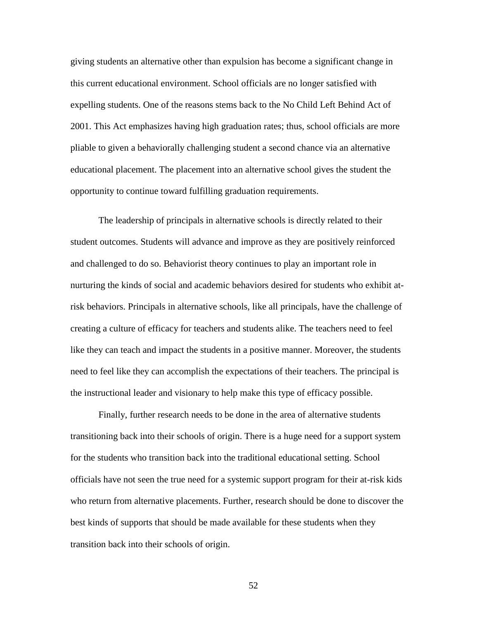giving students an alternative other than expulsion has become a significant change in this current educational environment. School officials are no longer satisfied with expelling students. One of the reasons stems back to the No Child Left Behind Act of 2001. This Act emphasizes having high graduation rates; thus, school officials are more pliable to given a behaviorally challenging student a second chance via an alternative educational placement. The placement into an alternative school gives the student the opportunity to continue toward fulfilling graduation requirements.

The leadership of principals in alternative schools is directly related to their student outcomes. Students will advance and improve as they are positively reinforced and challenged to do so. Behaviorist theory continues to play an important role in nurturing the kinds of social and academic behaviors desired for students who exhibit atrisk behaviors. Principals in alternative schools, like all principals, have the challenge of creating a culture of efficacy for teachers and students alike. The teachers need to feel like they can teach and impact the students in a positive manner. Moreover, the students need to feel like they can accomplish the expectations of their teachers. The principal is the instructional leader and visionary to help make this type of efficacy possible.

Finally, further research needs to be done in the area of alternative students transitioning back into their schools of origin. There is a huge need for a support system for the students who transition back into the traditional educational setting. School officials have not seen the true need for a systemic support program for their at-risk kids who return from alternative placements. Further, research should be done to discover the best kinds of supports that should be made available for these students when they transition back into their schools of origin.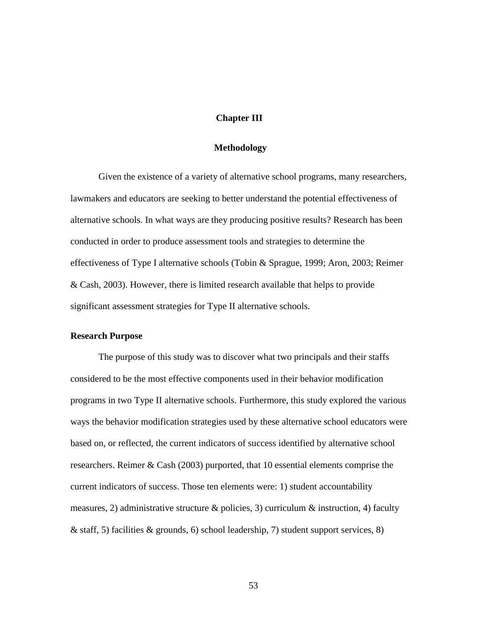# **Chapter III**

### **Methodology**

Given the existence of a variety of alternative school programs, many researchers, lawmakers and educators are seeking to better understand the potential effectiveness of alternative schools. In what ways are they producing positive results? Research has been conducted in order to produce assessment tools and strategies to determine the effectiveness of Type I alternative schools (Tobin & Sprague, 1999; Aron, 2003; Reimer & Cash, 2003). However, there is limited research available that helps to provide significant assessment strategies for Type II alternative schools.

# **Research Purpose**

The purpose of this study was to discover what two principals and their staffs considered to be the most effective components used in their behavior modification programs in two Type II alternative schools. Furthermore, this study explored the various ways the behavior modification strategies used by these alternative school educators were based on, or reflected, the current indicators of success identified by alternative school researchers. Reimer & Cash (2003) purported, that 10 essential elements comprise the current indicators of success. Those ten elements were: 1) student accountability measures, 2) administrative structure  $\&$  policies, 3) curriculum  $\&$  instruction, 4) faculty & staff, 5) facilities & grounds, 6) school leadership, 7) student support services, 8)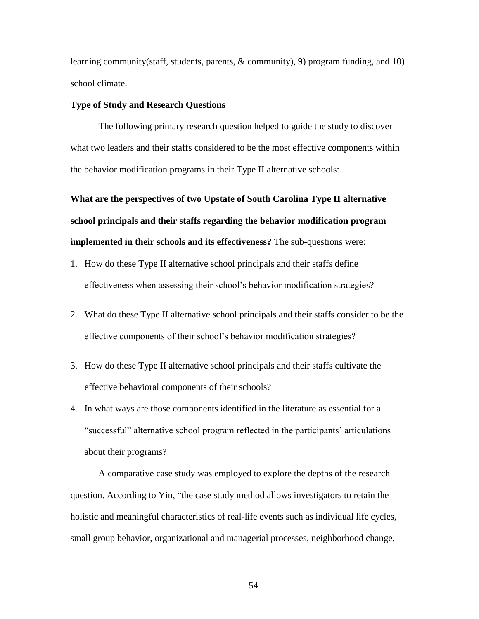learning community(staff, students, parents, & community), 9) program funding, and 10) school climate.

### **Type of Study and Research Questions**

The following primary research question helped to guide the study to discover what two leaders and their staffs considered to be the most effective components within the behavior modification programs in their Type II alternative schools:

**What are the perspectives of two Upstate of South Carolina Type II alternative school principals and their staffs regarding the behavior modification program implemented in their schools and its effectiveness?** The sub-questions were:

- 1. How do these Type II alternative school principals and their staffs define effectiveness when assessing their school's behavior modification strategies?
- 2. What do these Type II alternative school principals and their staffs consider to be the effective components of their school's behavior modification strategies?
- 3. How do these Type II alternative school principals and their staffs cultivate the effective behavioral components of their schools?
- 4. In what ways are those components identified in the literature as essential for a ―successful‖ alternative school program reflected in the participants' articulations about their programs?

A comparative case study was employed to explore the depths of the research question. According to Yin, "the case study method allows investigators to retain the holistic and meaningful characteristics of real-life events such as individual life cycles, small group behavior, organizational and managerial processes, neighborhood change,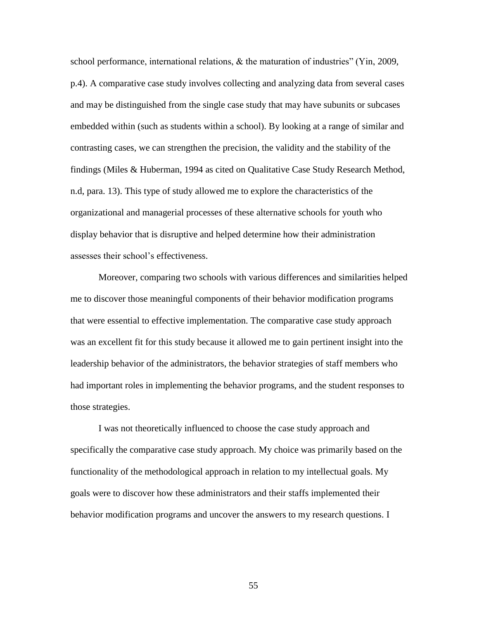school performance, international relations,  $\&$  the maturation of industries" (Yin, 2009, p.4). A comparative case study involves collecting and analyzing data from several cases and may be distinguished from the single case study that may have subunits or subcases embedded within (such as students within a school). By looking at a range of similar and contrasting cases, we can strengthen the precision, the validity and the stability of the findings (Miles & Huberman, 1994 as cited on Qualitative Case Study Research Method, n.d, para. 13). This type of study allowed me to explore the characteristics of the organizational and managerial processes of these alternative schools for youth who display behavior that is disruptive and helped determine how their administration assesses their school's effectiveness.

Moreover, comparing two schools with various differences and similarities helped me to discover those meaningful components of their behavior modification programs that were essential to effective implementation. The comparative case study approach was an excellent fit for this study because it allowed me to gain pertinent insight into the leadership behavior of the administrators, the behavior strategies of staff members who had important roles in implementing the behavior programs, and the student responses to those strategies.

I was not theoretically influenced to choose the case study approach and specifically the comparative case study approach. My choice was primarily based on the functionality of the methodological approach in relation to my intellectual goals. My goals were to discover how these administrators and their staffs implemented their behavior modification programs and uncover the answers to my research questions. I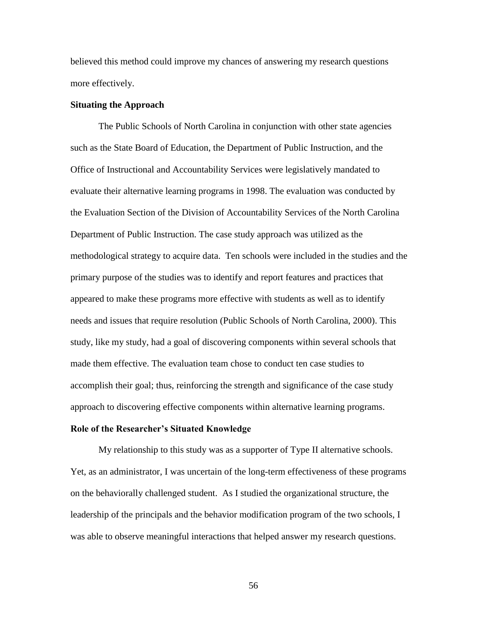believed this method could improve my chances of answering my research questions more effectively.

#### **Situating the Approach**

The Public Schools of North Carolina in conjunction with other state agencies such as the State Board of Education, the Department of Public Instruction, and the Office of Instructional and Accountability Services were legislatively mandated to evaluate their alternative learning programs in 1998. The evaluation was conducted by the Evaluation Section of the Division of Accountability Services of the North Carolina Department of Public Instruction. The case study approach was utilized as the methodological strategy to acquire data. Ten schools were included in the studies and the primary purpose of the studies was to identify and report features and practices that appeared to make these programs more effective with students as well as to identify needs and issues that require resolution (Public Schools of North Carolina, 2000). This study, like my study, had a goal of discovering components within several schools that made them effective. The evaluation team chose to conduct ten case studies to accomplish their goal; thus, reinforcing the strength and significance of the case study approach to discovering effective components within alternative learning programs.

#### **Role of the Researcher's Situated Knowledge**

My relationship to this study was as a supporter of Type II alternative schools. Yet, as an administrator, I was uncertain of the long-term effectiveness of these programs on the behaviorally challenged student. As I studied the organizational structure, the leadership of the principals and the behavior modification program of the two schools, I was able to observe meaningful interactions that helped answer my research questions.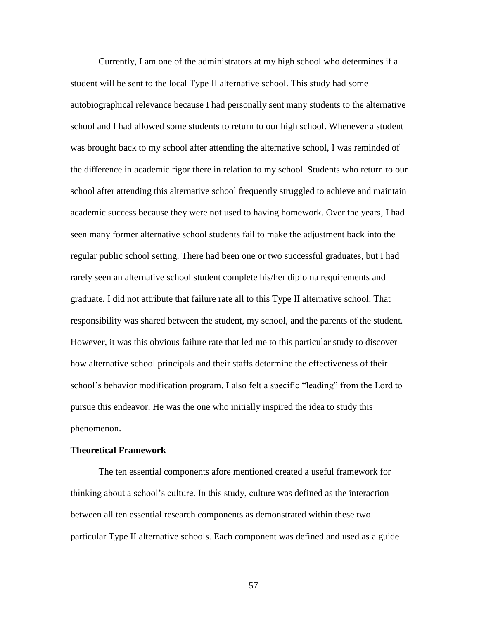Currently, I am one of the administrators at my high school who determines if a student will be sent to the local Type II alternative school. This study had some autobiographical relevance because I had personally sent many students to the alternative school and I had allowed some students to return to our high school. Whenever a student was brought back to my school after attending the alternative school, I was reminded of the difference in academic rigor there in relation to my school. Students who return to our school after attending this alternative school frequently struggled to achieve and maintain academic success because they were not used to having homework. Over the years, I had seen many former alternative school students fail to make the adjustment back into the regular public school setting. There had been one or two successful graduates, but I had rarely seen an alternative school student complete his/her diploma requirements and graduate. I did not attribute that failure rate all to this Type II alternative school. That responsibility was shared between the student, my school, and the parents of the student. However, it was this obvious failure rate that led me to this particular study to discover how alternative school principals and their staffs determine the effectiveness of their school's behavior modification program. I also felt a specific "leading" from the Lord to pursue this endeavor. He was the one who initially inspired the idea to study this phenomenon.

#### **Theoretical Framework**

The ten essential components afore mentioned created a useful framework for thinking about a school's culture. In this study, culture was defined as the interaction between all ten essential research components as demonstrated within these two particular Type II alternative schools. Each component was defined and used as a guide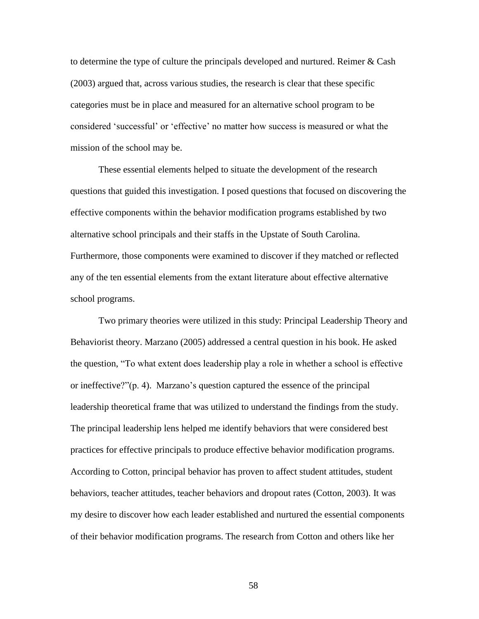to determine the type of culture the principals developed and nurtured. Reimer & Cash (2003) argued that, across various studies, the research is clear that these specific categories must be in place and measured for an alternative school program to be considered 'successful' or 'effective' no matter how success is measured or what the mission of the school may be.

These essential elements helped to situate the development of the research questions that guided this investigation. I posed questions that focused on discovering the effective components within the behavior modification programs established by two alternative school principals and their staffs in the Upstate of South Carolina. Furthermore, those components were examined to discover if they matched or reflected any of the ten essential elements from the extant literature about effective alternative school programs.

Two primary theories were utilized in this study: Principal Leadership Theory and Behaviorist theory. Marzano (2005) addressed a central question in his book. He asked the question, "To what extent does leadership play a role in whether a school is effective or ineffective?" $(p, 4)$ . Marzano's question captured the essence of the principal leadership theoretical frame that was utilized to understand the findings from the study. The principal leadership lens helped me identify behaviors that were considered best practices for effective principals to produce effective behavior modification programs. According to Cotton, principal behavior has proven to affect student attitudes, student behaviors, teacher attitudes, teacher behaviors and dropout rates (Cotton, 2003). It was my desire to discover how each leader established and nurtured the essential components of their behavior modification programs. The research from Cotton and others like her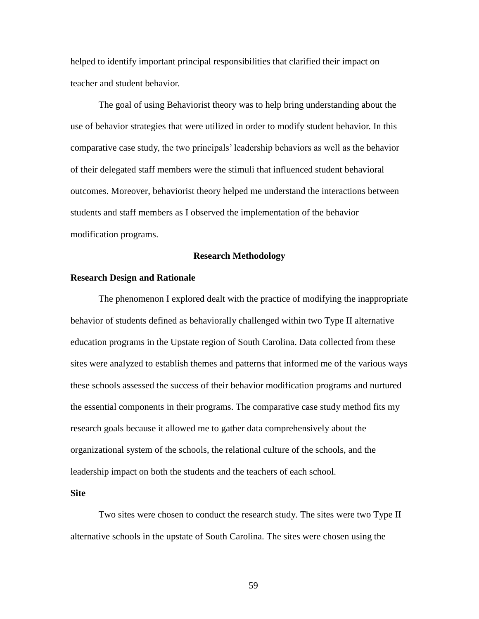helped to identify important principal responsibilities that clarified their impact on teacher and student behavior.

The goal of using Behaviorist theory was to help bring understanding about the use of behavior strategies that were utilized in order to modify student behavior. In this comparative case study, the two principals' leadership behaviors as well as the behavior of their delegated staff members were the stimuli that influenced student behavioral outcomes. Moreover, behaviorist theory helped me understand the interactions between students and staff members as I observed the implementation of the behavior modification programs.

### **Research Methodology**

#### **Research Design and Rationale**

The phenomenon I explored dealt with the practice of modifying the inappropriate behavior of students defined as behaviorally challenged within two Type II alternative education programs in the Upstate region of South Carolina. Data collected from these sites were analyzed to establish themes and patterns that informed me of the various ways these schools assessed the success of their behavior modification programs and nurtured the essential components in their programs. The comparative case study method fits my research goals because it allowed me to gather data comprehensively about the organizational system of the schools, the relational culture of the schools, and the leadership impact on both the students and the teachers of each school.

#### **Site**

Two sites were chosen to conduct the research study. The sites were two Type II alternative schools in the upstate of South Carolina. The sites were chosen using the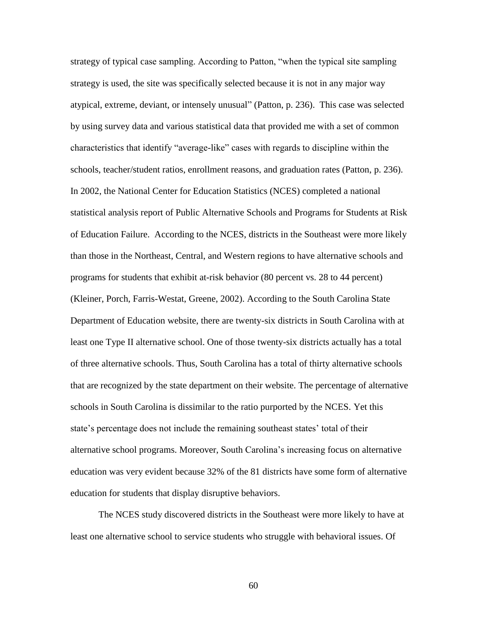strategy of typical case sampling. According to Patton, "when the typical site sampling strategy is used, the site was specifically selected because it is not in any major way atypical, extreme, deviant, or intensely unusual‖ (Patton, p. 236). This case was selected by using survey data and various statistical data that provided me with a set of common characteristics that identify "average-like" cases with regards to discipline within the schools, teacher/student ratios, enrollment reasons, and graduation rates (Patton, p. 236). In 2002, the National Center for Education Statistics (NCES) completed a national statistical analysis report of Public Alternative Schools and Programs for Students at Risk of Education Failure. According to the NCES, districts in the Southeast were more likely than those in the Northeast, Central, and Western regions to have alternative schools and programs for students that exhibit at-risk behavior (80 percent vs. 28 to 44 percent) (Kleiner, Porch, Farris-Westat, Greene, 2002). According to the South Carolina State Department of Education website, there are twenty-six districts in South Carolina with at least one Type II alternative school. One of those twenty-six districts actually has a total of three alternative schools. Thus, South Carolina has a total of thirty alternative schools that are recognized by the state department on their website. The percentage of alternative schools in South Carolina is dissimilar to the ratio purported by the NCES. Yet this state's percentage does not include the remaining southeast states' total of their alternative school programs. Moreover, South Carolina's increasing focus on alternative education was very evident because 32% of the 81 districts have some form of alternative education for students that display disruptive behaviors.

The NCES study discovered districts in the Southeast were more likely to have at least one alternative school to service students who struggle with behavioral issues. Of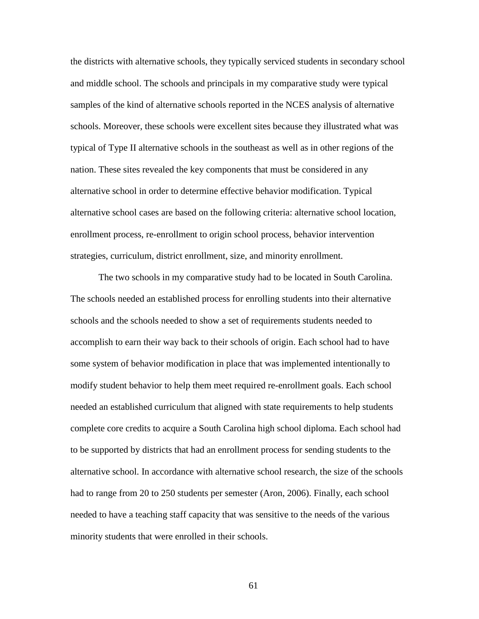the districts with alternative schools, they typically serviced students in secondary school and middle school. The schools and principals in my comparative study were typical samples of the kind of alternative schools reported in the NCES analysis of alternative schools. Moreover, these schools were excellent sites because they illustrated what was typical of Type II alternative schools in the southeast as well as in other regions of the nation. These sites revealed the key components that must be considered in any alternative school in order to determine effective behavior modification. Typical alternative school cases are based on the following criteria: alternative school location, enrollment process, re-enrollment to origin school process, behavior intervention strategies, curriculum, district enrollment, size, and minority enrollment.

The two schools in my comparative study had to be located in South Carolina. The schools needed an established process for enrolling students into their alternative schools and the schools needed to show a set of requirements students needed to accomplish to earn their way back to their schools of origin. Each school had to have some system of behavior modification in place that was implemented intentionally to modify student behavior to help them meet required re-enrollment goals. Each school needed an established curriculum that aligned with state requirements to help students complete core credits to acquire a South Carolina high school diploma. Each school had to be supported by districts that had an enrollment process for sending students to the alternative school. In accordance with alternative school research, the size of the schools had to range from 20 to 250 students per semester (Aron, 2006). Finally, each school needed to have a teaching staff capacity that was sensitive to the needs of the various minority students that were enrolled in their schools.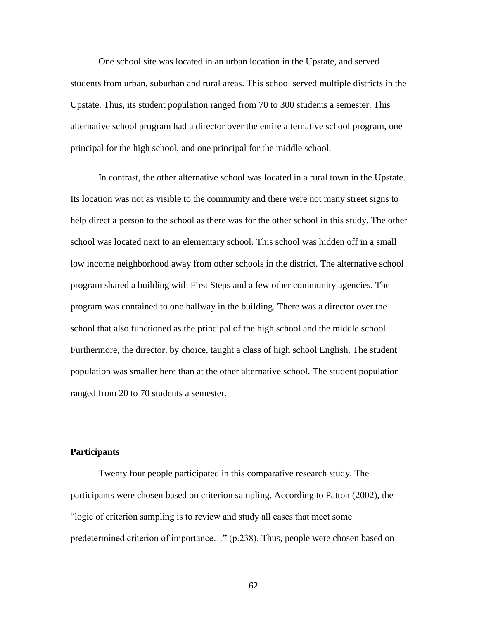One school site was located in an urban location in the Upstate, and served students from urban, suburban and rural areas. This school served multiple districts in the Upstate. Thus, its student population ranged from 70 to 300 students a semester. This alternative school program had a director over the entire alternative school program, one principal for the high school, and one principal for the middle school.

In contrast, the other alternative school was located in a rural town in the Upstate. Its location was not as visible to the community and there were not many street signs to help direct a person to the school as there was for the other school in this study. The other school was located next to an elementary school. This school was hidden off in a small low income neighborhood away from other schools in the district. The alternative school program shared a building with First Steps and a few other community agencies. The program was contained to one hallway in the building. There was a director over the school that also functioned as the principal of the high school and the middle school. Furthermore, the director, by choice, taught a class of high school English. The student population was smaller here than at the other alternative school. The student population ranged from 20 to 70 students a semester.

## **Participants**

Twenty four people participated in this comparative research study. The participants were chosen based on criterion sampling. According to Patton (2002), the "logic of criterion sampling is to review and study all cases that meet some predetermined criterion of importance…" (p.238). Thus, people were chosen based on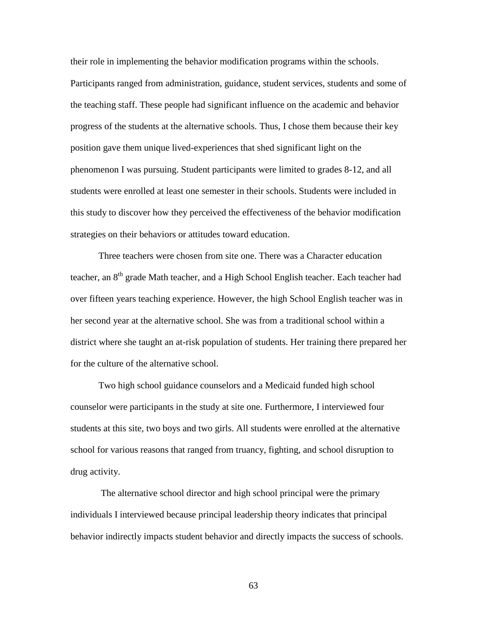their role in implementing the behavior modification programs within the schools. Participants ranged from administration, guidance, student services, students and some of the teaching staff. These people had significant influence on the academic and behavior progress of the students at the alternative schools. Thus, I chose them because their key position gave them unique lived-experiences that shed significant light on the phenomenon I was pursuing. Student participants were limited to grades 8-12, and all students were enrolled at least one semester in their schools. Students were included in this study to discover how they perceived the effectiveness of the behavior modification strategies on their behaviors or attitudes toward education.

Three teachers were chosen from site one. There was a Character education teacher, an 8<sup>th</sup> grade Math teacher, and a High School English teacher. Each teacher had over fifteen years teaching experience. However, the high School English teacher was in her second year at the alternative school. She was from a traditional school within a district where she taught an at-risk population of students. Her training there prepared her for the culture of the alternative school.

Two high school guidance counselors and a Medicaid funded high school counselor were participants in the study at site one. Furthermore, I interviewed four students at this site, two boys and two girls. All students were enrolled at the alternative school for various reasons that ranged from truancy, fighting, and school disruption to drug activity.

The alternative school director and high school principal were the primary individuals I interviewed because principal leadership theory indicates that principal behavior indirectly impacts student behavior and directly impacts the success of schools.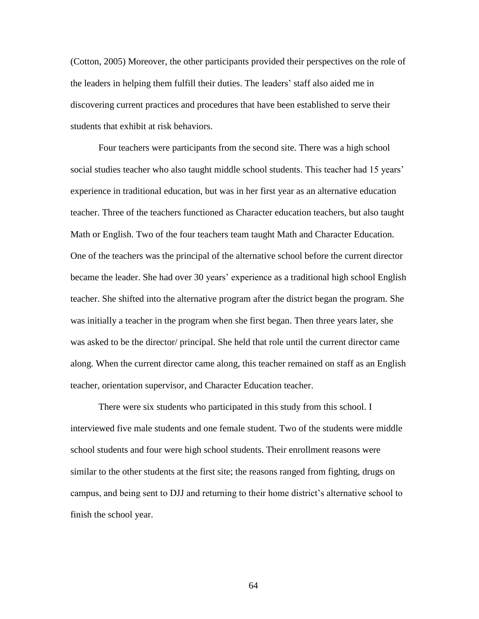(Cotton, 2005) Moreover, the other participants provided their perspectives on the role of the leaders in helping them fulfill their duties. The leaders' staff also aided me in discovering current practices and procedures that have been established to serve their students that exhibit at risk behaviors.

Four teachers were participants from the second site. There was a high school social studies teacher who also taught middle school students. This teacher had 15 years' experience in traditional education, but was in her first year as an alternative education teacher. Three of the teachers functioned as Character education teachers, but also taught Math or English. Two of the four teachers team taught Math and Character Education. One of the teachers was the principal of the alternative school before the current director became the leader. She had over 30 years' experience as a traditional high school English teacher. She shifted into the alternative program after the district began the program. She was initially a teacher in the program when she first began. Then three years later, she was asked to be the director/ principal. She held that role until the current director came along. When the current director came along, this teacher remained on staff as an English teacher, orientation supervisor, and Character Education teacher.

There were six students who participated in this study from this school. I interviewed five male students and one female student. Two of the students were middle school students and four were high school students. Their enrollment reasons were similar to the other students at the first site; the reasons ranged from fighting, drugs on campus, and being sent to DJJ and returning to their home district's alternative school to finish the school year.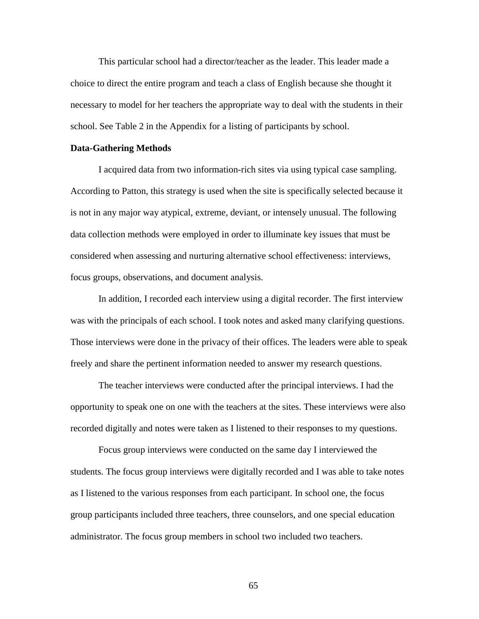This particular school had a director/teacher as the leader. This leader made a choice to direct the entire program and teach a class of English because she thought it necessary to model for her teachers the appropriate way to deal with the students in their school. See Table 2 in the Appendix for a listing of participants by school.

#### **Data-Gathering Methods**

I acquired data from two information-rich sites via using typical case sampling. According to Patton, this strategy is used when the site is specifically selected because it is not in any major way atypical, extreme, deviant, or intensely unusual. The following data collection methods were employed in order to illuminate key issues that must be considered when assessing and nurturing alternative school effectiveness: interviews, focus groups, observations, and document analysis.

In addition, I recorded each interview using a digital recorder. The first interview was with the principals of each school. I took notes and asked many clarifying questions. Those interviews were done in the privacy of their offices. The leaders were able to speak freely and share the pertinent information needed to answer my research questions.

The teacher interviews were conducted after the principal interviews. I had the opportunity to speak one on one with the teachers at the sites. These interviews were also recorded digitally and notes were taken as I listened to their responses to my questions.

Focus group interviews were conducted on the same day I interviewed the students. The focus group interviews were digitally recorded and I was able to take notes as I listened to the various responses from each participant. In school one, the focus group participants included three teachers, three counselors, and one special education administrator. The focus group members in school two included two teachers.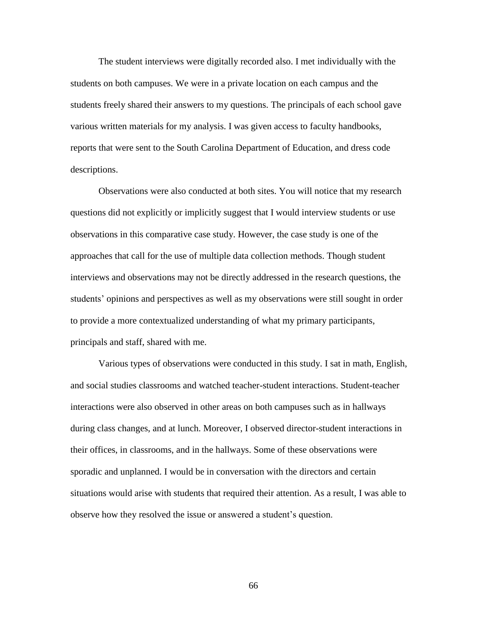The student interviews were digitally recorded also. I met individually with the students on both campuses. We were in a private location on each campus and the students freely shared their answers to my questions. The principals of each school gave various written materials for my analysis. I was given access to faculty handbooks, reports that were sent to the South Carolina Department of Education, and dress code descriptions.

Observations were also conducted at both sites. You will notice that my research questions did not explicitly or implicitly suggest that I would interview students or use observations in this comparative case study. However, the case study is one of the approaches that call for the use of multiple data collection methods. Though student interviews and observations may not be directly addressed in the research questions, the students' opinions and perspectives as well as my observations were still sought in order to provide a more contextualized understanding of what my primary participants, principals and staff, shared with me.

Various types of observations were conducted in this study. I sat in math, English, and social studies classrooms and watched teacher-student interactions. Student-teacher interactions were also observed in other areas on both campuses such as in hallways during class changes, and at lunch. Moreover, I observed director-student interactions in their offices, in classrooms, and in the hallways. Some of these observations were sporadic and unplanned. I would be in conversation with the directors and certain situations would arise with students that required their attention. As a result, I was able to observe how they resolved the issue or answered a student's question.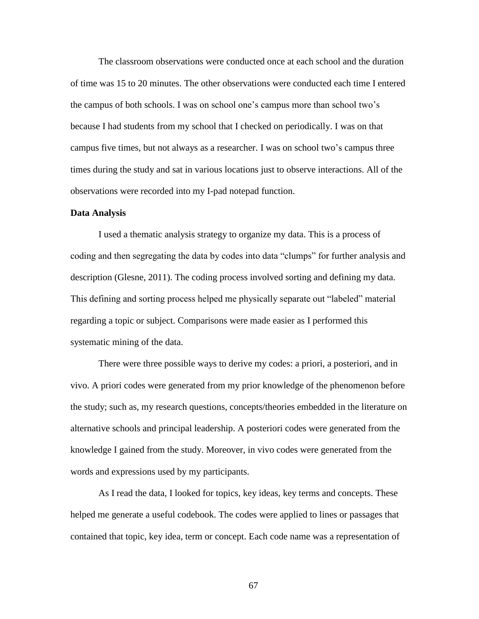The classroom observations were conducted once at each school and the duration of time was 15 to 20 minutes. The other observations were conducted each time I entered the campus of both schools. I was on school one's campus more than school two's because I had students from my school that I checked on periodically. I was on that campus five times, but not always as a researcher. I was on school two's campus three times during the study and sat in various locations just to observe interactions. All of the observations were recorded into my I-pad notepad function.

#### **Data Analysis**

I used a thematic analysis strategy to organize my data. This is a process of coding and then segregating the data by codes into data "clumps" for further analysis and description (Glesne, 2011). The coding process involved sorting and defining my data. This defining and sorting process helped me physically separate out "labeled" material regarding a topic or subject. Comparisons were made easier as I performed this systematic mining of the data.

There were three possible ways to derive my codes: a priori, a posteriori, and in vivo. A priori codes were generated from my prior knowledge of the phenomenon before the study; such as, my research questions, concepts/theories embedded in the literature on alternative schools and principal leadership. A posteriori codes were generated from the knowledge I gained from the study. Moreover, in vivo codes were generated from the words and expressions used by my participants.

As I read the data, I looked for topics, key ideas, key terms and concepts. These helped me generate a useful codebook. The codes were applied to lines or passages that contained that topic, key idea, term or concept. Each code name was a representation of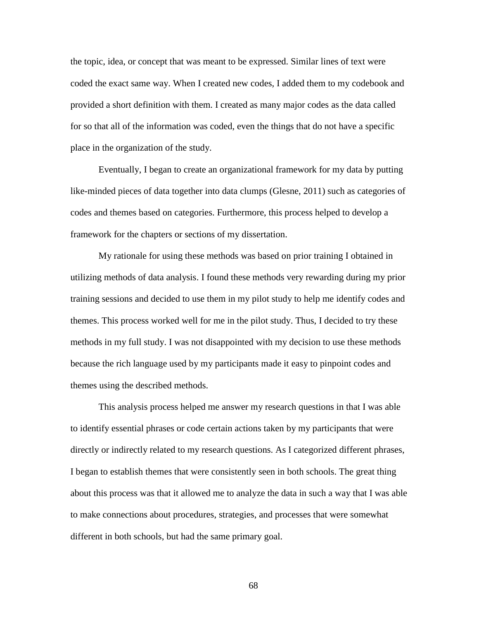the topic, idea, or concept that was meant to be expressed. Similar lines of text were coded the exact same way. When I created new codes, I added them to my codebook and provided a short definition with them. I created as many major codes as the data called for so that all of the information was coded, even the things that do not have a specific place in the organization of the study.

Eventually, I began to create an organizational framework for my data by putting like-minded pieces of data together into data clumps (Glesne, 2011) such as categories of codes and themes based on categories. Furthermore, this process helped to develop a framework for the chapters or sections of my dissertation.

My rationale for using these methods was based on prior training I obtained in utilizing methods of data analysis. I found these methods very rewarding during my prior training sessions and decided to use them in my pilot study to help me identify codes and themes. This process worked well for me in the pilot study. Thus, I decided to try these methods in my full study. I was not disappointed with my decision to use these methods because the rich language used by my participants made it easy to pinpoint codes and themes using the described methods.

This analysis process helped me answer my research questions in that I was able to identify essential phrases or code certain actions taken by my participants that were directly or indirectly related to my research questions. As I categorized different phrases, I began to establish themes that were consistently seen in both schools. The great thing about this process was that it allowed me to analyze the data in such a way that I was able to make connections about procedures, strategies, and processes that were somewhat different in both schools, but had the same primary goal.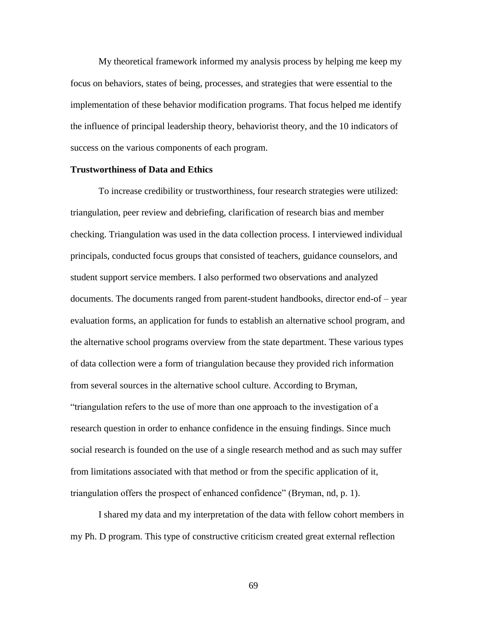My theoretical framework informed my analysis process by helping me keep my focus on behaviors, states of being, processes, and strategies that were essential to the implementation of these behavior modification programs. That focus helped me identify the influence of principal leadership theory, behaviorist theory, and the 10 indicators of success on the various components of each program.

### **Trustworthiness of Data and Ethics**

To increase credibility or trustworthiness, four research strategies were utilized: triangulation, peer review and debriefing, clarification of research bias and member checking. Triangulation was used in the data collection process. I interviewed individual principals, conducted focus groups that consisted of teachers, guidance counselors, and student support service members. I also performed two observations and analyzed documents. The documents ranged from parent-student handbooks, director end-of – year evaluation forms, an application for funds to establish an alternative school program, and the alternative school programs overview from the state department. These various types of data collection were a form of triangulation because they provided rich information from several sources in the alternative school culture. According to Bryman, ―triangulation refers to the use of more than one approach to the investigation of a research question in order to enhance confidence in the ensuing findings. Since much social research is founded on the use of a single research method and as such may suffer from limitations associated with that method or from the specific application of it, triangulation offers the prospect of enhanced confidence‖ (Bryman, nd, p. 1).

I shared my data and my interpretation of the data with fellow cohort members in my Ph. D program. This type of constructive criticism created great external reflection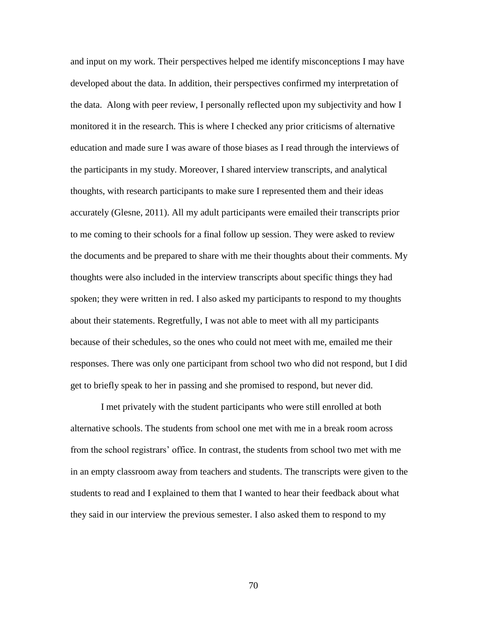and input on my work. Their perspectives helped me identify misconceptions I may have developed about the data. In addition, their perspectives confirmed my interpretation of the data. Along with peer review, I personally reflected upon my subjectivity and how I monitored it in the research. This is where I checked any prior criticisms of alternative education and made sure I was aware of those biases as I read through the interviews of the participants in my study. Moreover, I shared interview transcripts, and analytical thoughts, with research participants to make sure I represented them and their ideas accurately (Glesne, 2011). All my adult participants were emailed their transcripts prior to me coming to their schools for a final follow up session. They were asked to review the documents and be prepared to share with me their thoughts about their comments. My thoughts were also included in the interview transcripts about specific things they had spoken; they were written in red. I also asked my participants to respond to my thoughts about their statements. Regretfully, I was not able to meet with all my participants because of their schedules, so the ones who could not meet with me, emailed me their responses. There was only one participant from school two who did not respond, but I did get to briefly speak to her in passing and she promised to respond, but never did.

I met privately with the student participants who were still enrolled at both alternative schools. The students from school one met with me in a break room across from the school registrars' office. In contrast, the students from school two met with me in an empty classroom away from teachers and students. The transcripts were given to the students to read and I explained to them that I wanted to hear their feedback about what they said in our interview the previous semester. I also asked them to respond to my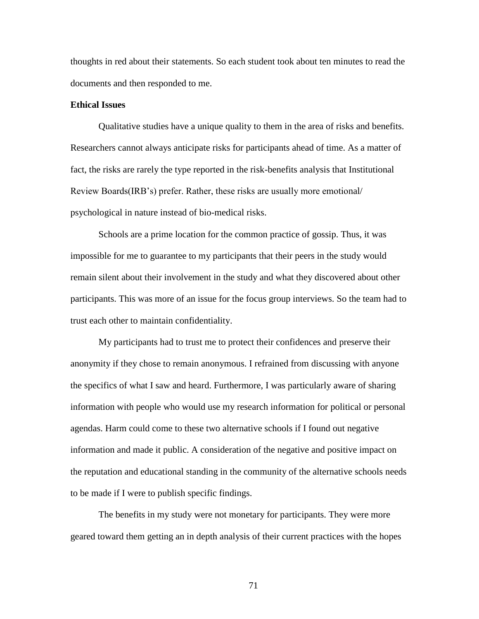thoughts in red about their statements. So each student took about ten minutes to read the documents and then responded to me.

## **Ethical Issues**

Qualitative studies have a unique quality to them in the area of risks and benefits. Researchers cannot always anticipate risks for participants ahead of time. As a matter of fact, the risks are rarely the type reported in the risk-benefits analysis that Institutional Review Boards(IRB's) prefer. Rather, these risks are usually more emotional/ psychological in nature instead of bio-medical risks.

Schools are a prime location for the common practice of gossip. Thus, it was impossible for me to guarantee to my participants that their peers in the study would remain silent about their involvement in the study and what they discovered about other participants. This was more of an issue for the focus group interviews. So the team had to trust each other to maintain confidentiality.

My participants had to trust me to protect their confidences and preserve their anonymity if they chose to remain anonymous. I refrained from discussing with anyone the specifics of what I saw and heard. Furthermore, I was particularly aware of sharing information with people who would use my research information for political or personal agendas. Harm could come to these two alternative schools if I found out negative information and made it public. A consideration of the negative and positive impact on the reputation and educational standing in the community of the alternative schools needs to be made if I were to publish specific findings.

The benefits in my study were not monetary for participants. They were more geared toward them getting an in depth analysis of their current practices with the hopes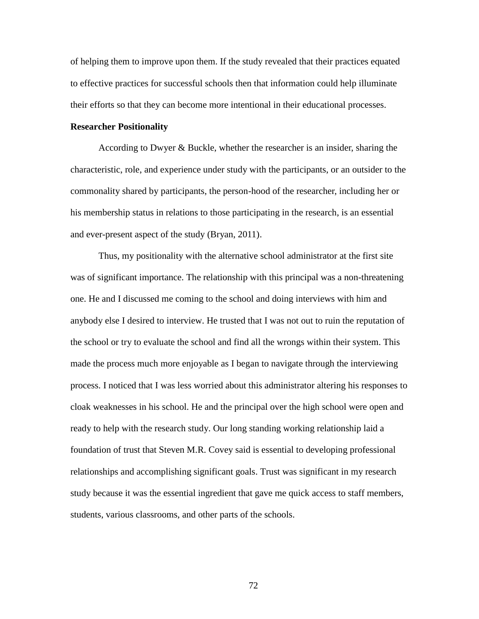of helping them to improve upon them. If the study revealed that their practices equated to effective practices for successful schools then that information could help illuminate their efforts so that they can become more intentional in their educational processes.

### **Researcher Positionality**

According to Dwyer & Buckle, whether the researcher is an insider, sharing the characteristic, role, and experience under study with the participants, or an outsider to the commonality shared by participants, the person-hood of the researcher, including her or his membership status in relations to those participating in the research, is an essential and ever-present aspect of the study (Bryan, 2011).

Thus, my positionality with the alternative school administrator at the first site was of significant importance. The relationship with this principal was a non-threatening one. He and I discussed me coming to the school and doing interviews with him and anybody else I desired to interview. He trusted that I was not out to ruin the reputation of the school or try to evaluate the school and find all the wrongs within their system. This made the process much more enjoyable as I began to navigate through the interviewing process. I noticed that I was less worried about this administrator altering his responses to cloak weaknesses in his school. He and the principal over the high school were open and ready to help with the research study. Our long standing working relationship laid a foundation of trust that Steven M.R. Covey said is essential to developing professional relationships and accomplishing significant goals. Trust was significant in my research study because it was the essential ingredient that gave me quick access to staff members, students, various classrooms, and other parts of the schools.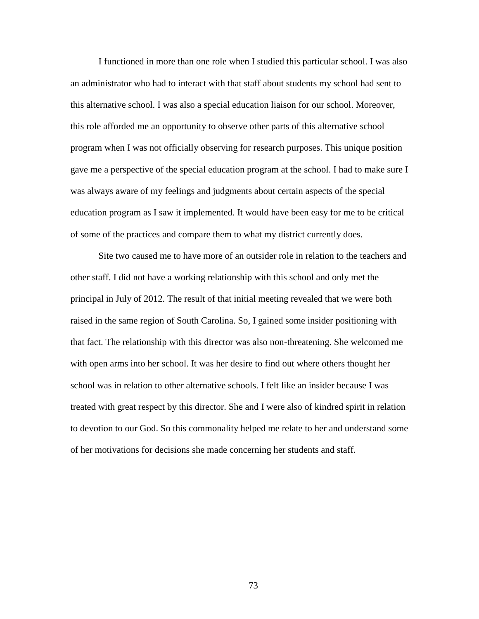I functioned in more than one role when I studied this particular school. I was also an administrator who had to interact with that staff about students my school had sent to this alternative school. I was also a special education liaison for our school. Moreover, this role afforded me an opportunity to observe other parts of this alternative school program when I was not officially observing for research purposes. This unique position gave me a perspective of the special education program at the school. I had to make sure I was always aware of my feelings and judgments about certain aspects of the special education program as I saw it implemented. It would have been easy for me to be critical of some of the practices and compare them to what my district currently does.

Site two caused me to have more of an outsider role in relation to the teachers and other staff. I did not have a working relationship with this school and only met the principal in July of 2012. The result of that initial meeting revealed that we were both raised in the same region of South Carolina. So, I gained some insider positioning with that fact. The relationship with this director was also non-threatening. She welcomed me with open arms into her school. It was her desire to find out where others thought her school was in relation to other alternative schools. I felt like an insider because I was treated with great respect by this director. She and I were also of kindred spirit in relation to devotion to our God. So this commonality helped me relate to her and understand some of her motivations for decisions she made concerning her students and staff.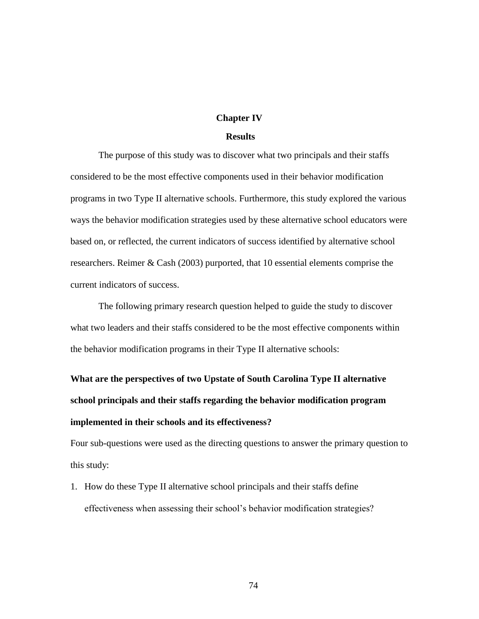## **Chapter IV**

## **Results**

The purpose of this study was to discover what two principals and their staffs considered to be the most effective components used in their behavior modification programs in two Type II alternative schools. Furthermore, this study explored the various ways the behavior modification strategies used by these alternative school educators were based on, or reflected, the current indicators of success identified by alternative school researchers. Reimer & Cash (2003) purported, that 10 essential elements comprise the current indicators of success.

The following primary research question helped to guide the study to discover what two leaders and their staffs considered to be the most effective components within the behavior modification programs in their Type II alternative schools:

# **What are the perspectives of two Upstate of South Carolina Type II alternative school principals and their staffs regarding the behavior modification program implemented in their schools and its effectiveness?**

Four sub-questions were used as the directing questions to answer the primary question to this study:

1. How do these Type II alternative school principals and their staffs define effectiveness when assessing their school's behavior modification strategies?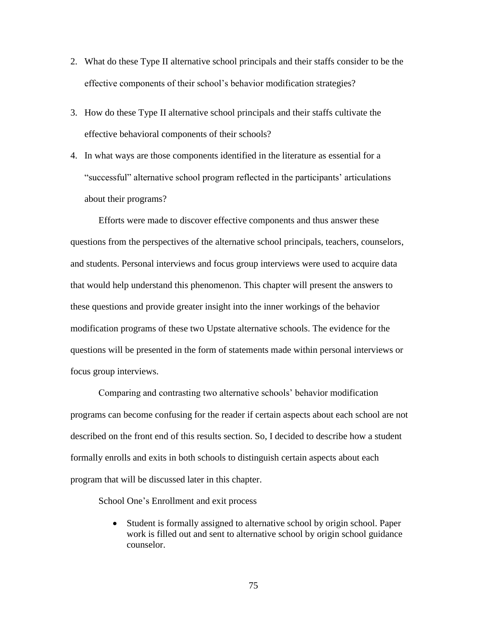- 2. What do these Type II alternative school principals and their staffs consider to be the effective components of their school's behavior modification strategies?
- 3. How do these Type II alternative school principals and their staffs cultivate the effective behavioral components of their schools?
- 4. In what ways are those components identified in the literature as essential for a ―successful‖ alternative school program reflected in the participants' articulations about their programs?

Efforts were made to discover effective components and thus answer these questions from the perspectives of the alternative school principals, teachers, counselors, and students. Personal interviews and focus group interviews were used to acquire data that would help understand this phenomenon. This chapter will present the answers to these questions and provide greater insight into the inner workings of the behavior modification programs of these two Upstate alternative schools. The evidence for the questions will be presented in the form of statements made within personal interviews or focus group interviews.

Comparing and contrasting two alternative schools' behavior modification programs can become confusing for the reader if certain aspects about each school are not described on the front end of this results section. So, I decided to describe how a student formally enrolls and exits in both schools to distinguish certain aspects about each program that will be discussed later in this chapter.

School One's Enrollment and exit process

 Student is formally assigned to alternative school by origin school. Paper work is filled out and sent to alternative school by origin school guidance counselor.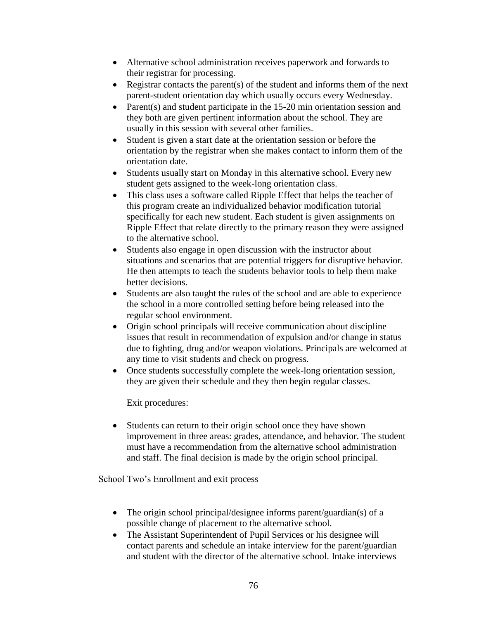- Alternative school administration receives paperwork and forwards to their registrar for processing.
- Registrar contacts the parent(s) of the student and informs them of the next parent-student orientation day which usually occurs every Wednesday.
- Parent(s) and student participate in the  $15-20$  min orientation session and they both are given pertinent information about the school. They are usually in this session with several other families.
- Student is given a start date at the orientation session or before the orientation by the registrar when she makes contact to inform them of the orientation date.
- Students usually start on Monday in this alternative school. Every new student gets assigned to the week-long orientation class.
- This class uses a software called Ripple Effect that helps the teacher of this program create an individualized behavior modification tutorial specifically for each new student. Each student is given assignments on Ripple Effect that relate directly to the primary reason they were assigned to the alternative school.
- Students also engage in open discussion with the instructor about situations and scenarios that are potential triggers for disruptive behavior. He then attempts to teach the students behavior tools to help them make better decisions.
- Students are also taught the rules of the school and are able to experience the school in a more controlled setting before being released into the regular school environment.
- Origin school principals will receive communication about discipline issues that result in recommendation of expulsion and/or change in status due to fighting, drug and/or weapon violations. Principals are welcomed at any time to visit students and check on progress.
- Once students successfully complete the week-long orientation session, they are given their schedule and they then begin regular classes.

## Exit procedures:

• Students can return to their origin school once they have shown improvement in three areas: grades, attendance, and behavior. The student must have a recommendation from the alternative school administration and staff. The final decision is made by the origin school principal.

School Two's Enrollment and exit process

- The origin school principal/designee informs parent/guardian(s) of a possible change of placement to the alternative school.
- The Assistant Superintendent of Pupil Services or his designee will contact parents and schedule an intake interview for the parent/guardian and student with the director of the alternative school. Intake interviews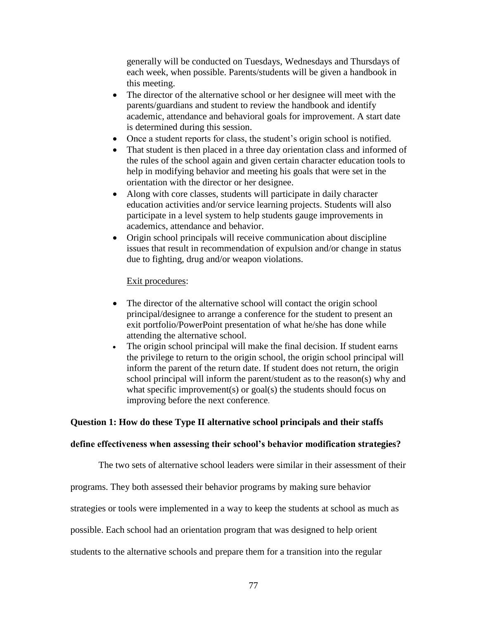generally will be conducted on Tuesdays, Wednesdays and Thursdays of each week, when possible. Parents/students will be given a handbook in this meeting.

- The director of the alternative school or her designee will meet with the parents/guardians and student to review the handbook and identify academic, attendance and behavioral goals for improvement. A start date is determined during this session.
- Once a student reports for class, the student's origin school is notified.
- That student is then placed in a three day orientation class and informed of the rules of the school again and given certain character education tools to help in modifying behavior and meeting his goals that were set in the orientation with the director or her designee.
- Along with core classes, students will participate in daily character education activities and/or service learning projects. Students will also participate in a level system to help students gauge improvements in academics, attendance and behavior.
- Origin school principals will receive communication about discipline issues that result in recommendation of expulsion and/or change in status due to fighting, drug and/or weapon violations.

## Exit procedures:

- The director of the alternative school will contact the origin school principal/designee to arrange a conference for the student to present an exit portfolio/PowerPoint presentation of what he/she has done while attending the alternative school.
- The origin school principal will make the final decision. If student earns the privilege to return to the origin school, the origin school principal will inform the parent of the return date. If student does not return, the origin school principal will inform the parent/student as to the reason(s) why and what specific improvement(s) or goal(s) the students should focus on improving before the next conference.

### **Question 1: How do these Type II alternative school principals and their staffs**

#### **define effectiveness when assessing their school's behavior modification strategies?**

The two sets of alternative school leaders were similar in their assessment of their programs. They both assessed their behavior programs by making sure behavior strategies or tools were implemented in a way to keep the students at school as much as possible. Each school had an orientation program that was designed to help orient students to the alternative schools and prepare them for a transition into the regular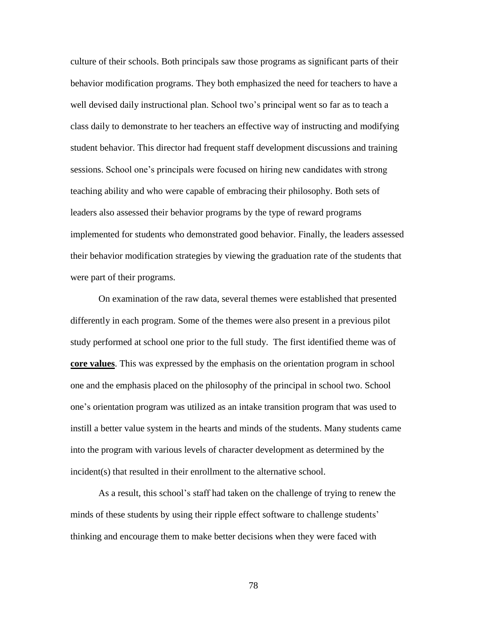culture of their schools. Both principals saw those programs as significant parts of their behavior modification programs. They both emphasized the need for teachers to have a well devised daily instructional plan. School two's principal went so far as to teach a class daily to demonstrate to her teachers an effective way of instructing and modifying student behavior. This director had frequent staff development discussions and training sessions. School one's principals were focused on hiring new candidates with strong teaching ability and who were capable of embracing their philosophy. Both sets of leaders also assessed their behavior programs by the type of reward programs implemented for students who demonstrated good behavior. Finally, the leaders assessed their behavior modification strategies by viewing the graduation rate of the students that were part of their programs.

On examination of the raw data, several themes were established that presented differently in each program. Some of the themes were also present in a previous pilot study performed at school one prior to the full study. The first identified theme was of **core values**. This was expressed by the emphasis on the orientation program in school one and the emphasis placed on the philosophy of the principal in school two. School one's orientation program was utilized as an intake transition program that was used to instill a better value system in the hearts and minds of the students. Many students came into the program with various levels of character development as determined by the incident(s) that resulted in their enrollment to the alternative school.

As a result, this school's staff had taken on the challenge of trying to renew the minds of these students by using their ripple effect software to challenge students' thinking and encourage them to make better decisions when they were faced with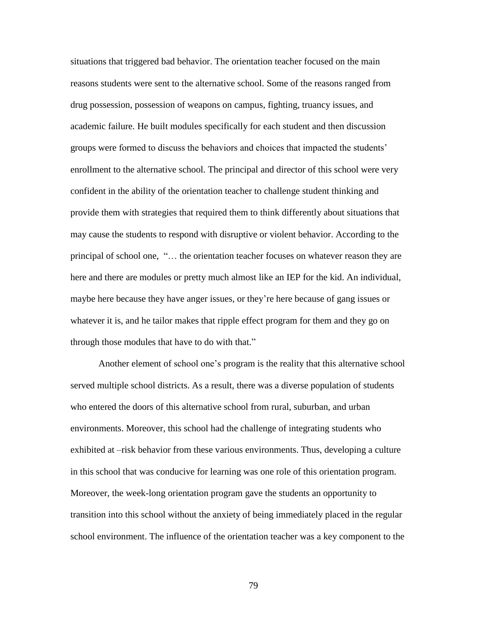situations that triggered bad behavior. The orientation teacher focused on the main reasons students were sent to the alternative school. Some of the reasons ranged from drug possession, possession of weapons on campus, fighting, truancy issues, and academic failure. He built modules specifically for each student and then discussion groups were formed to discuss the behaviors and choices that impacted the students' enrollment to the alternative school. The principal and director of this school were very confident in the ability of the orientation teacher to challenge student thinking and provide them with strategies that required them to think differently about situations that may cause the students to respond with disruptive or violent behavior. According to the principal of school one, ―… the orientation teacher focuses on whatever reason they are here and there are modules or pretty much almost like an IEP for the kid. An individual, maybe here because they have anger issues, or they're here because of gang issues or whatever it is, and he tailor makes that ripple effect program for them and they go on through those modules that have to do with that."

Another element of school one's program is the reality that this alternative school served multiple school districts. As a result, there was a diverse population of students who entered the doors of this alternative school from rural, suburban, and urban environments. Moreover, this school had the challenge of integrating students who exhibited at –risk behavior from these various environments. Thus, developing a culture in this school that was conducive for learning was one role of this orientation program. Moreover, the week-long orientation program gave the students an opportunity to transition into this school without the anxiety of being immediately placed in the regular school environment. The influence of the orientation teacher was a key component to the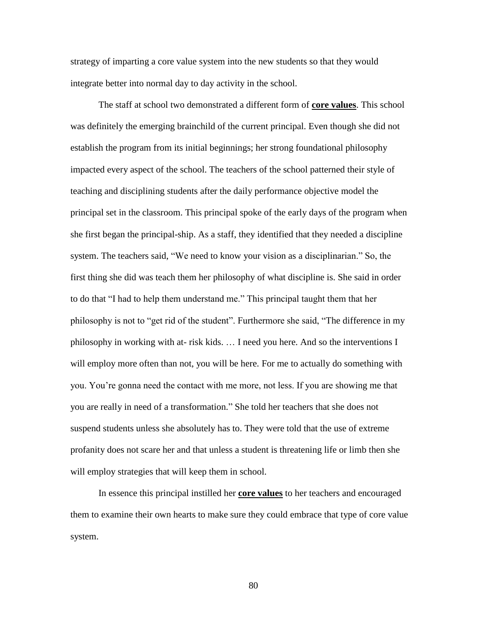strategy of imparting a core value system into the new students so that they would integrate better into normal day to day activity in the school.

The staff at school two demonstrated a different form of **core values**. This school was definitely the emerging brainchild of the current principal. Even though she did not establish the program from its initial beginnings; her strong foundational philosophy impacted every aspect of the school. The teachers of the school patterned their style of teaching and disciplining students after the daily performance objective model the principal set in the classroom. This principal spoke of the early days of the program when she first began the principal-ship. As a staff, they identified that they needed a discipline system. The teachers said, "We need to know your vision as a disciplinarian." So, the first thing she did was teach them her philosophy of what discipline is. She said in order to do that "I had to help them understand me." This principal taught them that her philosophy is not to "get rid of the student". Furthermore she said, "The difference in my philosophy in working with at- risk kids. … I need you here. And so the interventions I will employ more often than not, you will be here. For me to actually do something with you. You're gonna need the contact with me more, not less. If you are showing me that you are really in need of a transformation.‖ She told her teachers that she does not suspend students unless she absolutely has to. They were told that the use of extreme profanity does not scare her and that unless a student is threatening life or limb then she will employ strategies that will keep them in school.

In essence this principal instilled her **core values** to her teachers and encouraged them to examine their own hearts to make sure they could embrace that type of core value system.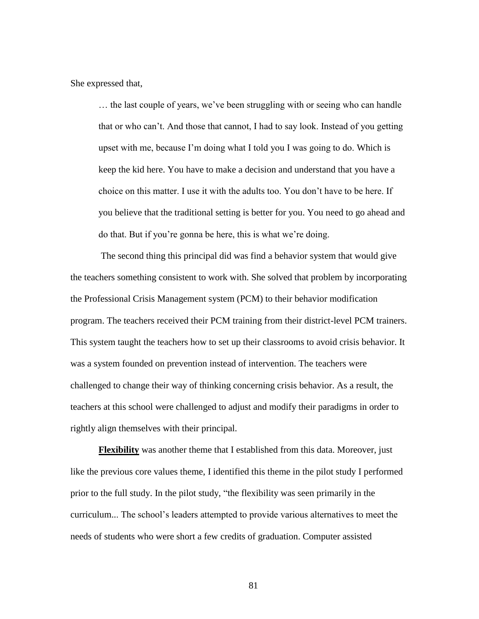She expressed that,

… the last couple of years, we've been struggling with or seeing who can handle that or who can't. And those that cannot, I had to say look. Instead of you getting upset with me, because I'm doing what I told you I was going to do. Which is keep the kid here. You have to make a decision and understand that you have a choice on this matter. I use it with the adults too. You don't have to be here. If you believe that the traditional setting is better for you. You need to go ahead and do that. But if you're gonna be here, this is what we're doing.

The second thing this principal did was find a behavior system that would give the teachers something consistent to work with. She solved that problem by incorporating the Professional Crisis Management system (PCM) to their behavior modification program. The teachers received their PCM training from their district-level PCM trainers. This system taught the teachers how to set up their classrooms to avoid crisis behavior. It was a system founded on prevention instead of intervention. The teachers were challenged to change their way of thinking concerning crisis behavior. As a result, the teachers at this school were challenged to adjust and modify their paradigms in order to rightly align themselves with their principal.

**Flexibility** was another theme that I established from this data. Moreover, just like the previous core values theme, I identified this theme in the pilot study I performed prior to the full study. In the pilot study, "the flexibility was seen primarily in the curriculum... The school's leaders attempted to provide various alternatives to meet the needs of students who were short a few credits of graduation. Computer assisted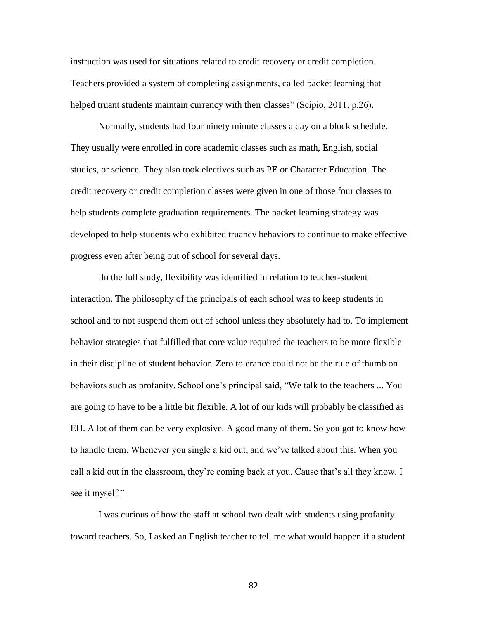instruction was used for situations related to credit recovery or credit completion. Teachers provided a system of completing assignments, called packet learning that helped truant students maintain currency with their classes" (Scipio,  $2011$ , p.26).

Normally, students had four ninety minute classes a day on a block schedule. They usually were enrolled in core academic classes such as math, English, social studies, or science. They also took electives such as PE or Character Education. The credit recovery or credit completion classes were given in one of those four classes to help students complete graduation requirements. The packet learning strategy was developed to help students who exhibited truancy behaviors to continue to make effective progress even after being out of school for several days.

In the full study, flexibility was identified in relation to teacher-student interaction. The philosophy of the principals of each school was to keep students in school and to not suspend them out of school unless they absolutely had to. To implement behavior strategies that fulfilled that core value required the teachers to be more flexible in their discipline of student behavior. Zero tolerance could not be the rule of thumb on behaviors such as profanity. School one's principal said, "We talk to the teachers ... You are going to have to be a little bit flexible. A lot of our kids will probably be classified as EH. A lot of them can be very explosive. A good many of them. So you got to know how to handle them. Whenever you single a kid out, and we've talked about this. When you call a kid out in the classroom, they're coming back at you. Cause that's all they know. I see it myself."

I was curious of how the staff at school two dealt with students using profanity toward teachers. So, I asked an English teacher to tell me what would happen if a student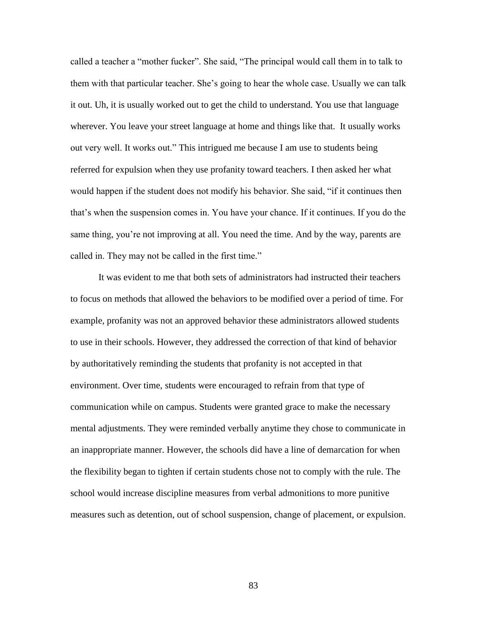called a teacher a "mother fucker". She said, "The principal would call them in to talk to them with that particular teacher. She's going to hear the whole case. Usually we can talk it out. Uh, it is usually worked out to get the child to understand. You use that language wherever. You leave your street language at home and things like that. It usually works out very well. It works out." This intrigued me because I am use to students being referred for expulsion when they use profanity toward teachers. I then asked her what would happen if the student does not modify his behavior. She said, "if it continues then that's when the suspension comes in. You have your chance. If it continues. If you do the same thing, you're not improving at all. You need the time. And by the way, parents are called in. They may not be called in the first time."

It was evident to me that both sets of administrators had instructed their teachers to focus on methods that allowed the behaviors to be modified over a period of time. For example, profanity was not an approved behavior these administrators allowed students to use in their schools. However, they addressed the correction of that kind of behavior by authoritatively reminding the students that profanity is not accepted in that environment. Over time, students were encouraged to refrain from that type of communication while on campus. Students were granted grace to make the necessary mental adjustments. They were reminded verbally anytime they chose to communicate in an inappropriate manner. However, the schools did have a line of demarcation for when the flexibility began to tighten if certain students chose not to comply with the rule. The school would increase discipline measures from verbal admonitions to more punitive measures such as detention, out of school suspension, change of placement, or expulsion.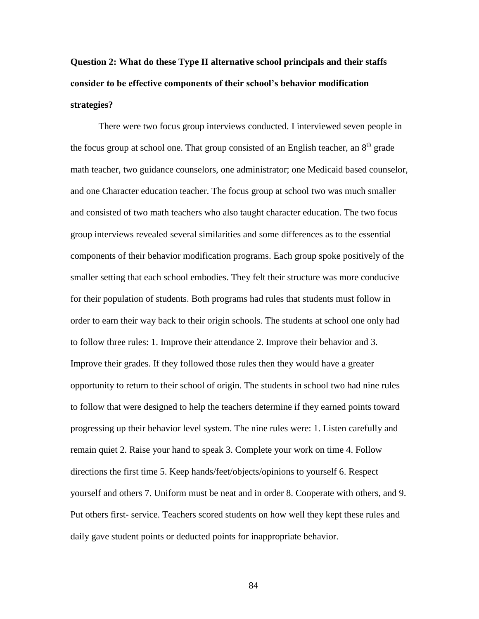## **Question 2: What do these Type II alternative school principals and their staffs consider to be effective components of their school's behavior modification strategies?**

There were two focus group interviews conducted. I interviewed seven people in the focus group at school one. That group consisted of an English teacher, an 8<sup>th</sup> grade math teacher, two guidance counselors, one administrator; one Medicaid based counselor, and one Character education teacher. The focus group at school two was much smaller and consisted of two math teachers who also taught character education. The two focus group interviews revealed several similarities and some differences as to the essential components of their behavior modification programs. Each group spoke positively of the smaller setting that each school embodies. They felt their structure was more conducive for their population of students. Both programs had rules that students must follow in order to earn their way back to their origin schools. The students at school one only had to follow three rules: 1. Improve their attendance 2. Improve their behavior and 3. Improve their grades. If they followed those rules then they would have a greater opportunity to return to their school of origin. The students in school two had nine rules to follow that were designed to help the teachers determine if they earned points toward progressing up their behavior level system. The nine rules were: 1. Listen carefully and remain quiet 2. Raise your hand to speak 3. Complete your work on time 4. Follow directions the first time 5. Keep hands/feet/objects/opinions to yourself 6. Respect yourself and others 7. Uniform must be neat and in order 8. Cooperate with others, and 9. Put others first- service. Teachers scored students on how well they kept these rules and daily gave student points or deducted points for inappropriate behavior.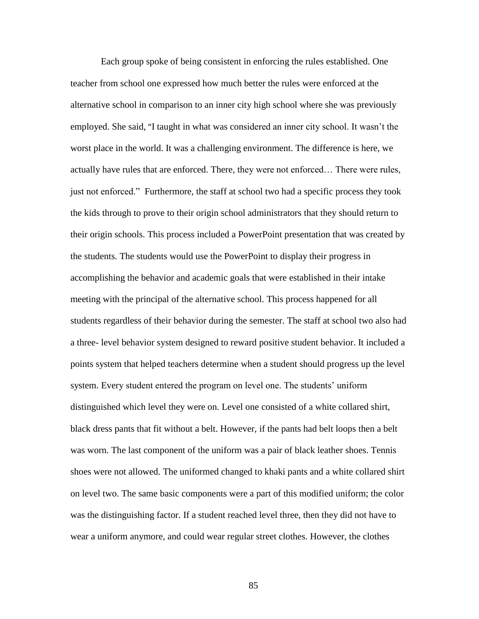Each group spoke of being consistent in enforcing the rules established. One teacher from school one expressed how much better the rules were enforced at the alternative school in comparison to an inner city high school where she was previously employed. She said, "I taught in what was considered an inner city school. It wasn't the worst place in the world. It was a challenging environment. The difference is here, we actually have rules that are enforced. There, they were not enforced… There were rules, just not enforced.‖ Furthermore, the staff at school two had a specific process they took the kids through to prove to their origin school administrators that they should return to their origin schools. This process included a PowerPoint presentation that was created by the students. The students would use the PowerPoint to display their progress in accomplishing the behavior and academic goals that were established in their intake meeting with the principal of the alternative school. This process happened for all students regardless of their behavior during the semester. The staff at school two also had a three- level behavior system designed to reward positive student behavior. It included a points system that helped teachers determine when a student should progress up the level system. Every student entered the program on level one. The students' uniform distinguished which level they were on. Level one consisted of a white collared shirt, black dress pants that fit without a belt. However, if the pants had belt loops then a belt was worn. The last component of the uniform was a pair of black leather shoes. Tennis shoes were not allowed. The uniformed changed to khaki pants and a white collared shirt on level two. The same basic components were a part of this modified uniform; the color was the distinguishing factor. If a student reached level three, then they did not have to wear a uniform anymore, and could wear regular street clothes. However, the clothes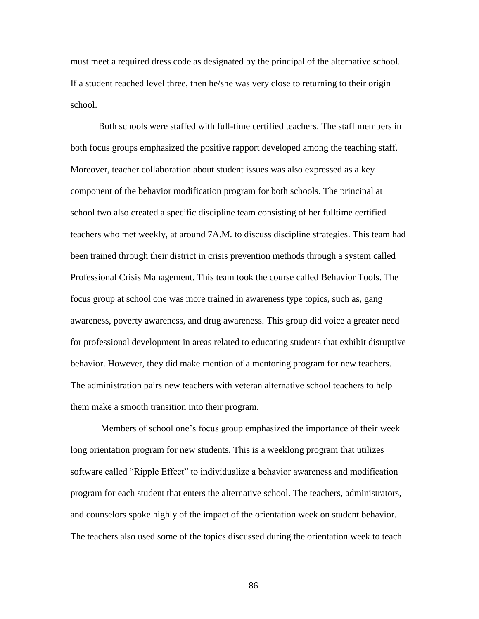must meet a required dress code as designated by the principal of the alternative school. If a student reached level three, then he/she was very close to returning to their origin school.

Both schools were staffed with full-time certified teachers. The staff members in both focus groups emphasized the positive rapport developed among the teaching staff. Moreover, teacher collaboration about student issues was also expressed as a key component of the behavior modification program for both schools. The principal at school two also created a specific discipline team consisting of her fulltime certified teachers who met weekly, at around 7A.M. to discuss discipline strategies. This team had been trained through their district in crisis prevention methods through a system called Professional Crisis Management. This team took the course called Behavior Tools. The focus group at school one was more trained in awareness type topics, such as, gang awareness, poverty awareness, and drug awareness. This group did voice a greater need for professional development in areas related to educating students that exhibit disruptive behavior. However, they did make mention of a mentoring program for new teachers. The administration pairs new teachers with veteran alternative school teachers to help them make a smooth transition into their program.

Members of school one's focus group emphasized the importance of their week long orientation program for new students. This is a weeklong program that utilizes software called "Ripple Effect" to individualize a behavior awareness and modification program for each student that enters the alternative school. The teachers, administrators, and counselors spoke highly of the impact of the orientation week on student behavior. The teachers also used some of the topics discussed during the orientation week to teach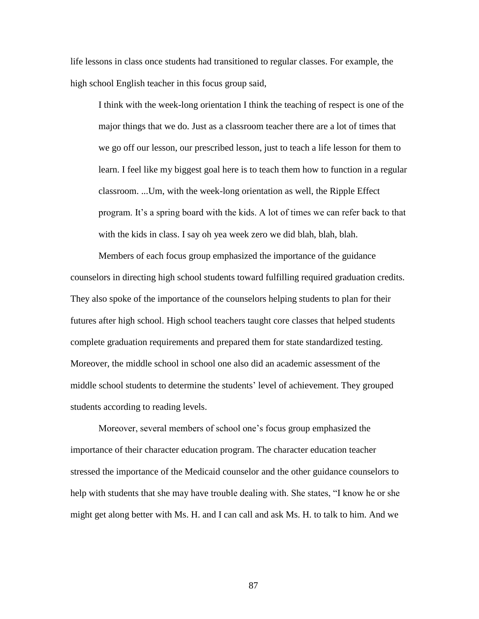life lessons in class once students had transitioned to regular classes. For example, the high school English teacher in this focus group said,

I think with the week-long orientation I think the teaching of respect is one of the major things that we do. Just as a classroom teacher there are a lot of times that we go off our lesson, our prescribed lesson, just to teach a life lesson for them to learn. I feel like my biggest goal here is to teach them how to function in a regular classroom. ...Um, with the week-long orientation as well, the Ripple Effect program. It's a spring board with the kids. A lot of times we can refer back to that with the kids in class. I say oh yea week zero we did blah, blah, blah.

Members of each focus group emphasized the importance of the guidance counselors in directing high school students toward fulfilling required graduation credits. They also spoke of the importance of the counselors helping students to plan for their futures after high school. High school teachers taught core classes that helped students complete graduation requirements and prepared them for state standardized testing. Moreover, the middle school in school one also did an academic assessment of the middle school students to determine the students' level of achievement. They grouped students according to reading levels.

Moreover, several members of school one's focus group emphasized the importance of their character education program. The character education teacher stressed the importance of the Medicaid counselor and the other guidance counselors to help with students that she may have trouble dealing with. She states, "I know he or she might get along better with Ms. H. and I can call and ask Ms. H. to talk to him. And we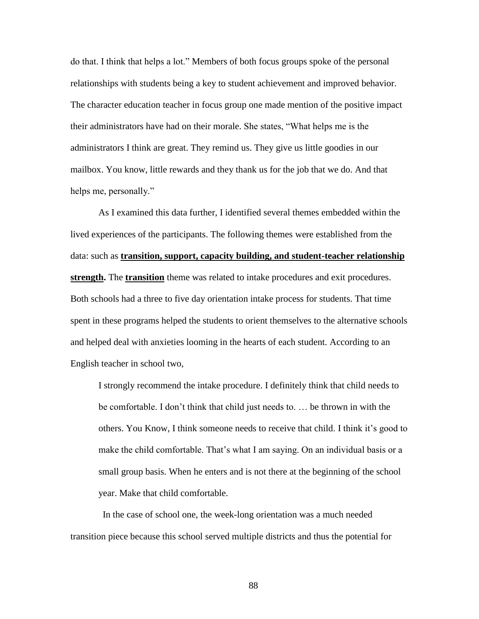do that. I think that helps a lot.‖ Members of both focus groups spoke of the personal relationships with students being a key to student achievement and improved behavior. The character education teacher in focus group one made mention of the positive impact their administrators have had on their morale. She states, "What helps me is the administrators I think are great. They remind us. They give us little goodies in our mailbox. You know, little rewards and they thank us for the job that we do. And that helps me, personally."

As I examined this data further, I identified several themes embedded within the lived experiences of the participants. The following themes were established from the data: such as **transition, support, capacity building, and student-teacher relationship strength.** The **transition** theme was related to intake procedures and exit procedures. Both schools had a three to five day orientation intake process for students. That time spent in these programs helped the students to orient themselves to the alternative schools and helped deal with anxieties looming in the hearts of each student. According to an English teacher in school two,

I strongly recommend the intake procedure. I definitely think that child needs to be comfortable. I don't think that child just needs to. … be thrown in with the others. You Know, I think someone needs to receive that child. I think it's good to make the child comfortable. That's what I am saying. On an individual basis or a small group basis. When he enters and is not there at the beginning of the school year. Make that child comfortable.

In the case of school one, the week-long orientation was a much needed transition piece because this school served multiple districts and thus the potential for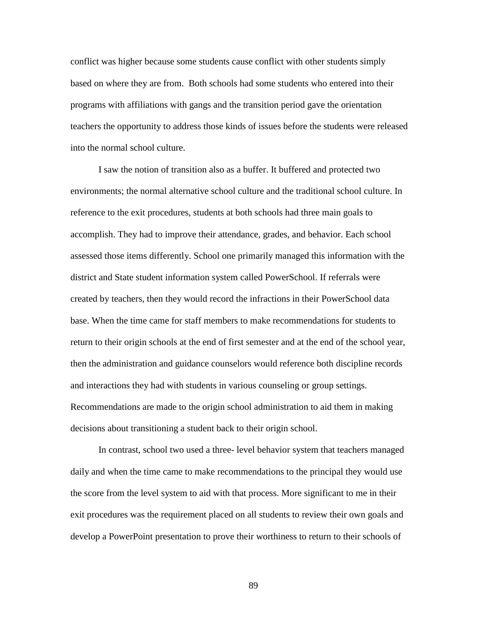conflict was higher because some students cause conflict with other students simply based on where they are from. Both schools had some students who entered into their programs with affiliations with gangs and the transition period gave the orientation teachers the opportunity to address those kinds of issues before the students were released into the normal school culture.

I saw the notion of transition also as a buffer. It buffered and protected two environments; the normal alternative school culture and the traditional school culture. In reference to the exit procedures, students at both schools had three main goals to accomplish. They had to improve their attendance, grades, and behavior. Each school assessed those items differently. School one primarily managed this information with the district and State student information system called PowerSchool. If referrals were created by teachers, then they would record the infractions in their PowerSchool data base. When the time came for staff members to make recommendations for students to return to their origin schools at the end of first semester and at the end of the school year, then the administration and guidance counselors would reference both discipline records and interactions they had with students in various counseling or group settings. Recommendations are made to the origin school administration to aid them in making decisions about transitioning a student back to their origin school.

In contrast, school two used a three- level behavior system that teachers managed daily and when the time came to make recommendations to the principal they would use the score from the level system to aid with that process. More significant to me in their exit procedures was the requirement placed on all students to review their own goals and develop a PowerPoint presentation to prove their worthiness to return to their schools of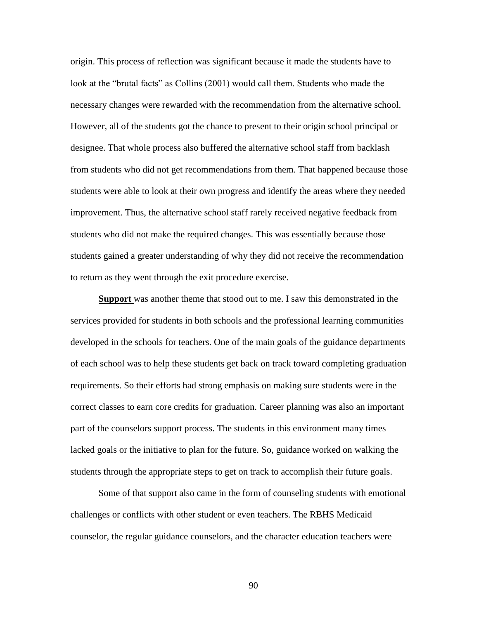origin. This process of reflection was significant because it made the students have to look at the "brutal facts" as Collins (2001) would call them. Students who made the necessary changes were rewarded with the recommendation from the alternative school. However, all of the students got the chance to present to their origin school principal or designee. That whole process also buffered the alternative school staff from backlash from students who did not get recommendations from them. That happened because those students were able to look at their own progress and identify the areas where they needed improvement. Thus, the alternative school staff rarely received negative feedback from students who did not make the required changes. This was essentially because those students gained a greater understanding of why they did not receive the recommendation to return as they went through the exit procedure exercise.

**Support** was another theme that stood out to me. I saw this demonstrated in the services provided for students in both schools and the professional learning communities developed in the schools for teachers. One of the main goals of the guidance departments of each school was to help these students get back on track toward completing graduation requirements. So their efforts had strong emphasis on making sure students were in the correct classes to earn core credits for graduation. Career planning was also an important part of the counselors support process. The students in this environment many times lacked goals or the initiative to plan for the future. So, guidance worked on walking the students through the appropriate steps to get on track to accomplish their future goals.

Some of that support also came in the form of counseling students with emotional challenges or conflicts with other student or even teachers. The RBHS Medicaid counselor, the regular guidance counselors, and the character education teachers were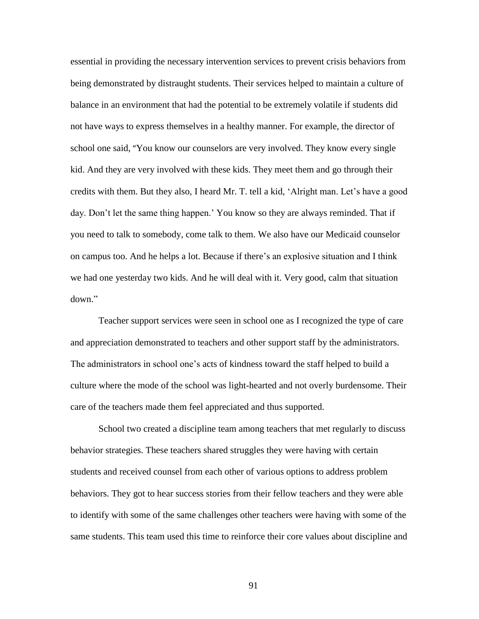essential in providing the necessary intervention services to prevent crisis behaviors from being demonstrated by distraught students. Their services helped to maintain a culture of balance in an environment that had the potential to be extremely volatile if students did not have ways to express themselves in a healthy manner. For example, the director of school one said, "You know our counselors are very involved. They know every single kid. And they are very involved with these kids. They meet them and go through their credits with them. But they also, I heard Mr. T. tell a kid, ‗Alright man. Let's have a good day. Don't let the same thing happen.' You know so they are always reminded. That if you need to talk to somebody, come talk to them. We also have our Medicaid counselor on campus too. And he helps a lot. Because if there's an explosive situation and I think we had one yesterday two kids. And he will deal with it. Very good, calm that situation down."

Teacher support services were seen in school one as I recognized the type of care and appreciation demonstrated to teachers and other support staff by the administrators. The administrators in school one's acts of kindness toward the staff helped to build a culture where the mode of the school was light-hearted and not overly burdensome. Their care of the teachers made them feel appreciated and thus supported.

School two created a discipline team among teachers that met regularly to discuss behavior strategies. These teachers shared struggles they were having with certain students and received counsel from each other of various options to address problem behaviors. They got to hear success stories from their fellow teachers and they were able to identify with some of the same challenges other teachers were having with some of the same students. This team used this time to reinforce their core values about discipline and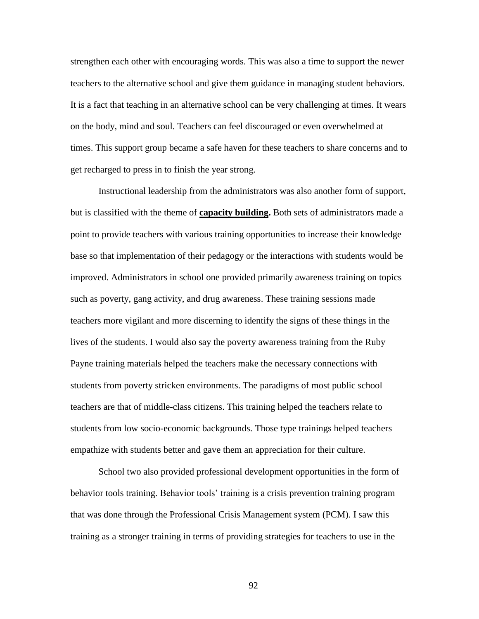strengthen each other with encouraging words. This was also a time to support the newer teachers to the alternative school and give them guidance in managing student behaviors. It is a fact that teaching in an alternative school can be very challenging at times. It wears on the body, mind and soul. Teachers can feel discouraged or even overwhelmed at times. This support group became a safe haven for these teachers to share concerns and to get recharged to press in to finish the year strong.

Instructional leadership from the administrators was also another form of support, but is classified with the theme of **capacity building.** Both sets of administrators made a point to provide teachers with various training opportunities to increase their knowledge base so that implementation of their pedagogy or the interactions with students would be improved. Administrators in school one provided primarily awareness training on topics such as poverty, gang activity, and drug awareness. These training sessions made teachers more vigilant and more discerning to identify the signs of these things in the lives of the students. I would also say the poverty awareness training from the Ruby Payne training materials helped the teachers make the necessary connections with students from poverty stricken environments. The paradigms of most public school teachers are that of middle-class citizens. This training helped the teachers relate to students from low socio-economic backgrounds. Those type trainings helped teachers empathize with students better and gave them an appreciation for their culture.

School two also provided professional development opportunities in the form of behavior tools training. Behavior tools' training is a crisis prevention training program that was done through the Professional Crisis Management system (PCM). I saw this training as a stronger training in terms of providing strategies for teachers to use in the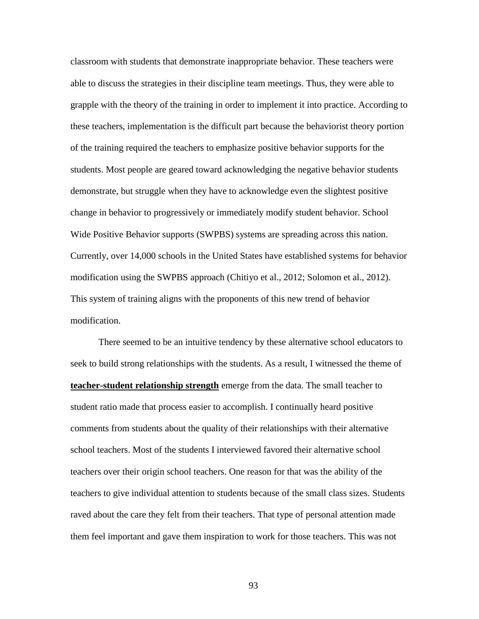classroom with students that demonstrate inappropriate behavior. These teachers were able to discuss the strategies in their discipline team meetings. Thus, they were able to grapple with the theory of the training in order to implement it into practice. According to these teachers, implementation is the difficult part because the behaviorist theory portion of the training required the teachers to emphasize positive behavior supports for the students. Most people are geared toward acknowledging the negative behavior students demonstrate, but struggle when they have to acknowledge even the slightest positive change in behavior to progressively or immediately modify student behavior. School Wide Positive Behavior supports (SWPBS) systems are spreading across this nation. Currently, over 14,000 schools in the United States have established systems for behavior modification using the SWPBS approach (Chitiyo et al., 2012; Solomon et al., 2012). This system of training aligns with the proponents of this new trend of behavior modification.

There seemed to be an intuitive tendency by these alternative school educators to seek to build strong relationships with the students. As a result, I witnessed the theme of **teacher-student relationship strength** emerge from the data. The small teacher to student ratio made that process easier to accomplish. I continually heard positive comments from students about the quality of their relationships with their alternative school teachers. Most of the students I interviewed favored their alternative school teachers over their origin school teachers. One reason for that was the ability of the teachers to give individual attention to students because of the small class sizes. Students raved about the care they felt from their teachers. That type of personal attention made them feel important and gave them inspiration to work for those teachers. This was not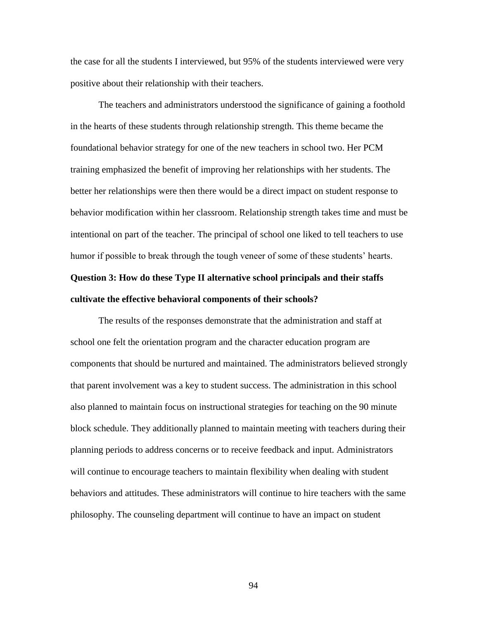the case for all the students I interviewed, but 95% of the students interviewed were very positive about their relationship with their teachers.

The teachers and administrators understood the significance of gaining a foothold in the hearts of these students through relationship strength. This theme became the foundational behavior strategy for one of the new teachers in school two. Her PCM training emphasized the benefit of improving her relationships with her students. The better her relationships were then there would be a direct impact on student response to behavior modification within her classroom. Relationship strength takes time and must be intentional on part of the teacher. The principal of school one liked to tell teachers to use humor if possible to break through the tough veneer of some of these students' hearts.

## **Question 3: How do these Type II alternative school principals and their staffs cultivate the effective behavioral components of their schools?**

The results of the responses demonstrate that the administration and staff at school one felt the orientation program and the character education program are components that should be nurtured and maintained. The administrators believed strongly that parent involvement was a key to student success. The administration in this school also planned to maintain focus on instructional strategies for teaching on the 90 minute block schedule. They additionally planned to maintain meeting with teachers during their planning periods to address concerns or to receive feedback and input. Administrators will continue to encourage teachers to maintain flexibility when dealing with student behaviors and attitudes. These administrators will continue to hire teachers with the same philosophy. The counseling department will continue to have an impact on student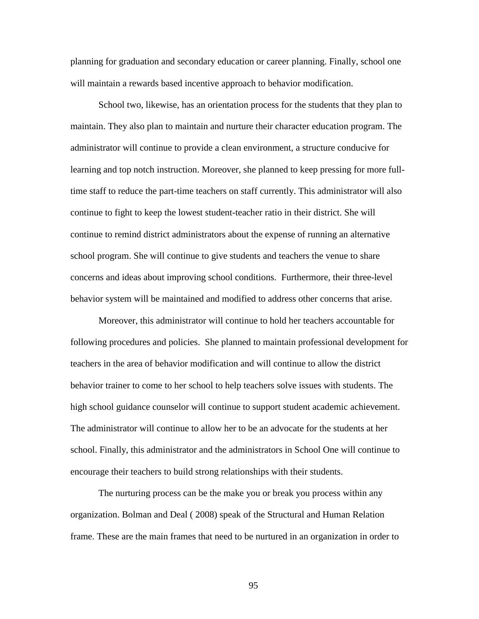planning for graduation and secondary education or career planning. Finally, school one will maintain a rewards based incentive approach to behavior modification.

School two, likewise, has an orientation process for the students that they plan to maintain. They also plan to maintain and nurture their character education program. The administrator will continue to provide a clean environment, a structure conducive for learning and top notch instruction. Moreover, she planned to keep pressing for more fulltime staff to reduce the part-time teachers on staff currently. This administrator will also continue to fight to keep the lowest student-teacher ratio in their district. She will continue to remind district administrators about the expense of running an alternative school program. She will continue to give students and teachers the venue to share concerns and ideas about improving school conditions. Furthermore, their three-level behavior system will be maintained and modified to address other concerns that arise.

Moreover, this administrator will continue to hold her teachers accountable for following procedures and policies. She planned to maintain professional development for teachers in the area of behavior modification and will continue to allow the district behavior trainer to come to her school to help teachers solve issues with students. The high school guidance counselor will continue to support student academic achievement. The administrator will continue to allow her to be an advocate for the students at her school. Finally, this administrator and the administrators in School One will continue to encourage their teachers to build strong relationships with their students.

The nurturing process can be the make you or break you process within any organization. Bolman and Deal ( 2008) speak of the Structural and Human Relation frame. These are the main frames that need to be nurtured in an organization in order to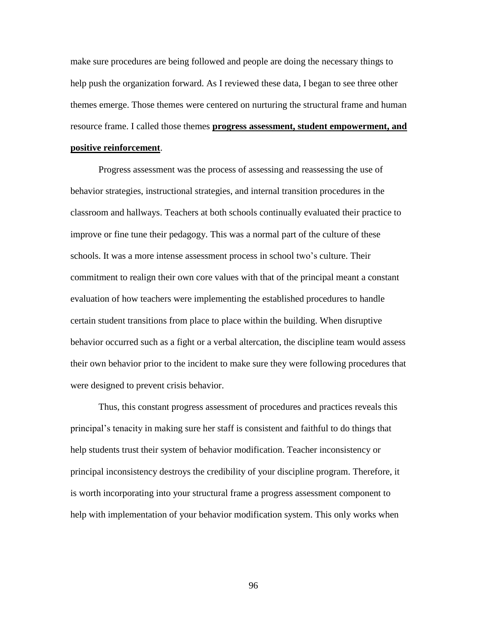make sure procedures are being followed and people are doing the necessary things to help push the organization forward. As I reviewed these data, I began to see three other themes emerge. Those themes were centered on nurturing the structural frame and human resource frame. I called those themes **progress assessment, student empowerment, and** 

## **positive reinforcement**.

Progress assessment was the process of assessing and reassessing the use of behavior strategies, instructional strategies, and internal transition procedures in the classroom and hallways. Teachers at both schools continually evaluated their practice to improve or fine tune their pedagogy. This was a normal part of the culture of these schools. It was a more intense assessment process in school two's culture. Their commitment to realign their own core values with that of the principal meant a constant evaluation of how teachers were implementing the established procedures to handle certain student transitions from place to place within the building. When disruptive behavior occurred such as a fight or a verbal altercation, the discipline team would assess their own behavior prior to the incident to make sure they were following procedures that were designed to prevent crisis behavior.

Thus, this constant progress assessment of procedures and practices reveals this principal's tenacity in making sure her staff is consistent and faithful to do things that help students trust their system of behavior modification. Teacher inconsistency or principal inconsistency destroys the credibility of your discipline program. Therefore, it is worth incorporating into your structural frame a progress assessment component to help with implementation of your behavior modification system. This only works when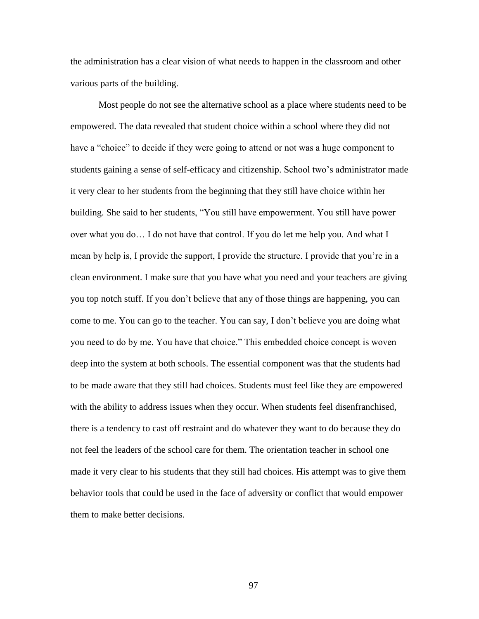the administration has a clear vision of what needs to happen in the classroom and other various parts of the building.

Most people do not see the alternative school as a place where students need to be empowered. The data revealed that student choice within a school where they did not have a "choice" to decide if they were going to attend or not was a huge component to students gaining a sense of self-efficacy and citizenship. School two's administrator made it very clear to her students from the beginning that they still have choice within her building. She said to her students, "You still have empowerment. You still have power over what you do… I do not have that control. If you do let me help you. And what I mean by help is, I provide the support, I provide the structure. I provide that you're in a clean environment. I make sure that you have what you need and your teachers are giving you top notch stuff. If you don't believe that any of those things are happening, you can come to me. You can go to the teacher. You can say, I don't believe you are doing what you need to do by me. You have that choice." This embedded choice concept is woven deep into the system at both schools. The essential component was that the students had to be made aware that they still had choices. Students must feel like they are empowered with the ability to address issues when they occur. When students feel disenfranchised, there is a tendency to cast off restraint and do whatever they want to do because they do not feel the leaders of the school care for them. The orientation teacher in school one made it very clear to his students that they still had choices. His attempt was to give them behavior tools that could be used in the face of adversity or conflict that would empower them to make better decisions.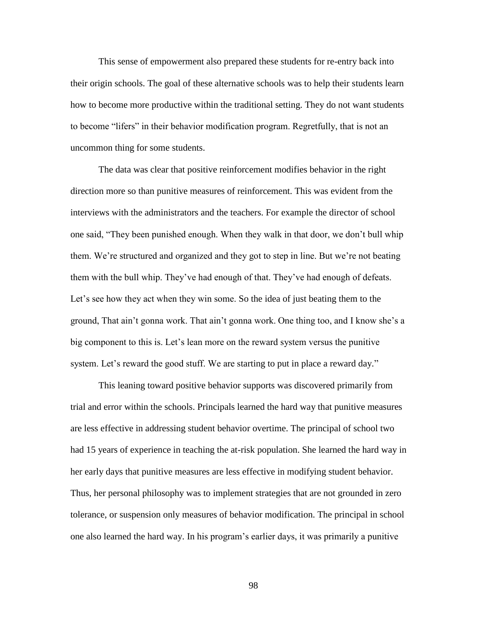This sense of empowerment also prepared these students for re-entry back into their origin schools. The goal of these alternative schools was to help their students learn how to become more productive within the traditional setting. They do not want students to become "lifers" in their behavior modification program. Regretfully, that is not an uncommon thing for some students.

The data was clear that positive reinforcement modifies behavior in the right direction more so than punitive measures of reinforcement. This was evident from the interviews with the administrators and the teachers. For example the director of school one said, "They been punished enough. When they walk in that door, we don't bull whip them. We're structured and organized and they got to step in line. But we're not beating them with the bull whip. They've had enough of that. They've had enough of defeats. Let's see how they act when they win some. So the idea of just beating them to the ground, That ain't gonna work. That ain't gonna work. One thing too, and I know she's a big component to this is. Let's lean more on the reward system versus the punitive system. Let's reward the good stuff. We are starting to put in place a reward day."

This leaning toward positive behavior supports was discovered primarily from trial and error within the schools. Principals learned the hard way that punitive measures are less effective in addressing student behavior overtime. The principal of school two had 15 years of experience in teaching the at-risk population. She learned the hard way in her early days that punitive measures are less effective in modifying student behavior. Thus, her personal philosophy was to implement strategies that are not grounded in zero tolerance, or suspension only measures of behavior modification. The principal in school one also learned the hard way. In his program's earlier days, it was primarily a punitive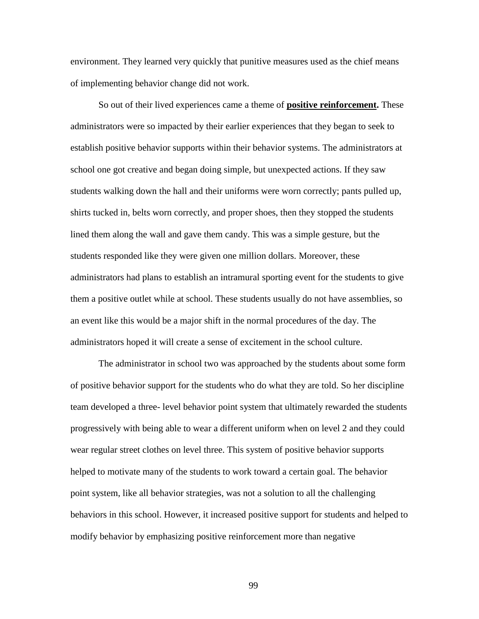environment. They learned very quickly that punitive measures used as the chief means of implementing behavior change did not work.

So out of their lived experiences came a theme of **positive reinforcement.** These administrators were so impacted by their earlier experiences that they began to seek to establish positive behavior supports within their behavior systems. The administrators at school one got creative and began doing simple, but unexpected actions. If they saw students walking down the hall and their uniforms were worn correctly; pants pulled up, shirts tucked in, belts worn correctly, and proper shoes, then they stopped the students lined them along the wall and gave them candy. This was a simple gesture, but the students responded like they were given one million dollars. Moreover, these administrators had plans to establish an intramural sporting event for the students to give them a positive outlet while at school. These students usually do not have assemblies, so an event like this would be a major shift in the normal procedures of the day. The administrators hoped it will create a sense of excitement in the school culture.

The administrator in school two was approached by the students about some form of positive behavior support for the students who do what they are told. So her discipline team developed a three- level behavior point system that ultimately rewarded the students progressively with being able to wear a different uniform when on level 2 and they could wear regular street clothes on level three. This system of positive behavior supports helped to motivate many of the students to work toward a certain goal. The behavior point system, like all behavior strategies, was not a solution to all the challenging behaviors in this school. However, it increased positive support for students and helped to modify behavior by emphasizing positive reinforcement more than negative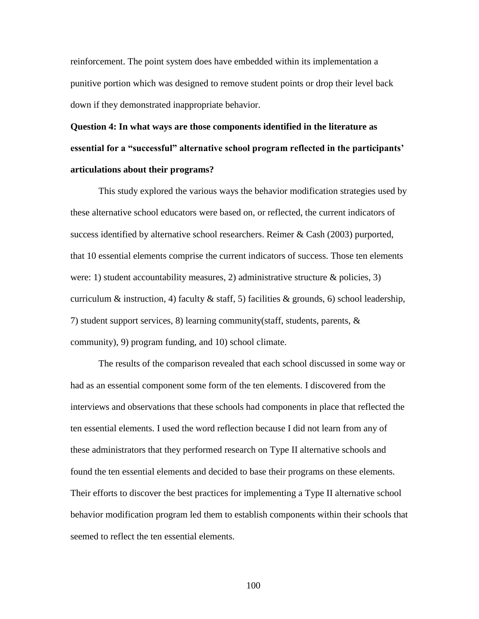reinforcement. The point system does have embedded within its implementation a punitive portion which was designed to remove student points or drop their level back down if they demonstrated inappropriate behavior.

# **Question 4: In what ways are those components identified in the literature as essential for a "successful" alternative school program reflected in the participants' articulations about their programs?**

This study explored the various ways the behavior modification strategies used by these alternative school educators were based on, or reflected, the current indicators of success identified by alternative school researchers. Reimer & Cash (2003) purported, that 10 essential elements comprise the current indicators of success. Those ten elements were: 1) student accountability measures, 2) administrative structure  $\&$  policies, 3) curriculum & instruction, 4) faculty & staff, 5) facilities & grounds, 6) school leadership, 7) student support services, 8) learning community(staff, students, parents, & community), 9) program funding, and 10) school climate.

The results of the comparison revealed that each school discussed in some way or had as an essential component some form of the ten elements. I discovered from the interviews and observations that these schools had components in place that reflected the ten essential elements. I used the word reflection because I did not learn from any of these administrators that they performed research on Type II alternative schools and found the ten essential elements and decided to base their programs on these elements. Their efforts to discover the best practices for implementing a Type II alternative school behavior modification program led them to establish components within their schools that seemed to reflect the ten essential elements.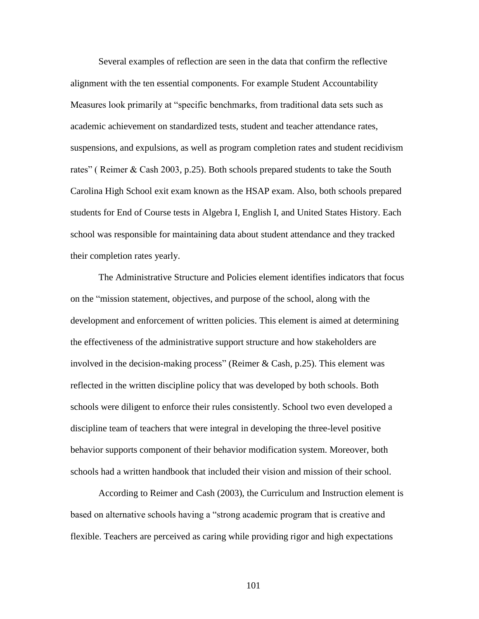Several examples of reflection are seen in the data that confirm the reflective alignment with the ten essential components. For example Student Accountability Measures look primarily at "specific benchmarks, from traditional data sets such as academic achievement on standardized tests, student and teacher attendance rates, suspensions, and expulsions, as well as program completion rates and student recidivism rates" (Reimer & Cash 2003, p.25). Both schools prepared students to take the South Carolina High School exit exam known as the HSAP exam. Also, both schools prepared students for End of Course tests in Algebra I, English I, and United States History. Each school was responsible for maintaining data about student attendance and they tracked their completion rates yearly.

The Administrative Structure and Policies element identifies indicators that focus on the "mission statement, objectives, and purpose of the school, along with the development and enforcement of written policies. This element is aimed at determining the effectiveness of the administrative support structure and how stakeholders are involved in the decision-making process" (Reimer  $& Cash, p.25$ ). This element was reflected in the written discipline policy that was developed by both schools. Both schools were diligent to enforce their rules consistently. School two even developed a discipline team of teachers that were integral in developing the three-level positive behavior supports component of their behavior modification system. Moreover, both schools had a written handbook that included their vision and mission of their school.

According to Reimer and Cash (2003), the Curriculum and Instruction element is based on alternative schools having a "strong academic program that is creative and flexible. Teachers are perceived as caring while providing rigor and high expectations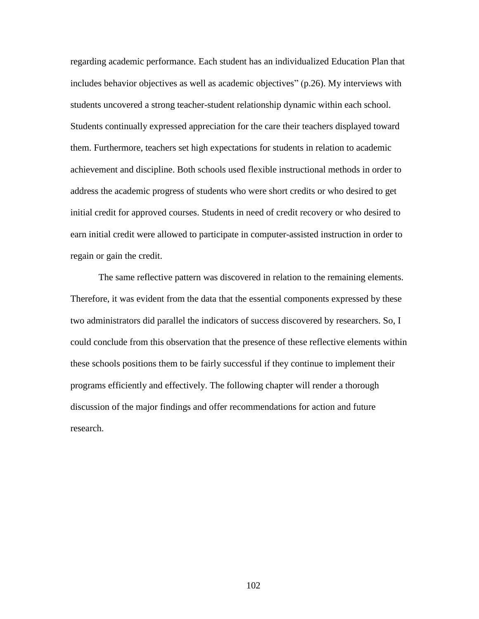regarding academic performance. Each student has an individualized Education Plan that includes behavior objectives as well as academic objectives" (p.26). My interviews with students uncovered a strong teacher-student relationship dynamic within each school. Students continually expressed appreciation for the care their teachers displayed toward them. Furthermore, teachers set high expectations for students in relation to academic achievement and discipline. Both schools used flexible instructional methods in order to address the academic progress of students who were short credits or who desired to get initial credit for approved courses. Students in need of credit recovery or who desired to earn initial credit were allowed to participate in computer-assisted instruction in order to regain or gain the credit.

The same reflective pattern was discovered in relation to the remaining elements. Therefore, it was evident from the data that the essential components expressed by these two administrators did parallel the indicators of success discovered by researchers. So, I could conclude from this observation that the presence of these reflective elements within these schools positions them to be fairly successful if they continue to implement their programs efficiently and effectively. The following chapter will render a thorough discussion of the major findings and offer recommendations for action and future research.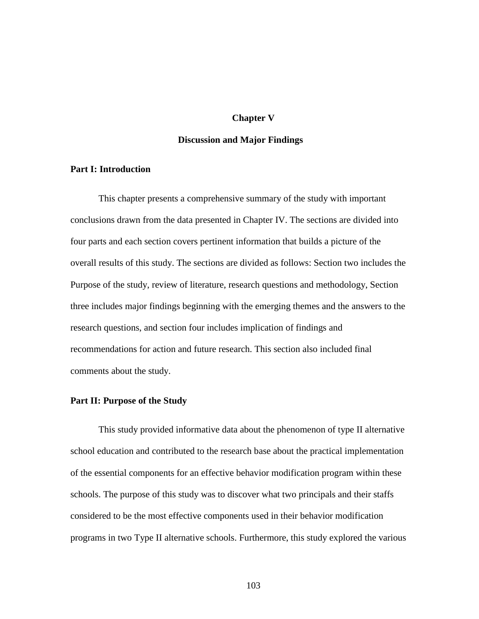## **Chapter V**

## **Discussion and Major Findings**

# **Part I: Introduction**

This chapter presents a comprehensive summary of the study with important conclusions drawn from the data presented in Chapter IV. The sections are divided into four parts and each section covers pertinent information that builds a picture of the overall results of this study. The sections are divided as follows: Section two includes the Purpose of the study, review of literature, research questions and methodology, Section three includes major findings beginning with the emerging themes and the answers to the research questions, and section four includes implication of findings and recommendations for action and future research. This section also included final comments about the study.

# **Part II: Purpose of the Study**

This study provided informative data about the phenomenon of type II alternative school education and contributed to the research base about the practical implementation of the essential components for an effective behavior modification program within these schools. The purpose of this study was to discover what two principals and their staffs considered to be the most effective components used in their behavior modification programs in two Type II alternative schools. Furthermore, this study explored the various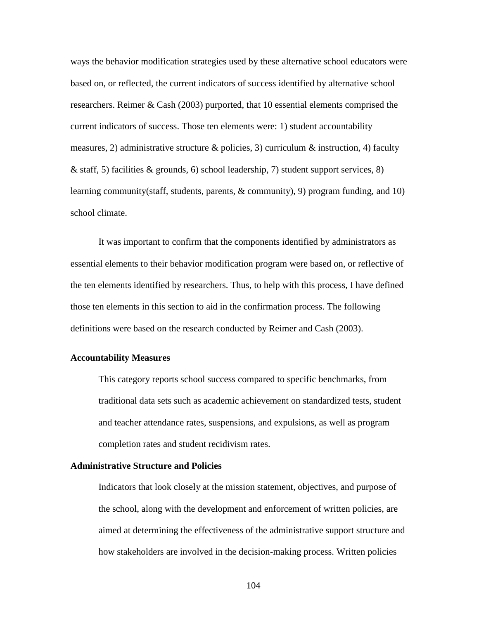ways the behavior modification strategies used by these alternative school educators were based on, or reflected, the current indicators of success identified by alternative school researchers. Reimer & Cash (2003) purported, that 10 essential elements comprised the current indicators of success. Those ten elements were: 1) student accountability measures, 2) administrative structure & policies, 3) curriculum & instruction, 4) faculty & staff, 5) facilities & grounds, 6) school leadership, 7) student support services, 8) learning community(staff, students, parents, & community), 9) program funding, and 10) school climate.

It was important to confirm that the components identified by administrators as essential elements to their behavior modification program were based on, or reflective of the ten elements identified by researchers. Thus, to help with this process, I have defined those ten elements in this section to aid in the confirmation process. The following definitions were based on the research conducted by Reimer and Cash (2003).

## **Accountability Measures**

This category reports school success compared to specific benchmarks, from traditional data sets such as academic achievement on standardized tests, student and teacher attendance rates, suspensions, and expulsions, as well as program completion rates and student recidivism rates.

# **Administrative Structure and Policies**

Indicators that look closely at the mission statement, objectives, and purpose of the school, along with the development and enforcement of written policies, are aimed at determining the effectiveness of the administrative support structure and how stakeholders are involved in the decision-making process. Written policies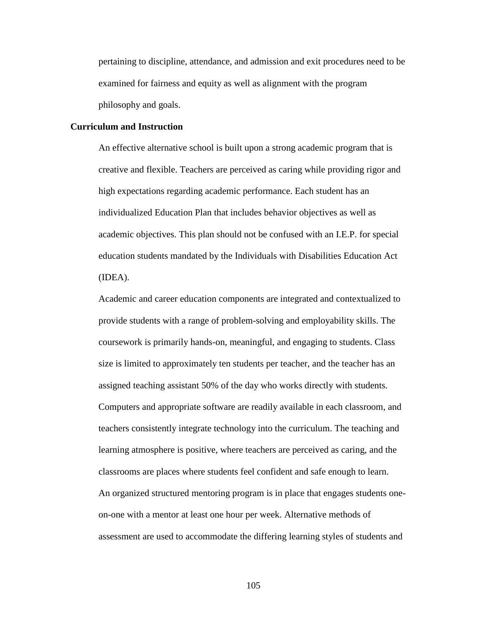pertaining to discipline, attendance, and admission and exit procedures need to be examined for fairness and equity as well as alignment with the program philosophy and goals.

## **Curriculum and Instruction**

An effective alternative school is built upon a strong academic program that is creative and flexible. Teachers are perceived as caring while providing rigor and high expectations regarding academic performance. Each student has an individualized Education Plan that includes behavior objectives as well as academic objectives. This plan should not be confused with an I.E.P. for special education students mandated by the Individuals with Disabilities Education Act (IDEA).

Academic and career education components are integrated and contextualized to provide students with a range of problem-solving and employability skills. The coursework is primarily hands-on, meaningful, and engaging to students. Class size is limited to approximately ten students per teacher, and the teacher has an assigned teaching assistant 50% of the day who works directly with students. Computers and appropriate software are readily available in each classroom, and teachers consistently integrate technology into the curriculum. The teaching and learning atmosphere is positive, where teachers are perceived as caring, and the classrooms are places where students feel confident and safe enough to learn. An organized structured mentoring program is in place that engages students oneon-one with a mentor at least one hour per week. Alternative methods of assessment are used to accommodate the differing learning styles of students and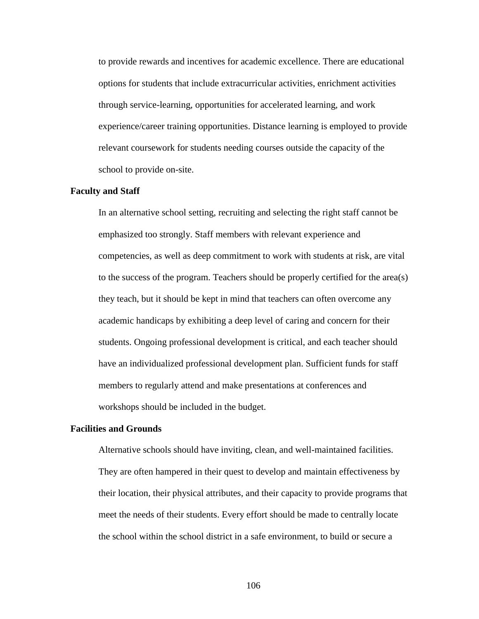to provide rewards and incentives for academic excellence. There are educational options for students that include extracurricular activities, enrichment activities through service-learning, opportunities for accelerated learning, and work experience/career training opportunities. Distance learning is employed to provide relevant coursework for students needing courses outside the capacity of the school to provide on-site.

## **Faculty and Staff**

In an alternative school setting, recruiting and selecting the right staff cannot be emphasized too strongly. Staff members with relevant experience and competencies, as well as deep commitment to work with students at risk, are vital to the success of the program. Teachers should be properly certified for the area(s) they teach, but it should be kept in mind that teachers can often overcome any academic handicaps by exhibiting a deep level of caring and concern for their students. Ongoing professional development is critical, and each teacher should have an individualized professional development plan. Sufficient funds for staff members to regularly attend and make presentations at conferences and workshops should be included in the budget.

## **Facilities and Grounds**

Alternative schools should have inviting, clean, and well-maintained facilities. They are often hampered in their quest to develop and maintain effectiveness by their location, their physical attributes, and their capacity to provide programs that meet the needs of their students. Every effort should be made to centrally locate the school within the school district in a safe environment, to build or secure a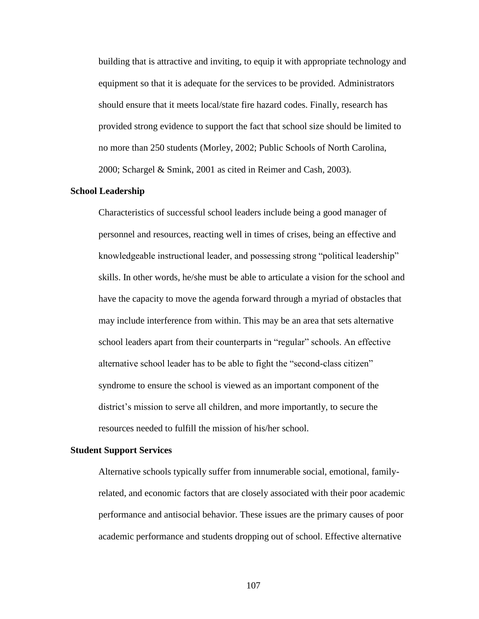building that is attractive and inviting, to equip it with appropriate technology and equipment so that it is adequate for the services to be provided. Administrators should ensure that it meets local/state fire hazard codes. Finally, research has provided strong evidence to support the fact that school size should be limited to no more than 250 students (Morley, 2002; Public Schools of North Carolina, 2000; Schargel & Smink, 2001 as cited in Reimer and Cash, 2003).

## **School Leadership**

Characteristics of successful school leaders include being a good manager of personnel and resources, reacting well in times of crises, being an effective and knowledgeable instructional leader, and possessing strong "political leadership" skills. In other words, he/she must be able to articulate a vision for the school and have the capacity to move the agenda forward through a myriad of obstacles that may include interference from within. This may be an area that sets alternative school leaders apart from their counterparts in "regular" schools. An effective alternative school leader has to be able to fight the "second-class citizen" syndrome to ensure the school is viewed as an important component of the district's mission to serve all children, and more importantly, to secure the resources needed to fulfill the mission of his/her school.

#### **Student Support Services**

Alternative schools typically suffer from innumerable social, emotional, familyrelated, and economic factors that are closely associated with their poor academic performance and antisocial behavior. These issues are the primary causes of poor academic performance and students dropping out of school. Effective alternative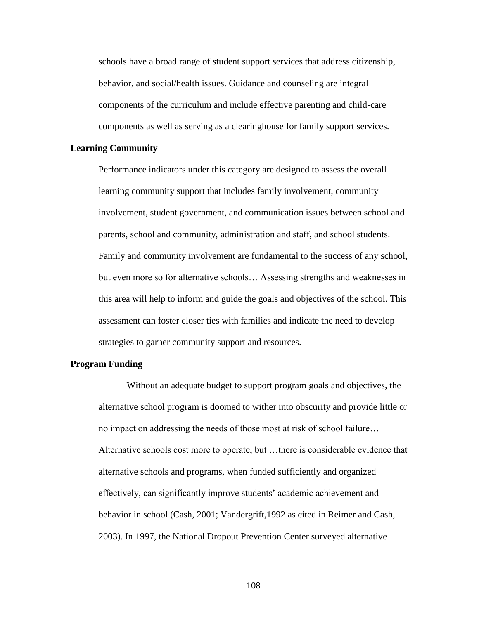schools have a broad range of student support services that address citizenship, behavior, and social/health issues. Guidance and counseling are integral components of the curriculum and include effective parenting and child-care components as well as serving as a clearinghouse for family support services.

# **Learning Community**

Performance indicators under this category are designed to assess the overall learning community support that includes family involvement, community involvement, student government, and communication issues between school and parents, school and community, administration and staff, and school students. Family and community involvement are fundamental to the success of any school, but even more so for alternative schools… Assessing strengths and weaknesses in this area will help to inform and guide the goals and objectives of the school. This assessment can foster closer ties with families and indicate the need to develop strategies to garner community support and resources.

## **Program Funding**

Without an adequate budget to support program goals and objectives, the alternative school program is doomed to wither into obscurity and provide little or no impact on addressing the needs of those most at risk of school failure… Alternative schools cost more to operate, but …there is considerable evidence that alternative schools and programs, when funded sufficiently and organized effectively, can significantly improve students' academic achievement and behavior in school (Cash, 2001; Vandergrift,1992 as cited in Reimer and Cash, 2003). In 1997, the National Dropout Prevention Center surveyed alternative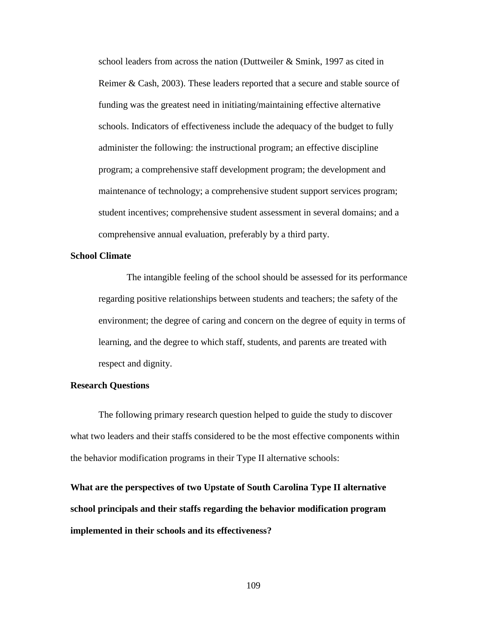school leaders from across the nation (Duttweiler & Smink, 1997 as cited in Reimer & Cash, 2003). These leaders reported that a secure and stable source of funding was the greatest need in initiating/maintaining effective alternative schools. Indicators of effectiveness include the adequacy of the budget to fully administer the following: the instructional program; an effective discipline program; a comprehensive staff development program; the development and maintenance of technology; a comprehensive student support services program; student incentives; comprehensive student assessment in several domains; and a comprehensive annual evaluation, preferably by a third party.

# **School Climate**

The intangible feeling of the school should be assessed for its performance regarding positive relationships between students and teachers; the safety of the environment; the degree of caring and concern on the degree of equity in terms of learning, and the degree to which staff, students, and parents are treated with respect and dignity.

# **Research Questions**

The following primary research question helped to guide the study to discover what two leaders and their staffs considered to be the most effective components within the behavior modification programs in their Type II alternative schools:

**What are the perspectives of two Upstate of South Carolina Type II alternative school principals and their staffs regarding the behavior modification program implemented in their schools and its effectiveness?**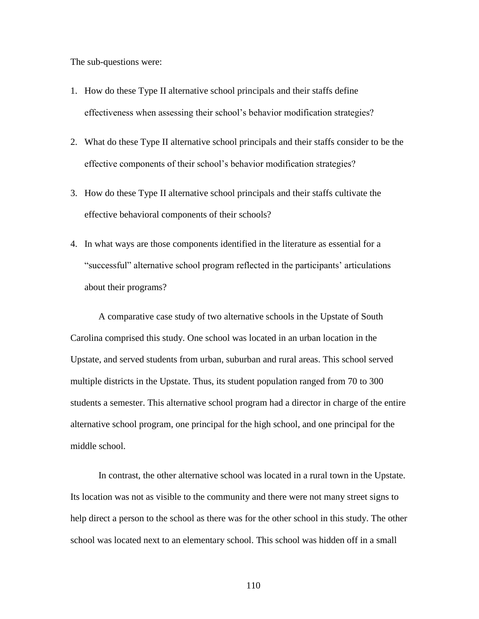The sub-questions were:

- 1. How do these Type II alternative school principals and their staffs define effectiveness when assessing their school's behavior modification strategies?
- 2. What do these Type II alternative school principals and their staffs consider to be the effective components of their school's behavior modification strategies?
- 3. How do these Type II alternative school principals and their staffs cultivate the effective behavioral components of their schools?
- 4. In what ways are those components identified in the literature as essential for a ―successful‖ alternative school program reflected in the participants' articulations about their programs?

A comparative case study of two alternative schools in the Upstate of South Carolina comprised this study. One school was located in an urban location in the Upstate, and served students from urban, suburban and rural areas. This school served multiple districts in the Upstate. Thus, its student population ranged from 70 to 300 students a semester. This alternative school program had a director in charge of the entire alternative school program, one principal for the high school, and one principal for the middle school.

In contrast, the other alternative school was located in a rural town in the Upstate. Its location was not as visible to the community and there were not many street signs to help direct a person to the school as there was for the other school in this study. The other school was located next to an elementary school. This school was hidden off in a small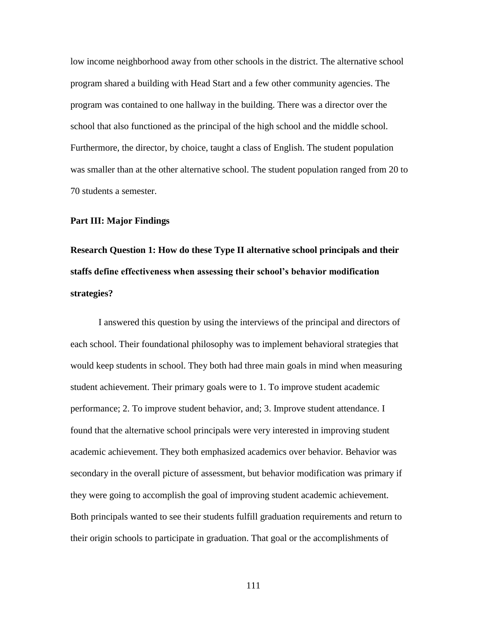low income neighborhood away from other schools in the district. The alternative school program shared a building with Head Start and a few other community agencies. The program was contained to one hallway in the building. There was a director over the school that also functioned as the principal of the high school and the middle school. Furthermore, the director, by choice, taught a class of English. The student population was smaller than at the other alternative school. The student population ranged from 20 to 70 students a semester.

#### **Part III: Major Findings**

**Research Question 1: How do these Type II alternative school principals and their staffs define effectiveness when assessing their school's behavior modification strategies?**

I answered this question by using the interviews of the principal and directors of each school. Their foundational philosophy was to implement behavioral strategies that would keep students in school. They both had three main goals in mind when measuring student achievement. Their primary goals were to 1. To improve student academic performance; 2. To improve student behavior, and; 3. Improve student attendance. I found that the alternative school principals were very interested in improving student academic achievement. They both emphasized academics over behavior. Behavior was secondary in the overall picture of assessment, but behavior modification was primary if they were going to accomplish the goal of improving student academic achievement. Both principals wanted to see their students fulfill graduation requirements and return to their origin schools to participate in graduation. That goal or the accomplishments of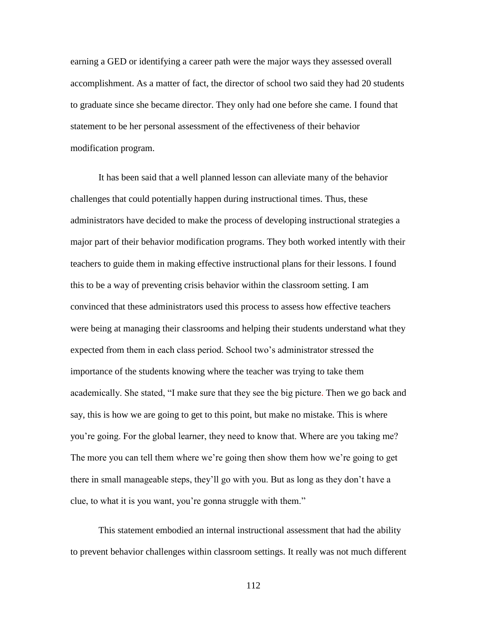earning a GED or identifying a career path were the major ways they assessed overall accomplishment. As a matter of fact, the director of school two said they had 20 students to graduate since she became director. They only had one before she came. I found that statement to be her personal assessment of the effectiveness of their behavior modification program.

It has been said that a well planned lesson can alleviate many of the behavior challenges that could potentially happen during instructional times. Thus, these administrators have decided to make the process of developing instructional strategies a major part of their behavior modification programs. They both worked intently with their teachers to guide them in making effective instructional plans for their lessons. I found this to be a way of preventing crisis behavior within the classroom setting. I am convinced that these administrators used this process to assess how effective teachers were being at managing their classrooms and helping their students understand what they expected from them in each class period. School two's administrator stressed the importance of the students knowing where the teacher was trying to take them academically. She stated, "I make sure that they see the big picture. Then we go back and say, this is how we are going to get to this point, but make no mistake. This is where you're going. For the global learner, they need to know that. Where are you taking me? The more you can tell them where we're going then show them how we're going to get there in small manageable steps, they'll go with you. But as long as they don't have a clue, to what it is you want, you're gonna struggle with them."

This statement embodied an internal instructional assessment that had the ability to prevent behavior challenges within classroom settings. It really was not much different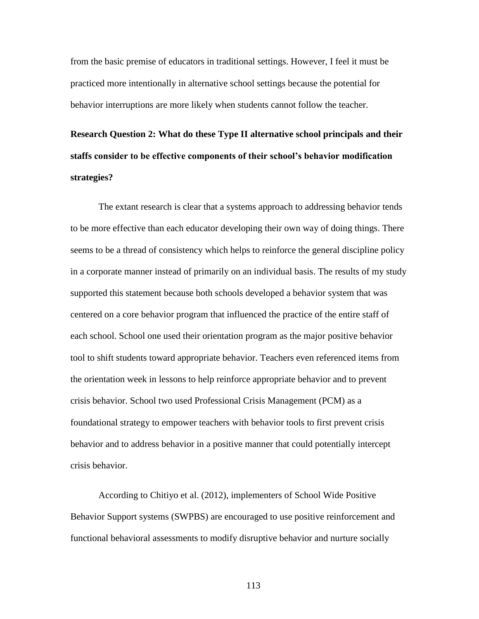from the basic premise of educators in traditional settings. However, I feel it must be practiced more intentionally in alternative school settings because the potential for behavior interruptions are more likely when students cannot follow the teacher.

**Research Question 2: What do these Type II alternative school principals and their staffs consider to be effective components of their school's behavior modification strategies?**

The extant research is clear that a systems approach to addressing behavior tends to be more effective than each educator developing their own way of doing things. There seems to be a thread of consistency which helps to reinforce the general discipline policy in a corporate manner instead of primarily on an individual basis. The results of my study supported this statement because both schools developed a behavior system that was centered on a core behavior program that influenced the practice of the entire staff of each school. School one used their orientation program as the major positive behavior tool to shift students toward appropriate behavior. Teachers even referenced items from the orientation week in lessons to help reinforce appropriate behavior and to prevent crisis behavior. School two used Professional Crisis Management (PCM) as a foundational strategy to empower teachers with behavior tools to first prevent crisis behavior and to address behavior in a positive manner that could potentially intercept crisis behavior.

According to Chitiyo et al. (2012), implementers of School Wide Positive Behavior Support systems (SWPBS) are encouraged to use positive reinforcement and functional behavioral assessments to modify disruptive behavior and nurture socially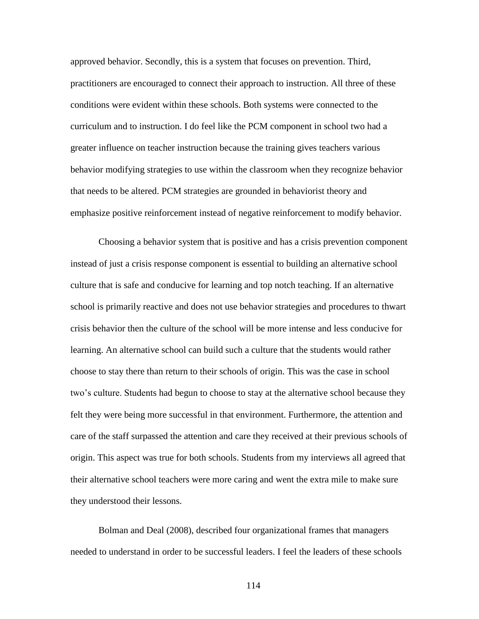approved behavior. Secondly, this is a system that focuses on prevention. Third, practitioners are encouraged to connect their approach to instruction. All three of these conditions were evident within these schools. Both systems were connected to the curriculum and to instruction. I do feel like the PCM component in school two had a greater influence on teacher instruction because the training gives teachers various behavior modifying strategies to use within the classroom when they recognize behavior that needs to be altered. PCM strategies are grounded in behaviorist theory and emphasize positive reinforcement instead of negative reinforcement to modify behavior.

Choosing a behavior system that is positive and has a crisis prevention component instead of just a crisis response component is essential to building an alternative school culture that is safe and conducive for learning and top notch teaching. If an alternative school is primarily reactive and does not use behavior strategies and procedures to thwart crisis behavior then the culture of the school will be more intense and less conducive for learning. An alternative school can build such a culture that the students would rather choose to stay there than return to their schools of origin. This was the case in school two's culture. Students had begun to choose to stay at the alternative school because they felt they were being more successful in that environment. Furthermore, the attention and care of the staff surpassed the attention and care they received at their previous schools of origin. This aspect was true for both schools. Students from my interviews all agreed that their alternative school teachers were more caring and went the extra mile to make sure they understood their lessons.

Bolman and Deal (2008), described four organizational frames that managers needed to understand in order to be successful leaders. I feel the leaders of these schools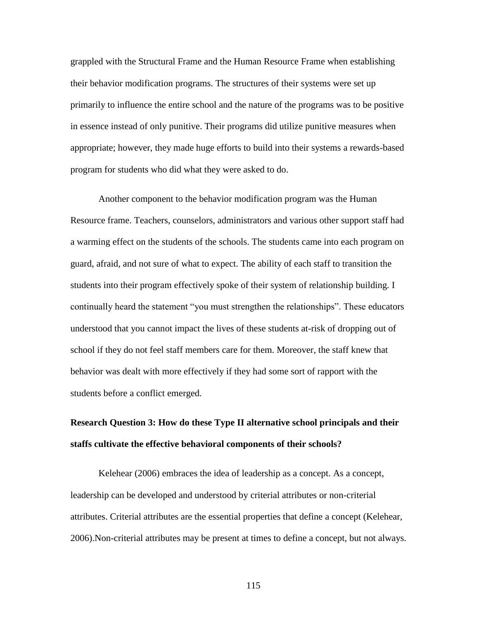grappled with the Structural Frame and the Human Resource Frame when establishing their behavior modification programs. The structures of their systems were set up primarily to influence the entire school and the nature of the programs was to be positive in essence instead of only punitive. Their programs did utilize punitive measures when appropriate; however, they made huge efforts to build into their systems a rewards-based program for students who did what they were asked to do.

Another component to the behavior modification program was the Human Resource frame. Teachers, counselors, administrators and various other support staff had a warming effect on the students of the schools. The students came into each program on guard, afraid, and not sure of what to expect. The ability of each staff to transition the students into their program effectively spoke of their system of relationship building. I continually heard the statement "you must strengthen the relationships". These educators understood that you cannot impact the lives of these students at-risk of dropping out of school if they do not feel staff members care for them. Moreover, the staff knew that behavior was dealt with more effectively if they had some sort of rapport with the students before a conflict emerged.

# **Research Question 3: How do these Type II alternative school principals and their staffs cultivate the effective behavioral components of their schools?**

Kelehear (2006) embraces the idea of leadership as a concept. As a concept, leadership can be developed and understood by criterial attributes or non-criterial attributes. Criterial attributes are the essential properties that define a concept (Kelehear, 2006).Non-criterial attributes may be present at times to define a concept, but not always.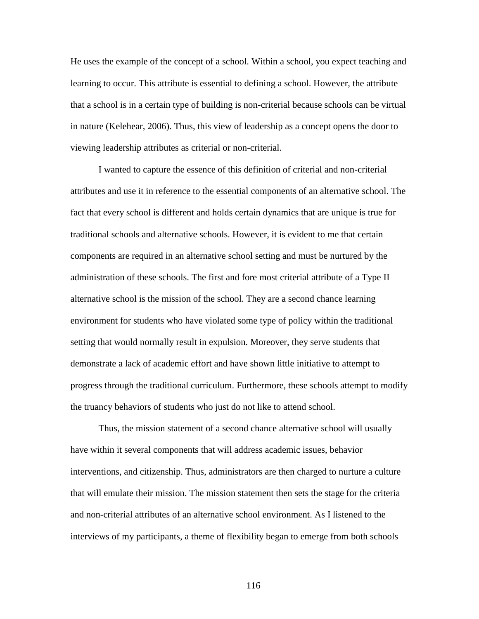He uses the example of the concept of a school. Within a school, you expect teaching and learning to occur. This attribute is essential to defining a school. However, the attribute that a school is in a certain type of building is non-criterial because schools can be virtual in nature (Kelehear, 2006). Thus, this view of leadership as a concept opens the door to viewing leadership attributes as criterial or non-criterial.

I wanted to capture the essence of this definition of criterial and non-criterial attributes and use it in reference to the essential components of an alternative school. The fact that every school is different and holds certain dynamics that are unique is true for traditional schools and alternative schools. However, it is evident to me that certain components are required in an alternative school setting and must be nurtured by the administration of these schools. The first and fore most criterial attribute of a Type II alternative school is the mission of the school. They are a second chance learning environment for students who have violated some type of policy within the traditional setting that would normally result in expulsion. Moreover, they serve students that demonstrate a lack of academic effort and have shown little initiative to attempt to progress through the traditional curriculum. Furthermore, these schools attempt to modify the truancy behaviors of students who just do not like to attend school.

Thus, the mission statement of a second chance alternative school will usually have within it several components that will address academic issues, behavior interventions, and citizenship. Thus, administrators are then charged to nurture a culture that will emulate their mission. The mission statement then sets the stage for the criteria and non-criterial attributes of an alternative school environment. As I listened to the interviews of my participants, a theme of flexibility began to emerge from both schools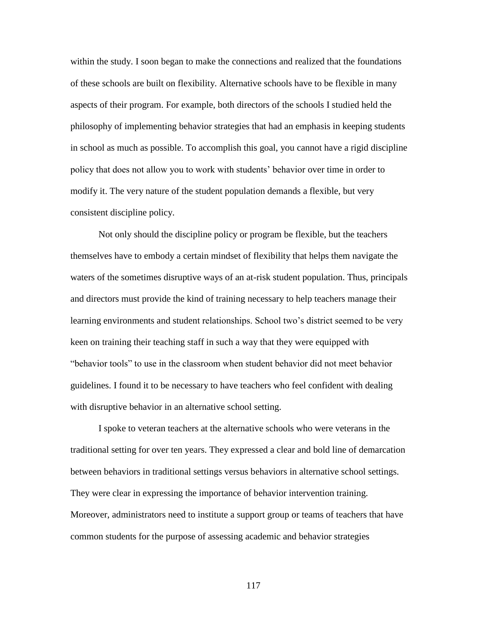within the study. I soon began to make the connections and realized that the foundations of these schools are built on flexibility. Alternative schools have to be flexible in many aspects of their program. For example, both directors of the schools I studied held the philosophy of implementing behavior strategies that had an emphasis in keeping students in school as much as possible. To accomplish this goal, you cannot have a rigid discipline policy that does not allow you to work with students' behavior over time in order to modify it. The very nature of the student population demands a flexible, but very consistent discipline policy.

Not only should the discipline policy or program be flexible, but the teachers themselves have to embody a certain mindset of flexibility that helps them navigate the waters of the sometimes disruptive ways of an at-risk student population. Thus, principals and directors must provide the kind of training necessary to help teachers manage their learning environments and student relationships. School two's district seemed to be very keen on training their teaching staff in such a way that they were equipped with ―behavior tools‖ to use in the classroom when student behavior did not meet behavior guidelines. I found it to be necessary to have teachers who feel confident with dealing with disruptive behavior in an alternative school setting.

I spoke to veteran teachers at the alternative schools who were veterans in the traditional setting for over ten years. They expressed a clear and bold line of demarcation between behaviors in traditional settings versus behaviors in alternative school settings. They were clear in expressing the importance of behavior intervention training. Moreover, administrators need to institute a support group or teams of teachers that have common students for the purpose of assessing academic and behavior strategies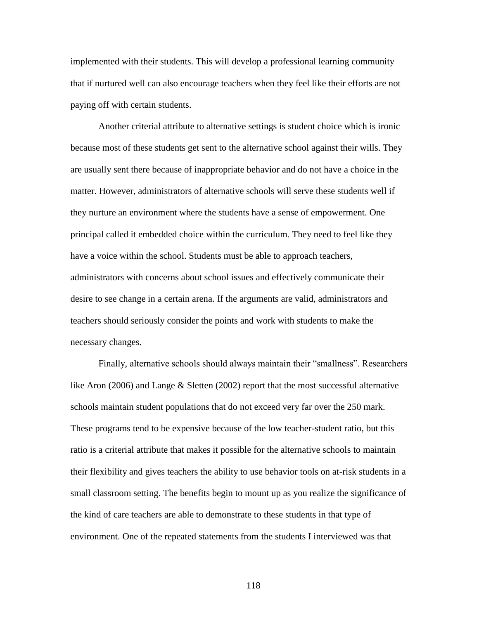implemented with their students. This will develop a professional learning community that if nurtured well can also encourage teachers when they feel like their efforts are not paying off with certain students.

Another criterial attribute to alternative settings is student choice which is ironic because most of these students get sent to the alternative school against their wills. They are usually sent there because of inappropriate behavior and do not have a choice in the matter. However, administrators of alternative schools will serve these students well if they nurture an environment where the students have a sense of empowerment. One principal called it embedded choice within the curriculum. They need to feel like they have a voice within the school. Students must be able to approach teachers, administrators with concerns about school issues and effectively communicate their desire to see change in a certain arena. If the arguments are valid, administrators and teachers should seriously consider the points and work with students to make the necessary changes.

Finally, alternative schools should always maintain their "smallness". Researchers like Aron (2006) and Lange & Sletten (2002) report that the most successful alternative schools maintain student populations that do not exceed very far over the 250 mark. These programs tend to be expensive because of the low teacher-student ratio, but this ratio is a criterial attribute that makes it possible for the alternative schools to maintain their flexibility and gives teachers the ability to use behavior tools on at-risk students in a small classroom setting. The benefits begin to mount up as you realize the significance of the kind of care teachers are able to demonstrate to these students in that type of environment. One of the repeated statements from the students I interviewed was that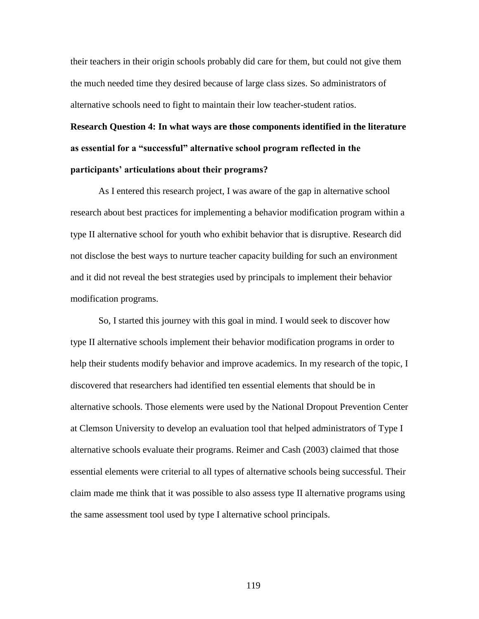their teachers in their origin schools probably did care for them, but could not give them the much needed time they desired because of large class sizes. So administrators of alternative schools need to fight to maintain their low teacher-student ratios.

**Research Question 4: In what ways are those components identified in the literature as essential for a "successful" alternative school program reflected in the participants' articulations about their programs?**

As I entered this research project, I was aware of the gap in alternative school research about best practices for implementing a behavior modification program within a type II alternative school for youth who exhibit behavior that is disruptive. Research did not disclose the best ways to nurture teacher capacity building for such an environment and it did not reveal the best strategies used by principals to implement their behavior modification programs.

So, I started this journey with this goal in mind. I would seek to discover how type II alternative schools implement their behavior modification programs in order to help their students modify behavior and improve academics. In my research of the topic, I discovered that researchers had identified ten essential elements that should be in alternative schools. Those elements were used by the National Dropout Prevention Center at Clemson University to develop an evaluation tool that helped administrators of Type I alternative schools evaluate their programs. Reimer and Cash (2003) claimed that those essential elements were criterial to all types of alternative schools being successful. Their claim made me think that it was possible to also assess type II alternative programs using the same assessment tool used by type I alternative school principals.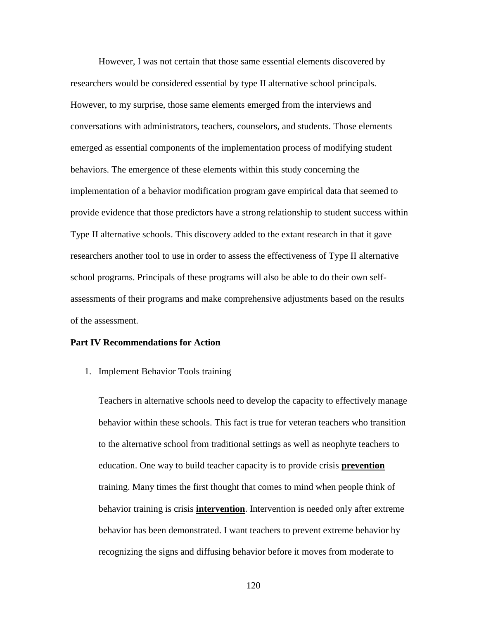However, I was not certain that those same essential elements discovered by researchers would be considered essential by type II alternative school principals. However, to my surprise, those same elements emerged from the interviews and conversations with administrators, teachers, counselors, and students. Those elements emerged as essential components of the implementation process of modifying student behaviors. The emergence of these elements within this study concerning the implementation of a behavior modification program gave empirical data that seemed to provide evidence that those predictors have a strong relationship to student success within Type II alternative schools. This discovery added to the extant research in that it gave researchers another tool to use in order to assess the effectiveness of Type II alternative school programs. Principals of these programs will also be able to do their own selfassessments of their programs and make comprehensive adjustments based on the results of the assessment.

# **Part IV Recommendations for Action**

1. Implement Behavior Tools training

Teachers in alternative schools need to develop the capacity to effectively manage behavior within these schools. This fact is true for veteran teachers who transition to the alternative school from traditional settings as well as neophyte teachers to education. One way to build teacher capacity is to provide crisis **prevention** training. Many times the first thought that comes to mind when people think of behavior training is crisis **intervention**. Intervention is needed only after extreme behavior has been demonstrated. I want teachers to prevent extreme behavior by recognizing the signs and diffusing behavior before it moves from moderate to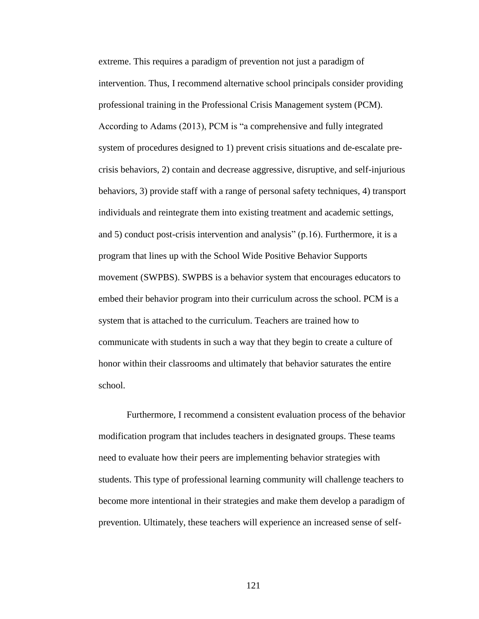extreme. This requires a paradigm of prevention not just a paradigm of intervention. Thus, I recommend alternative school principals consider providing professional training in the Professional Crisis Management system (PCM). According to Adams (2013), PCM is "a comprehensive and fully integrated system of procedures designed to 1) prevent crisis situations and de-escalate precrisis behaviors, 2) contain and decrease aggressive, disruptive, and self-injurious behaviors, 3) provide staff with a range of personal safety techniques, 4) transport individuals and reintegrate them into existing treatment and academic settings, and 5) conduct post-crisis intervention and analysis"  $(p.16)$ . Furthermore, it is a program that lines up with the School Wide Positive Behavior Supports movement (SWPBS). SWPBS is a behavior system that encourages educators to embed their behavior program into their curriculum across the school. PCM is a system that is attached to the curriculum. Teachers are trained how to communicate with students in such a way that they begin to create a culture of honor within their classrooms and ultimately that behavior saturates the entire school.

Furthermore, I recommend a consistent evaluation process of the behavior modification program that includes teachers in designated groups. These teams need to evaluate how their peers are implementing behavior strategies with students. This type of professional learning community will challenge teachers to become more intentional in their strategies and make them develop a paradigm of prevention. Ultimately, these teachers will experience an increased sense of self-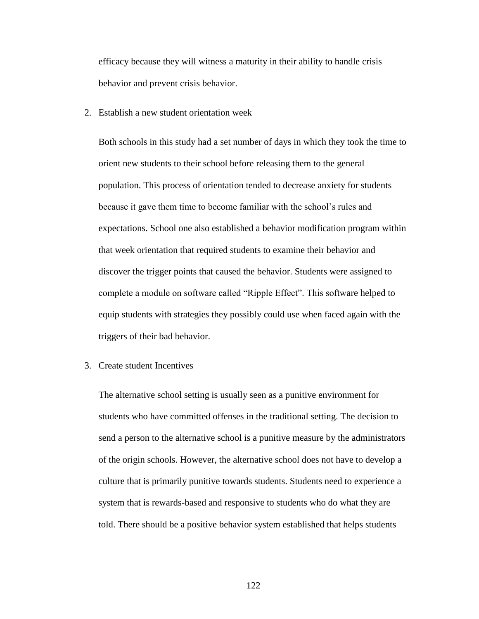efficacy because they will witness a maturity in their ability to handle crisis behavior and prevent crisis behavior.

2. Establish a new student orientation week

Both schools in this study had a set number of days in which they took the time to orient new students to their school before releasing them to the general population. This process of orientation tended to decrease anxiety for students because it gave them time to become familiar with the school's rules and expectations. School one also established a behavior modification program within that week orientation that required students to examine their behavior and discover the trigger points that caused the behavior. Students were assigned to complete a module on software called "Ripple Effect". This software helped to equip students with strategies they possibly could use when faced again with the triggers of their bad behavior.

3. Create student Incentives

The alternative school setting is usually seen as a punitive environment for students who have committed offenses in the traditional setting. The decision to send a person to the alternative school is a punitive measure by the administrators of the origin schools. However, the alternative school does not have to develop a culture that is primarily punitive towards students. Students need to experience a system that is rewards-based and responsive to students who do what they are told. There should be a positive behavior system established that helps students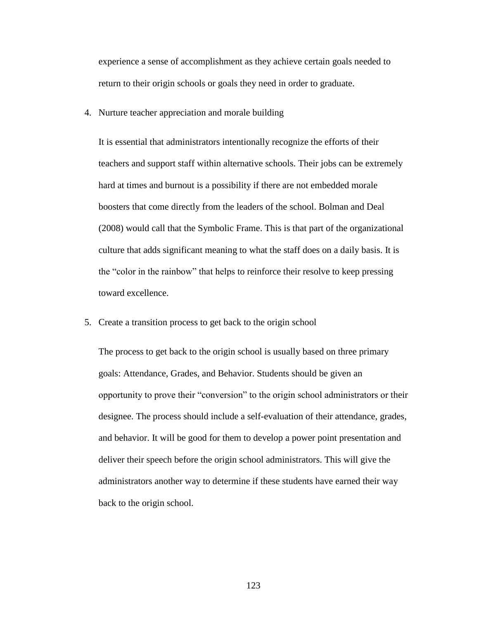experience a sense of accomplishment as they achieve certain goals needed to return to their origin schools or goals they need in order to graduate.

4. Nurture teacher appreciation and morale building

It is essential that administrators intentionally recognize the efforts of their teachers and support staff within alternative schools. Their jobs can be extremely hard at times and burnout is a possibility if there are not embedded morale boosters that come directly from the leaders of the school. Bolman and Deal (2008) would call that the Symbolic Frame. This is that part of the organizational culture that adds significant meaning to what the staff does on a daily basis. It is the "color in the rainbow" that helps to reinforce their resolve to keep pressing toward excellence.

5. Create a transition process to get back to the origin school

The process to get back to the origin school is usually based on three primary goals: Attendance, Grades, and Behavior. Students should be given an opportunity to prove their "conversion" to the origin school administrators or their designee. The process should include a self-evaluation of their attendance, grades, and behavior. It will be good for them to develop a power point presentation and deliver their speech before the origin school administrators. This will give the administrators another way to determine if these students have earned their way back to the origin school.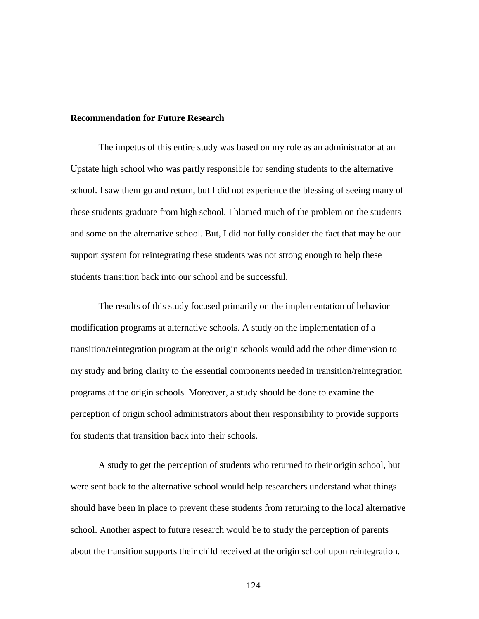## **Recommendation for Future Research**

The impetus of this entire study was based on my role as an administrator at an Upstate high school who was partly responsible for sending students to the alternative school. I saw them go and return, but I did not experience the blessing of seeing many of these students graduate from high school. I blamed much of the problem on the students and some on the alternative school. But, I did not fully consider the fact that may be our support system for reintegrating these students was not strong enough to help these students transition back into our school and be successful.

The results of this study focused primarily on the implementation of behavior modification programs at alternative schools. A study on the implementation of a transition/reintegration program at the origin schools would add the other dimension to my study and bring clarity to the essential components needed in transition/reintegration programs at the origin schools. Moreover, a study should be done to examine the perception of origin school administrators about their responsibility to provide supports for students that transition back into their schools.

A study to get the perception of students who returned to their origin school, but were sent back to the alternative school would help researchers understand what things should have been in place to prevent these students from returning to the local alternative school. Another aspect to future research would be to study the perception of parents about the transition supports their child received at the origin school upon reintegration.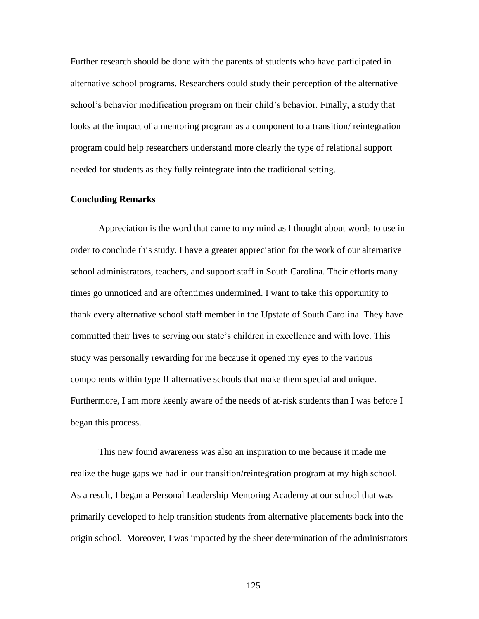Further research should be done with the parents of students who have participated in alternative school programs. Researchers could study their perception of the alternative school's behavior modification program on their child's behavior. Finally, a study that looks at the impact of a mentoring program as a component to a transition/ reintegration program could help researchers understand more clearly the type of relational support needed for students as they fully reintegrate into the traditional setting.

# **Concluding Remarks**

Appreciation is the word that came to my mind as I thought about words to use in order to conclude this study. I have a greater appreciation for the work of our alternative school administrators, teachers, and support staff in South Carolina. Their efforts many times go unnoticed and are oftentimes undermined. I want to take this opportunity to thank every alternative school staff member in the Upstate of South Carolina. They have committed their lives to serving our state's children in excellence and with love. This study was personally rewarding for me because it opened my eyes to the various components within type II alternative schools that make them special and unique. Furthermore, I am more keenly aware of the needs of at-risk students than I was before I began this process.

This new found awareness was also an inspiration to me because it made me realize the huge gaps we had in our transition/reintegration program at my high school. As a result, I began a Personal Leadership Mentoring Academy at our school that was primarily developed to help transition students from alternative placements back into the origin school. Moreover, I was impacted by the sheer determination of the administrators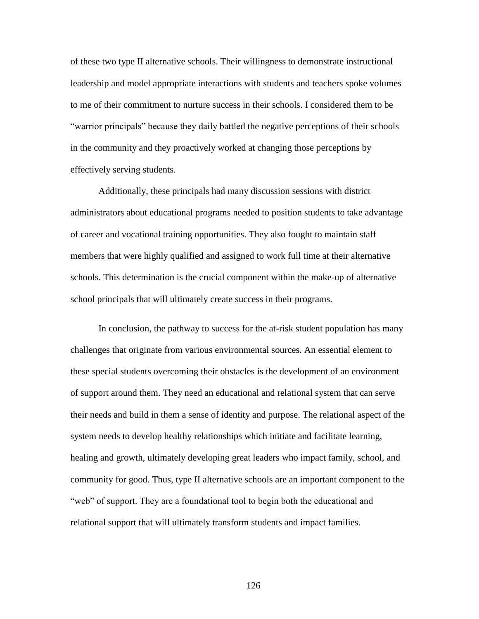of these two type II alternative schools. Their willingness to demonstrate instructional leadership and model appropriate interactions with students and teachers spoke volumes to me of their commitment to nurture success in their schools. I considered them to be ―warrior principals‖ because they daily battled the negative perceptions of their schools in the community and they proactively worked at changing those perceptions by effectively serving students.

Additionally, these principals had many discussion sessions with district administrators about educational programs needed to position students to take advantage of career and vocational training opportunities. They also fought to maintain staff members that were highly qualified and assigned to work full time at their alternative schools. This determination is the crucial component within the make-up of alternative school principals that will ultimately create success in their programs.

In conclusion, the pathway to success for the at-risk student population has many challenges that originate from various environmental sources. An essential element to these special students overcoming their obstacles is the development of an environment of support around them. They need an educational and relational system that can serve their needs and build in them a sense of identity and purpose. The relational aspect of the system needs to develop healthy relationships which initiate and facilitate learning, healing and growth, ultimately developing great leaders who impact family, school, and community for good. Thus, type II alternative schools are an important component to the "web" of support. They are a foundational tool to begin both the educational and relational support that will ultimately transform students and impact families.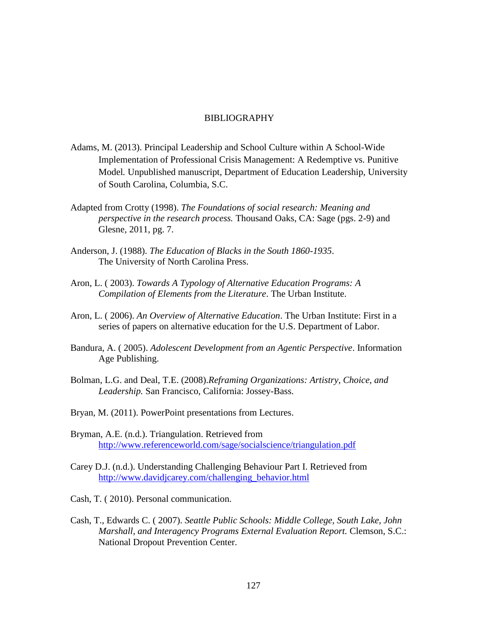# BIBLIOGRAPHY

- Adams, M. (2013). Principal Leadership and School Culture within A School-Wide Implementation of Professional Crisis Management: A Redemptive vs. Punitive Model*.* Unpublished manuscript, Department of Education Leadership, University of South Carolina, Columbia, S.C.
- Adapted from Crotty (1998). *The Foundations of social research: Meaning and perspective in the research process.* Thousand Oaks, CA: Sage (pgs. 2-9) and Glesne, 2011, pg. 7.
- Anderson, J. (1988). *The Education of Blacks in the South 1860-1935*. The University of North Carolina Press.
- Aron, L. ( 2003). *Towards A Typology of Alternative Education Programs: A Compilation of Elements from the Literature*. The Urban Institute.
- Aron, L. ( 2006). *An Overview of Alternative Education*. The Urban Institute: First in a series of papers on alternative education for the U.S. Department of Labor.
- Bandura, A. ( 2005). *Adolescent Development from an Agentic Perspective*. Information Age Publishing.
- Bolman, L.G. and Deal, T.E. (2008).*Reframing Organizations: Artistry, Choice, and Leadership.* San Francisco, California: Jossey-Bass.
- Bryan, M. (2011). PowerPoint presentations from Lectures.
- Bryman, A.E. (n.d.). Triangulation. Retrieved from <http://www.referenceworld.com/sage/socialscience/triangulation.pdf>
- Carey D.J. (n.d.). Understanding Challenging Behaviour Part I. Retrieved from [http://www.davidjcarey.com/challenging\\_behavior.html](http://www.davidjcarey.com/challenging_behavior.html)
- Cash, T. ( 2010). Personal communication.
- Cash, T., Edwards C. ( 2007). *Seattle Public Schools: Middle College, South Lake, John Marshall, and Interagency Programs External Evaluation Report.* Clemson, S.C.: National Dropout Prevention Center.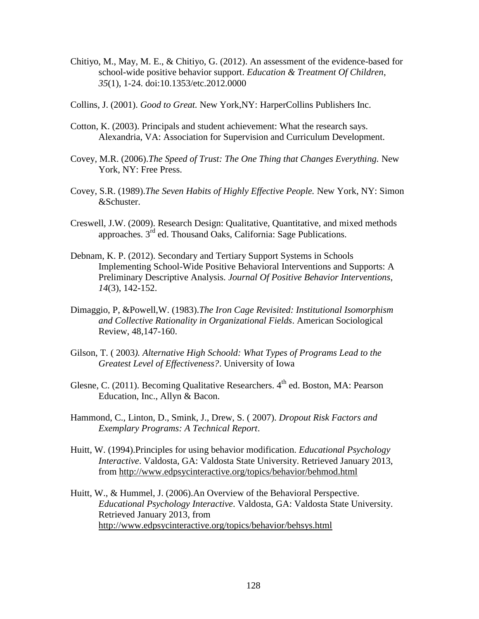- Chitiyo, M., May, M. E., & Chitiyo, G. (2012). An assessment of the evidence-based for school-wide positive behavior support. *Education & Treatment Of Children*, *35*(1), 1-24. doi:10.1353/etc.2012.0000
- Collins, J. (2001). *Good to Great.* New York,NY: HarperCollins Publishers Inc.
- Cotton, K. (2003). Principals and student achievement: What the research says. Alexandria, VA: Association for Supervision and Curriculum Development.
- Covey, M.R. (2006).*The Speed of Trust: The One Thing that Changes Everything.* New York, NY: Free Press.
- Covey, S.R. (1989).*The Seven Habits of Highly Effective People.* New York, NY: Simon &Schuster.
- Creswell, J.W. (2009). Research Design: Qualitative, Quantitative, and mixed methods approaches.  $3^{rd}$  ed. Thousand Oaks, California: Sage Publications.
- Debnam, K. P. (2012). Secondary and Tertiary Support Systems in Schools Implementing School-Wide Positive Behavioral Interventions and Supports: A Preliminary Descriptive Analysis. *Journal Of Positive Behavior Interventions*, *14*(3), 142-152.
- Dimaggio, P, &Powell,W. (1983).*The Iron Cage Revisited: Institutional Isomorphism and Collective Rationality in Organizational Fields*. American Sociological Review, 48,147-160.
- Gilson, T. ( 2003*). Alternative High Schoold: What Types of Programs Lead to the Greatest Level of Effectiveness?*. University of Iowa
- Glesne, C. (2011). Becoming Qualitative Researchers.  $4<sup>th</sup>$  ed. Boston, MA: Pearson Education, Inc., Allyn & Bacon.
- Hammond, C., Linton, D., Smink, J., Drew, S. ( 2007). *Dropout Risk Factors and Exemplary Programs: A Technical Report*.
- Huitt, W. (1994).Principles for using behavior modification. *Educational Psychology Interactive*. Valdosta, GA: Valdosta State University. Retrieved January 2013, from<http://www.edpsycinteractive.org/topics/behavior/behmod.html>
- Huitt, W., & Hummel, J. (2006).An Overview of the Behavioral Perspective. *Educational Psychology Interactive*. Valdosta, GA: Valdosta State University. Retrieved January 2013, from [http://www.edpsycinteractive.org/topics/behavior/behsys.html](http://www.edpsycinteractive.org/topics/behavior/behovr.html)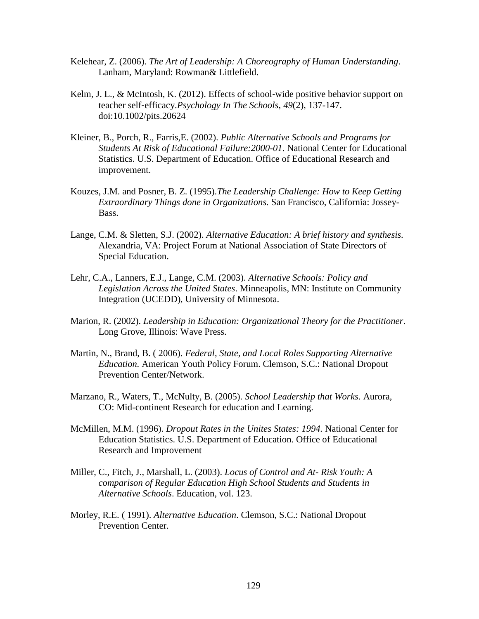- Kelehear, Z. (2006). *The Art of Leadership: A Choreography of Human Understanding*. Lanham, Maryland: Rowman& Littlefield.
- Kelm, J. L., & McIntosh, K. (2012). Effects of school-wide positive behavior support on teacher self‐efficacy.*Psychology In The Schools*, *49*(2), 137-147. doi:10.1002/pits.20624
- Kleiner, B., Porch, R., Farris,E. (2002). *Public Alternative Schools and Programs for Students At Risk of Educational Failure:2000-01*. National Center for Educational Statistics. U.S. Department of Education. Office of Educational Research and improvement.
- Kouzes, J.M. and Posner, B. Z. (1995).*The Leadership Challenge: How to Keep Getting Extraordinary Things done in Organizations.* San Francisco, California: Jossey-Bass.
- Lange, C.M. & Sletten, S.J. (2002). *Alternative Education: A brief history and synthesis.* Alexandria, VA: Project Forum at National Association of State Directors of Special Education.
- Lehr, C.A., Lanners, E.J., Lange, C.M. (2003). *Alternative Schools: Policy and Legislation Across the United States*. Minneapolis, MN: Institute on Community Integration (UCEDD), University of Minnesota.
- Marion, R. (2002). *Leadership in Education: Organizational Theory for the Practitioner*. Long Grove, Illinois: Wave Press.
- Martin, N., Brand, B. ( 2006). *Federal, State, and Local Roles Supporting Alternative Education.* American Youth Policy Forum. Clemson, S.C.: National Dropout Prevention Center/Network.
- Marzano, R., Waters, T., McNulty, B. (2005). *School Leadership that Works*. Aurora, CO: Mid-continent Research for education and Learning.
- McMillen, M.M. (1996). *Dropout Rates in the Unites States: 1994.* National Center for Education Statistics. U.S. Department of Education. Office of Educational Research and Improvement
- Miller, C., Fitch, J., Marshall, L. (2003). *Locus of Control and At- Risk Youth: A comparison of Regular Education High School Students and Students in Alternative Schools*. Education, vol. 123.
- Morley, R.E. ( 1991). *Alternative Education*. Clemson, S.C.: National Dropout Prevention Center.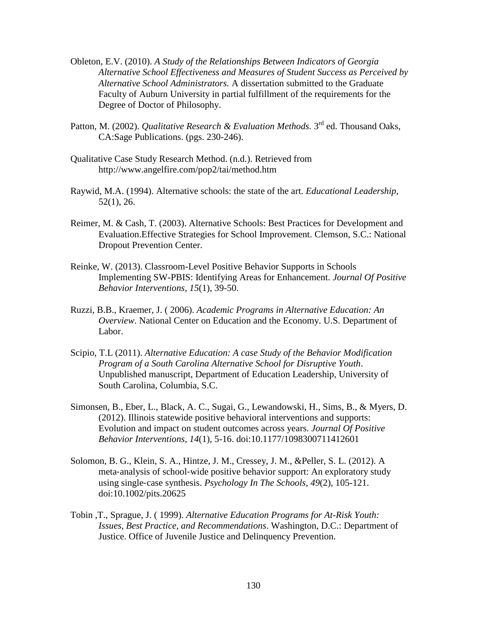- Obleton, E.V. (2010). *A Study of the Relationships Between Indicators of Georgia Alternative School Effectiveness and Measures of Student Success as Perceived by Alternative School Administrators.* A dissertation submitted to the Graduate Faculty of Auburn University in partial fulfillment of the requirements for the Degree of Doctor of Philosophy.
- Patton, M. (2002). *Qualitative Research & Evaluation Methods*. 3<sup>rd</sup> ed. Thousand Oaks, CA:Sage Publications. (pgs. 230-246).
- Qualitative Case Study Research Method. (n.d.). Retrieved from http://www.angelfire.com/pop2/tai/method.htm
- Raywid, M.A. (1994). Alternative schools: the state of the art. *Educational Leadership,*  52(1), 26.
- Reimer, M. & Cash, T. (2003). Alternative Schools: Best Practices for Development and Evaluation.Effective Strategies for School Improvement. Clemson, S.C.: National Dropout Prevention Center.
- Reinke, W. (2013). Classroom-Level Positive Behavior Supports in Schools Implementing SW-PBIS: Identifying Areas for Enhancement. *Journal Of Positive Behavior Interventions*, *15*(1), 39-50.
- Ruzzi, B.B., Kraemer, J. ( 2006). *Academic Programs in Alternative Education: An Overview*. National Center on Education and the Economy. U.S. Department of Labor.
- Scipio, T.L (2011). *Alternative Education: A case Study of the Behavior Modification Program of a South Carolina Alternative School for Disruptive Youth*. Unpublished manuscript, Department of Education Leadership, University of South Carolina, Columbia, S.C.
- Simonsen, B., Eber, L., Black, A. C., Sugai, G., Lewandowski, H., Sims, B., & Myers, D. (2012). Illinois statewide positive behavioral interventions and supports: Evolution and impact on student outcomes across years. *Journal Of Positive Behavior Interventions*, *14*(1), 5-16. doi:10.1177/1098300711412601
- Solomon, B. G., Klein, S. A., Hintze, J. M., Cressey, J. M., &Peller, S. L. (2012). A meta-analysis of school-wide positive behavior support: An exploratory study using single‐case synthesis. *Psychology In The Schools*, *49*(2), 105-121. doi:10.1002/pits.20625
- Tobin ,T., Sprague, J. ( 1999). *Alternative Education Programs for At-Risk Youth: Issues, Best Practice, and Recommendations*. Washington, D.C.: Department of Justice. Office of Juvenile Justice and Delinquency Prevention.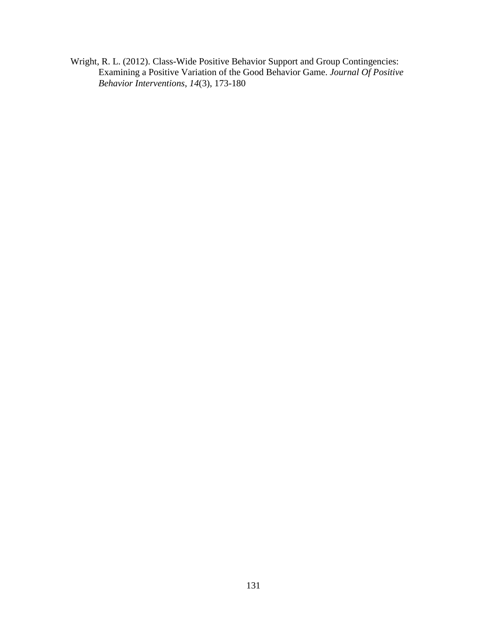Wright, R. L. (2012). Class-Wide Positive Behavior Support and Group Contingencies: Examining a Positive Variation of the Good Behavior Game. *Journal Of Positive Behavior Interventions*, *14*(3), 173-180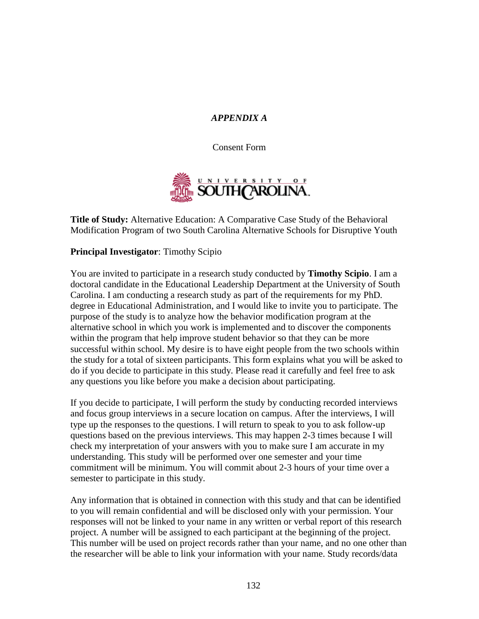# *APPENDIX A*

Consent Form



**Title of Study:** Alternative Education: A Comparative Case Study of the Behavioral Modification Program of two South Carolina Alternative Schools for Disruptive Youth

# **Principal Investigator**: Timothy Scipio

You are invited to participate in a research study conducted by **Timothy Scipio**. I am a doctoral candidate in the Educational Leadership Department at the University of South Carolina. I am conducting a research study as part of the requirements for my PhD*.*  degree in Educational Administration, and I would like to invite you to participate. The purpose of the study is to analyze how the behavior modification program at the alternative school in which you work is implemented and to discover the components within the program that help improve student behavior so that they can be more successful within school. My desire is to have eight people from the two schools within the study for a total of sixteen participants. This form explains what you will be asked to do if you decide to participate in this study. Please read it carefully and feel free to ask any questions you like before you make a decision about participating.

If you decide to participate, I will perform the study by conducting recorded interviews and focus group interviews in a secure location on campus. After the interviews, I will type up the responses to the questions. I will return to speak to you to ask follow-up questions based on the previous interviews. This may happen 2-3 times because I will check my interpretation of your answers with you to make sure I am accurate in my understanding. This study will be performed over one semester and your time commitment will be minimum. You will commit about 2-3 hours of your time over a semester to participate in this study.

Any information that is obtained in connection with this study and that can be identified to you will remain confidential and will be disclosed only with your permission. Your responses will not be linked to your name in any written or verbal report of this research project. A number will be assigned to each participant at the beginning of the project. This number will be used on project records rather than your name, and no one other than the researcher will be able to link your information with your name. Study records/data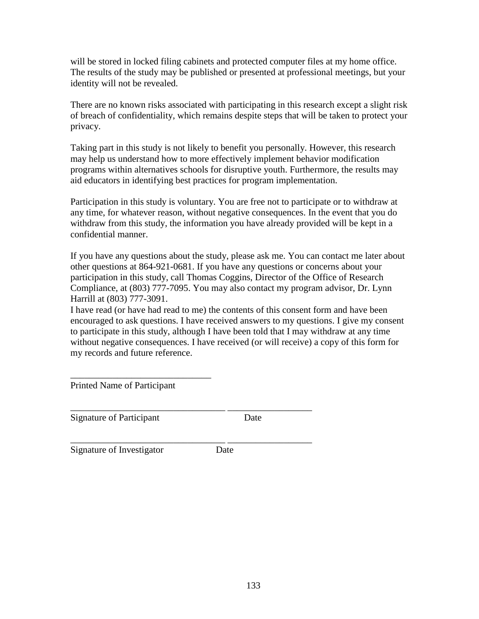will be stored in locked filing cabinets and protected computer files at my home office. The results of the study may be published or presented at professional meetings, but your identity will not be revealed.

There are no known risks associated with participating in this research except a slight risk of breach of confidentiality, which remains despite steps that will be taken to protect your privacy.

Taking part in this study is not likely to benefit you personally. However, this research may help us understand how to more effectively implement behavior modification programs within alternatives schools for disruptive youth. Furthermore, the results may aid educators in identifying best practices for program implementation.

Participation in this study is voluntary. You are free not to participate or to withdraw at any time, for whatever reason, without negative consequences. In the event that you do withdraw from this study, the information you have already provided will be kept in a confidential manner.

If you have any questions about the study, please ask me. You can contact me later about other questions at 864-921-0681. If you have any questions or concerns about your participation in this study, call Thomas Coggins, Director of the Office of Research Compliance, at (803) 777-7095. You may also contact my program advisor, Dr. Lynn Harrill at (803) 777-3091.

I have read (or have had read to me) the contents of this consent form and have been encouraged to ask questions. I have received answers to my questions. I give my consent to participate in this study, although I have been told that I may withdraw at any time without negative consequences. I have received (or will receive) a copy of this form for my records and future reference.

Printed Name of Participant

\_\_\_\_\_\_\_\_\_\_\_\_\_\_\_\_\_\_\_\_\_\_\_\_\_\_\_\_\_\_

Signature of Participant Date

\_\_\_\_\_\_\_\_\_\_\_\_\_\_\_\_\_\_\_\_\_\_\_\_\_\_\_\_\_\_\_\_\_ \_\_\_\_\_\_\_\_\_\_\_\_\_\_\_\_\_\_ Signature of Investigator Date

\_\_\_\_\_\_\_\_\_\_\_\_\_\_\_\_\_\_\_\_\_\_\_\_\_\_\_\_\_\_\_\_\_ \_\_\_\_\_\_\_\_\_\_\_\_\_\_\_\_\_\_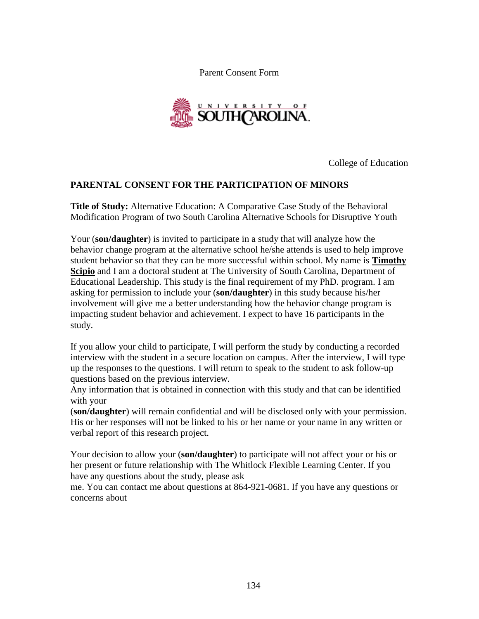Parent Consent Form



College of Education

# **PARENTAL CONSENT FOR THE PARTICIPATION OF MINORS**

**Title of Study:** Alternative Education: A Comparative Case Study of the Behavioral Modification Program of two South Carolina Alternative Schools for Disruptive Youth

Your (**son/daughter**) is invited to participate in a study that will analyze how the behavior change program at the alternative school he/she attends is used to help improve student behavior so that they can be more successful within school. My name is **Timothy Scipio** and I am a doctoral student at The University of South Carolina, Department of Educational Leadership. This study is the final requirement of my PhD. program. I am asking for permission to include your (**son/daughter**) in this study because his/her involvement will give me a better understanding how the behavior change program is impacting student behavior and achievement. I expect to have 16 participants in the study.

If you allow your child to participate, I will perform the study by conducting a recorded interview with the student in a secure location on campus. After the interview, I will type up the responses to the questions. I will return to speak to the student to ask follow-up questions based on the previous interview.

Any information that is obtained in connection with this study and that can be identified with your

(**son/daughter**) will remain confidential and will be disclosed only with your permission. His or her responses will not be linked to his or her name or your name in any written or verbal report of this research project.

Your decision to allow your (**son/daughter**) to participate will not affect your or his or her present or future relationship with The Whitlock Flexible Learning Center. If you have any questions about the study, please ask

me. You can contact me about questions at 864-921-0681. If you have any questions or concerns about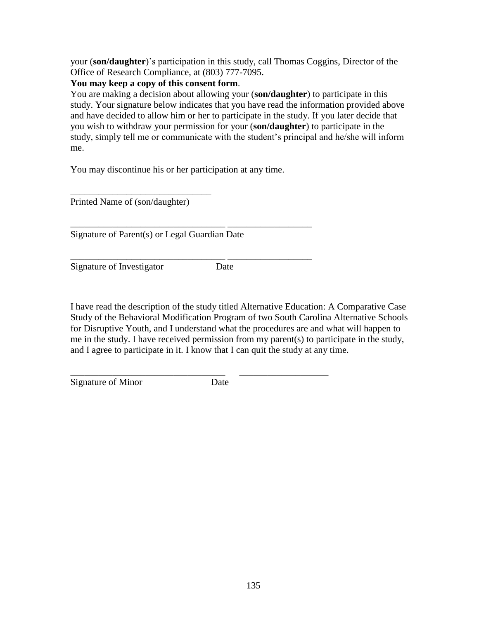your (**son/daughter**)'s participation in this study, call Thomas Coggins, Director of the Office of Research Compliance, at (803) 777-7095.

# **You may keep a copy of this consent form**.

You are making a decision about allowing your (**son/daughter**) to participate in this study. Your signature below indicates that you have read the information provided above and have decided to allow him or her to participate in the study. If you later decide that you wish to withdraw your permission for your (**son/daughter**) to participate in the study, simply tell me or communicate with the student's principal and he/she will inform me.

You may discontinue his or her participation at any time.

\_\_\_\_\_\_\_\_\_\_\_\_\_\_\_\_\_\_\_\_\_\_\_\_\_\_\_\_\_\_\_\_\_ \_\_\_\_\_\_\_\_\_\_\_\_\_\_\_\_\_\_

\_\_\_\_\_\_\_\_\_\_\_\_\_\_\_\_\_\_\_\_\_\_\_\_\_\_\_\_\_\_\_\_\_ \_\_\_\_\_\_\_\_\_\_\_\_\_\_\_\_\_\_

Printed Name of (son/daughter)

\_\_\_\_\_\_\_\_\_\_\_\_\_\_\_\_\_\_\_\_\_\_\_\_\_\_\_\_\_\_

Signature of Parent(s) or Legal Guardian Date

Signature of Investigator Date

I have read the description of the study titled Alternative Education: A Comparative Case Study of the Behavioral Modification Program of two South Carolina Alternative Schools for Disruptive Youth, and I understand what the procedures are and what will happen to me in the study. I have received permission from my parent(s) to participate in the study, and I agree to participate in it. I know that I can quit the study at any time.

Signature of Minor Date

\_\_\_\_\_\_\_\_\_\_\_\_\_\_\_\_\_\_\_\_\_\_\_\_\_\_\_\_\_\_\_\_\_ \_\_\_\_\_\_\_\_\_\_\_\_\_\_\_\_\_\_\_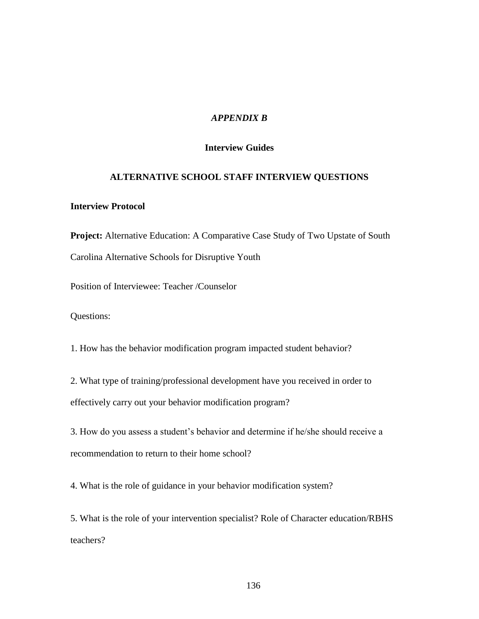# *APPENDIX B*

# **Interview Guides**

# **ALTERNATIVE SCHOOL STAFF INTERVIEW QUESTIONS**

# **Interview Protocol**

**Project:** Alternative Education: A Comparative Case Study of Two Upstate of South Carolina Alternative Schools for Disruptive Youth

Position of Interviewee: Teacher /Counselor

Questions:

1. How has the behavior modification program impacted student behavior?

2. What type of training/professional development have you received in order to effectively carry out your behavior modification program?

3. How do you assess a student's behavior and determine if he/she should receive a recommendation to return to their home school?

4. What is the role of guidance in your behavior modification system?

5. What is the role of your intervention specialist? Role of Character education/RBHS teachers?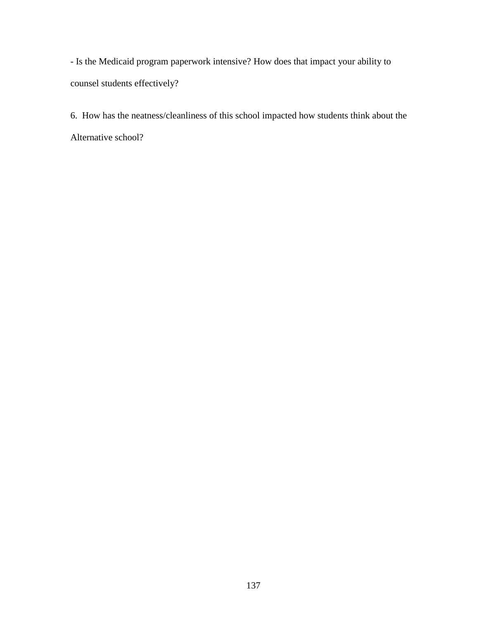- Is the Medicaid program paperwork intensive? How does that impact your ability to counsel students effectively?

6. How has the neatness/cleanliness of this school impacted how students think about the Alternative school?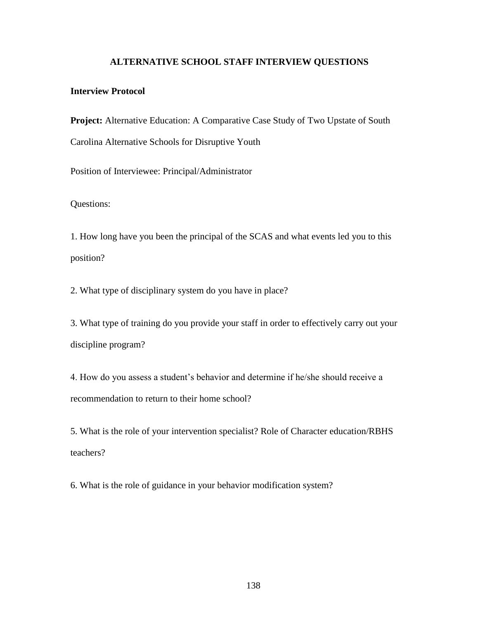#### **ALTERNATIVE SCHOOL STAFF INTERVIEW QUESTIONS**

## **Interview Protocol**

**Project:** Alternative Education: A Comparative Case Study of Two Upstate of South Carolina Alternative Schools for Disruptive Youth

Position of Interviewee: Principal/Administrator

Questions:

1. How long have you been the principal of the SCAS and what events led you to this position?

2. What type of disciplinary system do you have in place?

3. What type of training do you provide your staff in order to effectively carry out your discipline program?

4. How do you assess a student's behavior and determine if he/she should receive a recommendation to return to their home school?

5. What is the role of your intervention specialist? Role of Character education/RBHS teachers?

6. What is the role of guidance in your behavior modification system?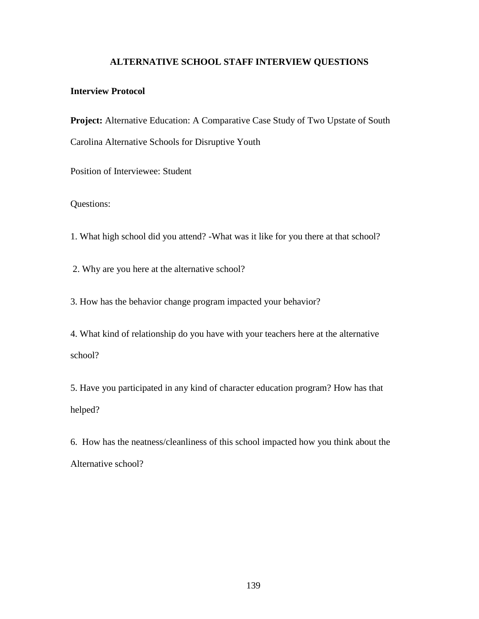## **ALTERNATIVE SCHOOL STAFF INTERVIEW QUESTIONS**

## **Interview Protocol**

**Project:** Alternative Education: A Comparative Case Study of Two Upstate of South Carolina Alternative Schools for Disruptive Youth

Position of Interviewee: Student

## Questions:

1. What high school did you attend? -What was it like for you there at that school?

2. Why are you here at the alternative school?

3. How has the behavior change program impacted your behavior?

4. What kind of relationship do you have with your teachers here at the alternative school?

5. Have you participated in any kind of character education program? How has that helped?

6. How has the neatness/cleanliness of this school impacted how you think about the Alternative school?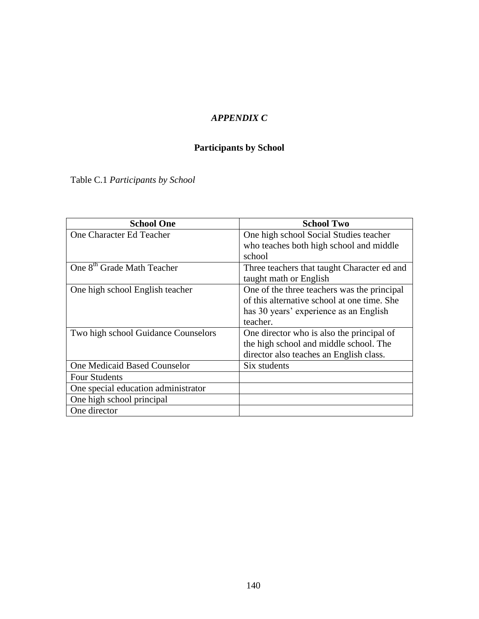# *APPENDIX C*

# **Participants by School**

Table C.1 *Participants by School*

| <b>School One</b>                      | <b>School Two</b>                           |
|----------------------------------------|---------------------------------------------|
| One Character Ed Teacher               | One high school Social Studies teacher      |
|                                        | who teaches both high school and middle     |
|                                        | school                                      |
| One 8 <sup>th</sup> Grade Math Teacher | Three teachers that taught Character ed and |
|                                        | taught math or English                      |
| One high school English teacher        | One of the three teachers was the principal |
|                                        | of this alternative school at one time. She |
|                                        | has 30 years' experience as an English      |
|                                        | teacher.                                    |
| Two high school Guidance Counselors    | One director who is also the principal of   |
|                                        | the high school and middle school. The      |
|                                        | director also teaches an English class.     |
| One Medicaid Based Counselor           | Six students                                |
| <b>Four Students</b>                   |                                             |
| One special education administrator    |                                             |
| One high school principal              |                                             |
| One director                           |                                             |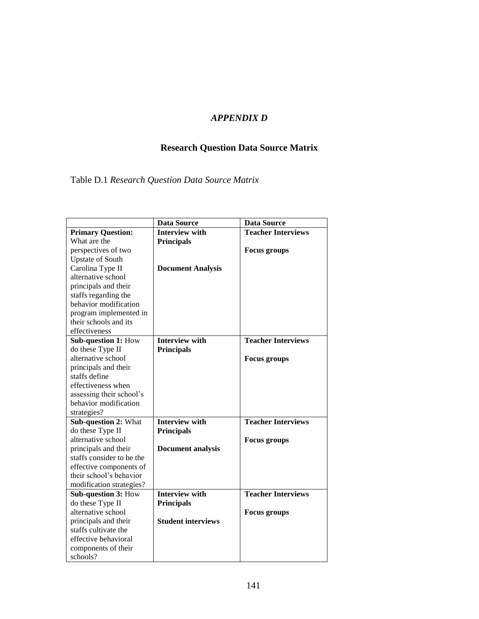# *APPENDIX D*

# **Research Question Data Source Matrix**

Table D.1 *Research Question Data Source Matrix*

|                           | <b>Data Source</b>        | <b>Data Source</b>        |
|---------------------------|---------------------------|---------------------------|
| <b>Primary Question:</b>  | <b>Interview with</b>     | <b>Teacher Interviews</b> |
| What are the              | <b>Principals</b>         |                           |
| perspectives of two       |                           | <b>Focus</b> groups       |
| <b>Upstate of South</b>   |                           |                           |
| Carolina Type II          | <b>Document Analysis</b>  |                           |
| alternative school        |                           |                           |
| principals and their      |                           |                           |
| staffs regarding the      |                           |                           |
| behavior modification     |                           |                           |
| program implemented in    |                           |                           |
| their schools and its     |                           |                           |
| effectiveness             |                           |                           |
| Sub-question 1: How       | <b>Interview with</b>     | <b>Teacher Interviews</b> |
| do these Type II          | <b>Principals</b>         |                           |
| alternative school        |                           | <b>Focus</b> groups       |
| principals and their      |                           |                           |
| staffs define             |                           |                           |
| effectiveness when        |                           |                           |
| assessing their school's  |                           |                           |
| behavior modification     |                           |                           |
| strategies?               |                           |                           |
| Sub-question 2: What      | <b>Interview with</b>     | <b>Teacher Interviews</b> |
| do these Type II          | <b>Principals</b>         |                           |
| alternative school        |                           | <b>Focus</b> groups       |
| principals and their      | <b>Document analysis</b>  |                           |
| staffs consider to be the |                           |                           |
| effective components of   |                           |                           |
| their school's behavior   |                           |                           |
| modification strategies?  |                           |                           |
| Sub-question 3: How       | <b>Interview with</b>     | <b>Teacher Interviews</b> |
| do these Type II          | <b>Principals</b>         |                           |
| alternative school        |                           | <b>Focus groups</b>       |
| principals and their      | <b>Student interviews</b> |                           |
| staffs cultivate the      |                           |                           |
| effective behavioral      |                           |                           |
| components of their       |                           |                           |
| schools?                  |                           |                           |